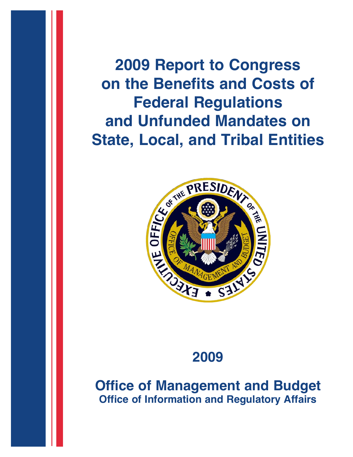**2009 Report to Congress on the Benefits and Costs of Federal Regulations State, Local, and Tribal Entities**



# **2009**

**Office of Management and Budget Office of Information and Regulatory Affairs**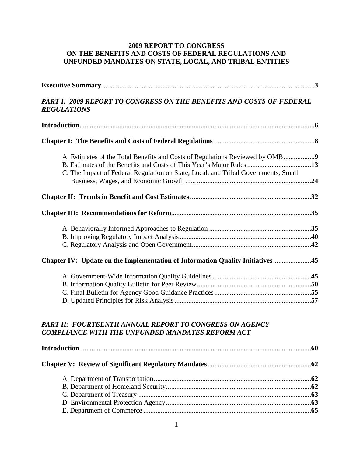## **2009 REPORT TO CONGRESS ON THE BENEFITS AND COSTS OF FEDERAL REGULATIONS AND UNFUNDED MANDATES ON STATE, LOCAL, AND TRIBAL ENTITIES**

| PART I: 2009 REPORT TO CONGRESS ON THE BENEFITS AND COSTS OF FEDERAL<br><b>REGULATIONS</b>                                                           |  |
|------------------------------------------------------------------------------------------------------------------------------------------------------|--|
|                                                                                                                                                      |  |
|                                                                                                                                                      |  |
| A. Estimates of the Total Benefits and Costs of Regulations Reviewed by OMB9<br>B. Estimates of the Benefits and Costs of This Year's Major Rules 13 |  |
| C. The Impact of Federal Regulation on State, Local, and Tribal Governments, Small                                                                   |  |
|                                                                                                                                                      |  |
|                                                                                                                                                      |  |
|                                                                                                                                                      |  |
|                                                                                                                                                      |  |
| Chapter IV: Update on the Implementation of Information Quality Initiatives45                                                                        |  |
|                                                                                                                                                      |  |
|                                                                                                                                                      |  |
|                                                                                                                                                      |  |
| <b>PART II: FOURTEENTH ANNUAL REPORT TO CONGRESS ON AGENCY</b><br><b>COMPLIANCE WITH THE UNFUNDED MANDATES REFORM ACT</b>                            |  |
|                                                                                                                                                      |  |
|                                                                                                                                                      |  |
|                                                                                                                                                      |  |
|                                                                                                                                                      |  |
|                                                                                                                                                      |  |
|                                                                                                                                                      |  |
|                                                                                                                                                      |  |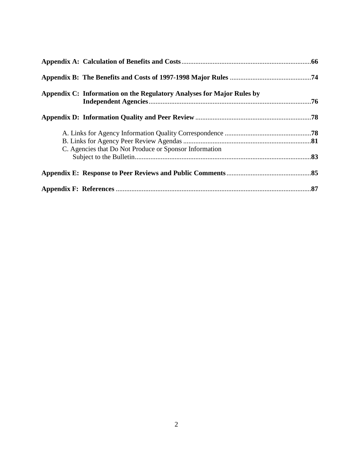| Appendix C: Information on the Regulatory Analyses for Major Rules by |  |
|-----------------------------------------------------------------------|--|
|                                                                       |  |
|                                                                       |  |
| C. Agencies that Do Not Produce or Sponsor Information                |  |
|                                                                       |  |
|                                                                       |  |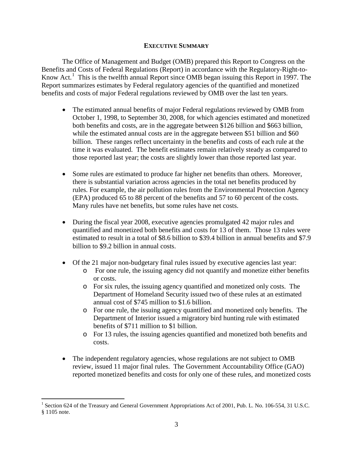## **EXECUTIVE SUMMARY**

The Office of Management and Budget (OMB) prepared this Report to Congress on the Benefits and Costs of Federal Regulations (Report) in accordance with the Regulatory-Right-to-Know Act.<sup>[1](#page-3-0)</sup> This is the twelfth annual Report since OMB began issuing this Report in 1997. The Report summarizes estimates by Federal regulatory agencies of the quantified and monetized benefits and costs of major Federal regulations reviewed by OMB over the last ten years.

- The estimated annual benefits of major Federal regulations reviewed by OMB from October 1, 1998, to September 30, 2008, for which agencies estimated and monetized both benefits and costs, are in the aggregate between \$126 billion and \$663 billion, while the estimated annual costs are in the aggregate between \$51 billion and \$60 billion. These ranges reflect uncertainty in the benefits and costs of each rule at the time it was evaluated. The benefit estimates remain relatively steady as compared to those reported last year; the costs are slightly lower than those reported last year.
- Some rules are estimated to produce far higher net benefits than others. Moreover, there is substantial variation across agencies in the total net benefits produced by rules. For example, the air pollution rules from the Environmental Protection Agency (EPA) produced 65 to 88 percent of the benefits and 57 to 60 percent of the costs. Many rules have net benefits, but some rules have net costs.
- During the fiscal year 2008, executive agencies promulgated 42 major rules and quantified and monetized both benefits and costs for 13 of them. Those 13 rules were estimated to result in a total of \$8.6 billion to \$39.4 billion in annual benefits and \$7.9 billion to \$9.2 billion in annual costs.
- Of the 21 major non-budgetary final rules issued by executive agencies last year:
	- o For one rule, the issuing agency did not quantify and monetize either benefits or costs.
	- o For six rules, the issuing agency quantified and monetized only costs. The Department of Homeland Security issued two of these rules at an estimated annual cost of \$745 million to \$1.6 billion.
	- o For one rule, the issuing agency quantified and monetized only benefits. The Department of Interior issued a migratory bird hunting rule with estimated benefits of \$711 million to \$1 billion.
	- o For 13 rules, the issuing agencies quantified and monetized both benefits and costs.
- The independent regulatory agencies, whose regulations are not subject to OMB review, issued 11 major final rules. The Government Accountability Office (GAO) reported monetized benefits and costs for only one of these rules, and monetized costs

<span id="page-3-0"></span> $\overline{a}$ <sup>1</sup> Section 624 of the Treasury and General Government Appropriations Act of 2001, Pub. L. No. 106-554, 31 U.S.C. § 1105 note.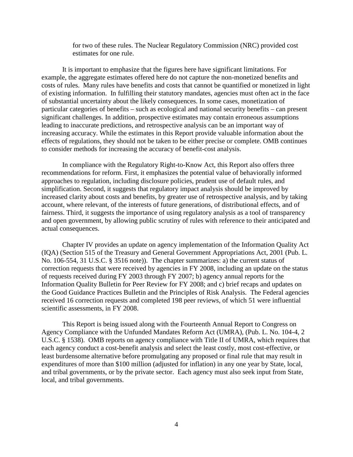for two of these rules. The Nuclear Regulatory Commission (NRC) provided cost estimates for one rule.

It is important to emphasize that the figures here have significant limitations. For example, the aggregate estimates offered here do not capture the non-monetized benefits and costs of rules. Many rules have benefits and costs that cannot be quantified or monetized in light of existing information. In fulfilling their statutory mandates, agencies must often act in the face of substantial uncertainty about the likely consequences. In some cases, monetization of particular categories of benefits – such as ecological and national security benefits – can present significant challenges. In addition, prospective estimates may contain erroneous assumptions leading to inaccurate predictions, and retrospective analysis can be an important way of increasing accuracy. While the estimates in this Report provide valuable information about the effects of regulations, they should not be taken to be either precise or complete. OMB continues to consider methods for increasing the accuracy of benefit-cost analysis.

In compliance with the Regulatory Right-to-Know Act, this Report also offers three recommendations for reform. First, it emphasizes the potential value of behaviorally informed approaches to regulation, including disclosure policies, prudent use of default rules, and simplification. Second, it suggests that regulatory impact analysis should be improved by increased clarity about costs and benefits, by greater use of retrospective analysis, and by taking account, where relevant, of the interests of future generations, of distributional effects, and of fairness. Third, it suggests the importance of using regulatory analysis as a tool of transparency and open government, by allowing public scrutiny of rules with reference to their anticipated and actual consequences.

Chapter IV provides an update on agency implementation of the Information Quality Act (IQA) (Section 515 of the Treasury and General Government Appropriations Act, 2001 (Pub. L. No. 106-554, 31 U.S.C. § 3516 note)). The chapter summarizes: a) the current status of correction requests that were received by agencies in FY 2008, including an update on the status of requests received during FY 2003 through FY 2007; b) agency annual reports for the Information Quality Bulletin for Peer Review for FY 2008; and c) brief recaps and updates on the Good Guidance Practices Bulletin and the Principles of Risk Analysis. The Federal agencies received 16 correction requests and completed 198 peer reviews, of which 51 were influential scientific assessments, in FY 2008.

This Report is being issued along with the Fourteenth Annual Report to Congress on Agency Compliance with the Unfunded Mandates Reform Act (UMRA), (Pub. L. No. 104-4, 2 U.S.C. § 1538). OMB reports on agency compliance with Title II of UMRA, which requires that each agency conduct a cost-benefit analysis and select the least costly, most cost-effective, or least burdensome alternative before promulgating any proposed or final rule that may result in expenditures of more than \$100 million (adjusted for inflation) in any one year by State, local, and tribal governments, or by the private sector. Each agency must also seek input from State, local, and tribal governments.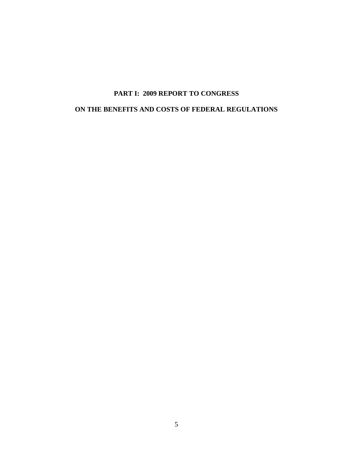# **PART I: 2009 REPORT TO CONGRESS**

## **ON THE BENEFITS AND COSTS OF FEDERAL REGULATIONS**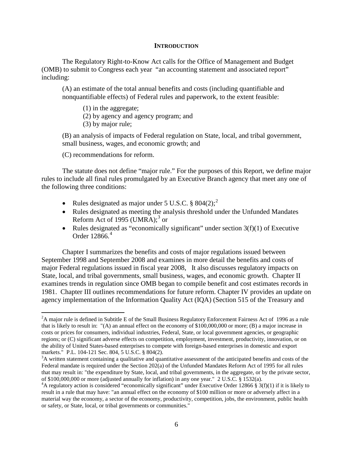## **INTRODUCTION**

The Regulatory Right-to-Know Act calls for the Office of Management and Budget (OMB) to submit to Congress each year "an accounting statement and associated report" including:

(A) an estimate of the total annual benefits and costs (including quantifiable and nonquantifiable effects) of Federal rules and paperwork, to the extent feasible:

(1) in the aggregate;

(2) by agency and agency program; and

(3) by major rule;

(B) an analysis of impacts of Federal regulation on State, local, and tribal government, small business, wages, and economic growth; and

(C) recommendations for reform.

 $\overline{a}$ 

The statute does not define "major rule." For the purposes of this Report, we define major rules to include all final rules promulgated by an Executive Branch agency that meet any one of the following three conditions:

- Rules designated as major under 5 U.S.C.  $\S 804(2)$  $\S 804(2)$  $\S 804(2)$ ;
- Rules designated as meeting the analysis threshold under the Unfunded Mandates Reform Act of 1995 (UMRA); $3$  or
- Rules designated as "economically significant" under section  $3(f)(1)$  of Executive Order 12866. [4](#page-6-2)

Chapter I summarizes the benefits and costs of major regulations issued between September 1998 and September 2008 and examines in more detail the benefits and costs of major Federal regulations issued in fiscal year 2008, It also discusses regulatory impacts on State, local, and tribal governments, small business, wages, and economic growth. Chapter II examines trends in regulation since OMB began to compile benefit and cost estimates records in 1981. Chapter III outlines recommendations for future reform. Chapter IV provides an update on agency implementation of the Information Quality Act (IQA) (Section 515 of the Treasury and

<span id="page-6-0"></span> $2A$  major rule is defined in Subtitle E of the Small Business Regulatory Enforcement Fairness Act of 1996 as a rule that is likely to result in: "(A) an annual effect on the economy of \$100,000,000 or more; (B) a major increase in costs or prices for consumers, individual industries, Federal, State, or local government agencies, or geographic regions; or (C) significant adverse effects on competition, employment, investment, productivity, innovation, or on the ability of United States-based enterprises to compete with foreign-based enterprises in domestic and export markets." P.L. 104-121 Sec. 804, 5 U.S.C. § 804(2).

<span id="page-6-1"></span> $A<sup>3</sup>A$  written statement containing a qualitative and quantitative assessment of the anticipated benefits and costs of the Federal mandate is required under the Section 202(a) of the Unfunded Mandates Reform Act of 1995 for all rules that may result in: "the expenditure by State, local, and tribal governments, in the aggregate, or by the private sector, of \$100,000,000 or more (adjusted annually for inflation) in any one year." 2 U.S.C. § 1532(a). <sup>4</sup>

<span id="page-6-2"></span><sup>&</sup>lt;sup>4</sup>A regulatory action is considered "economically significant" under Executive Order 12866 § 3(f)(1) if it is likely to result in a rule that may have: "an annual effect on the economy of \$100 million or more or adversely affect in a material way the economy, a sector of the economy, productivity, competition, jobs, the environment, public health or safety, or State, local, or tribal governments or communities."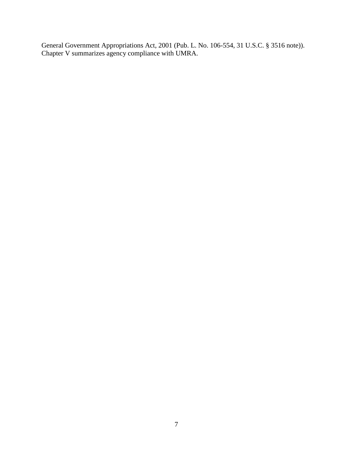General Government Appropriations Act, 2001 (Pub. L. No. 106-554, 31 U.S.C. § 3516 note)). Chapter V summarizes agency compliance with UMRA.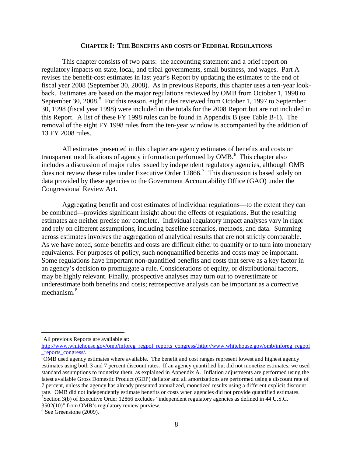#### **CHAPTER I: THE BENEFITS AND COSTS OF FEDERAL REGULATIONS**

This chapter consists of two parts: the accounting statement and a brief report on regulatory impacts on state, local, and tribal governments, small business, and wages. Part A revises the benefit-cost estimates in last year's Report by updating the estimates to the end of fiscal year 2008 (September 30, 2008). As in previous Reports, this chapter uses a ten-year lookback. Estimates are based on the major regulations reviewed by OMB from October 1, 1998 to September 30, 2008.<sup>[5](#page-8-0)</sup> For this reason, eight rules reviewed from October 1, 1997 to September 30, 1998 (fiscal year 1998) were included in the totals for the 2008 Report but are not included in this Report. A list of these FY 1998 rules can be found in Appendix B (see Table B-1). The removal of the eight FY 1998 rules from the ten-year window is accompanied by the addition of 13 FY 2008 rules.

All estimates presented in this chapter are agency estimates of benefits and costs or transparent modifications of agency information performed by OMB.<sup>[6](#page-8-1)</sup> This chapter also includes a discussion of major rules issued by independent regulatory agencies, although OMB does not review these rules under Executive Order 12866.<sup>[7](#page-8-2)</sup> This discussion is based solely on data provided by these agencies to the Government Accountability Office (GAO) under the Congressional Review Act.

Aggregating benefit and cost estimates of individual regulations—to the extent they can be combined—provides significant insight about the effects of regulations. But the resulting estimates are neither precise nor complete. Individual regulatory impact analyses vary in rigor and rely on different assumptions, including baseline scenarios, methods, and data. Summing across estimates involves the aggregation of analytical results that are not strictly comparable. As we have noted, some benefits and costs are difficult either to quantify or to turn into monetary equivalents. For purposes of policy, such nonquantified benefits and costs may be important. Some regulations have important non-quantified benefits and costs that serve as a key factor in an agency's decision to promulgate a rule. Considerations of equity, or distributional factors, may be highly relevant. Finally, prospective analyses may turn out to overestimate or underestimate both benefits and costs; retrospective analysis can be important as a corrective mechanism. [8](#page-8-3)

<span id="page-8-0"></span><sup>&</sup>lt;sup>5</sup>All previous Reports are available at:

[http://www.whitehouse.gov/omb/inforeg\\_regpol\\_reports\\_congress/.http://www.whitehouse.gov/omb/inforeg\\_regpol](http://www.whitehouse.gov/omb/inforeg_regpol_reports_congress/.http:/www.whitehouse.gov/omb/inforeg_regpol_reports_congress/) [\\_reports\\_congress/. 6](http://www.whitehouse.gov/omb/inforeg_regpol_reports_congress/.http:/www.whitehouse.gov/omb/inforeg_regpol_reports_congress/)

<span id="page-8-1"></span> $\overline{6}$ OMB used agency estimates where available. The benefit and cost ranges represent lowest and highest agency estimates using both 3 and 7 percent discount rates. If an agency quantified but did not monetize estimates, we used standard assumptions to monetize them, as explained in Appendix A. Inflation adjustments are performed using the latest available Gross Domestic Product (GDP) deflator and all amortizations are performed using a discount rate of 7 percent, unless the agency has already presented annualized, monetized results using a different explicit discount rate. OMB did not independently estimate benefits or costs when agencies did not provide quantified estimates. <sup>7</sup>Section 3(b) of Executive Order 12866 excludes "independent regulatory agencies as defined in 44 U.S.C.

<span id="page-8-2"></span><sup>3502(10)&</sup>quot; from OMB's regulatory review purview.

<span id="page-8-3"></span><sup>8</sup> See Greenstone (2009).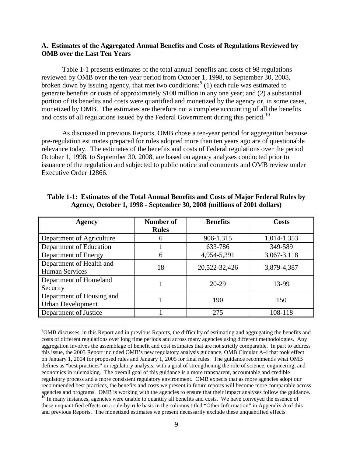## **A. Estimates of the Aggregated Annual Benefits and Costs of Regulations Reviewed by OMB over the Last Ten Years**

Table 1-1 presents estimates of the total annual benefits and costs of 98 regulations reviewed by OMB over the ten-year period from October 1, 1998, to September 30, 2008, broken down by issuing agency, that met two conditions:  $9(1)$  $9(1)$  each rule was estimated to generate benefits or costs of approximately \$100 million in any one year; and (2) a substantial portion of its benefits and costs were quantified and monetized by the agency or, in some cases, monetized by OMB. The estimates are therefore not a complete accounting of all the benefits and costs of all regulations issued by the Federal Government during this period.<sup>[10](#page-9-1)</sup>

As discussed in previous Reports, OMB chose a ten-year period for aggregation because pre-regulation estimates prepared for rules adopted more than ten years ago are of questionable relevance today. The estimates of the benefits and costs of Federal regulations over the period October 1, 1998, to September 30, 2008, are based on agency analyses conducted prior to issuance of the regulation and subjected to public notice and comments and OMB review under Executive Order 12866.

| <b>Agency</b>             | Number of    | <b>Benefits</b> | <b>Costs</b> |  |
|---------------------------|--------------|-----------------|--------------|--|
|                           | <b>Rules</b> |                 |              |  |
| Department of Agriculture | 6            | 906-1,315       | 1,014-1,353  |  |
| Department of Education   |              | 633-786         | 349-589      |  |
| Department of Energy      | 6            | 4,954-5,391     | 3,067-3,118  |  |
| Department of Health and  | 18           | 20,522-32,426   | 3,879-4,387  |  |
| <b>Human Services</b>     |              |                 |              |  |
| Department of Homeland    |              | $20-29$         | 13-99        |  |
| Security                  |              |                 |              |  |
| Department of Housing and |              | 190             | 150          |  |
| <b>Urban Development</b>  |              |                 |              |  |
| Department of Justice     |              | 275             | 108-118      |  |

|  |  |  |  |  |                                                                         | Table 1-1: Estimates of the Total Annual Benefits and Costs of Major Federal Rules by |
|--|--|--|--|--|-------------------------------------------------------------------------|---------------------------------------------------------------------------------------|
|  |  |  |  |  | Agency, October 1, 1998 - September 30, 2008 (millions of 2001 dollars) |                                                                                       |

<span id="page-9-1"></span><span id="page-9-0"></span><sup>&</sup>lt;sup>9</sup>OMB discusses, in this Report and in previous Reports, the difficulty of estimating and aggregating the benefits and costs of different regulations over long time periods and across many agencies using different methodologies. Any aggregation involves the assemblage of benefit and cost estimates that are not strictly comparable. In part to address this issue, the 2003 Report included OMB's new regulatory analysis guidance, OMB Circular A-4 that took effect on January 1, 2004 for proposed rules and January 1, 2005 for final rules. The guidance recommends what OMB defines as "best practices" in regulatory analysis, with a goal of strengthening the role of science, engineering, and economics in rulemaking. The overall goal of this guidance is a more transparent, accountable and credible regulatory process and a more consistent regulatory environment. OMB expects that as more agencies adopt our recommended best practices, the benefits and costs we present in future reports will become more comparable across agencies and programs. OMB is working with the agencies to ensure that their impact analyses follow the gui  $\frac{10}{10}$  In many instances, agencies were unable to quantify all benefits and costs. We have conveyed the essence of these unquantified effects on a rule-by-rule basis in the columns titled "Other Information" in Appendix A of this and previous Reports. The monetized estimates we present necessarily exclude these unquantified effects.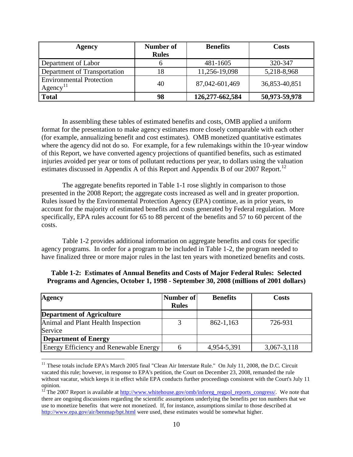| <b>Agency</b>                                             | Number of<br><b>Rules</b> | <b>Benefits</b> | Costs         |
|-----------------------------------------------------------|---------------------------|-----------------|---------------|
| Department of Labor                                       |                           | 481-1605        | 320-347       |
| Department of Transportation                              |                           | 11,256-19,098   | 5,218-8,968   |
| <b>Environmental Protection</b><br>$Agency$ <sup>11</sup> | 40                        | 87,042-601,469  | 36,853-40,851 |
| Total                                                     | 98                        | 126,277-662,584 | 50,973-59,978 |

In assembling these tables of estimated benefits and costs, OMB applied a uniform format for the presentation to make agency estimates more closely comparable with each other (for example, annualizing benefit and cost estimates). OMB monetized quantitative estimates where the agency did not do so. For example, for a few rulemakings within the 10-year window of this Report, we have converted agency projections of quantified benefits, such as estimated injuries avoided per year or tons of pollutant reductions per year, to dollars using the valuation estimates discussed in Appendix A of this Report and Appendix B of our 2007 Report.<sup>[12](#page-10-1)</sup>

The aggregate benefits reported in Table 1-1 rose slightly in comparison to those presented in the 2008 Report; the aggregate costs increased as well and in greater proportion. Rules issued by the Environmental Protection Agency (EPA) continue, as in prior years, to account for the majority of estimated benefits and costs generated by Federal regulation. More specifically, EPA rules account for 65 to 88 percent of the benefits and 57 to 60 percent of the costs.

Table 1-2 provides additional information on aggregate benefits and costs for specific agency programs. In order for a program to be included in Table 1-2, the program needed to have finalized three or more major rules in the last ten years with monetized benefits and costs.

| <b>Agency</b>                          | Number of    | <b>Benefits</b> | Costs           |
|----------------------------------------|--------------|-----------------|-----------------|
|                                        | <b>Rules</b> |                 |                 |
| <b>Department of Agriculture</b>       |              |                 |                 |
| Animal and Plant Health Inspection     |              | 862-1,163       | 726-931         |
| Service                                |              |                 |                 |
| <b>Department of Energy</b>            |              |                 |                 |
| Energy Efficiency and Renewable Energy |              | 4,954-5,391     | $3,067 - 3,118$ |

## **Table 1-2: Estimates of Annual Benefits and Costs of Major Federal Rules: Selected Programs and Agencies, October 1, 1998 - September 30, 2008 (millions of 2001 dollars)**

<span id="page-10-0"></span><sup>&</sup>lt;sup>11</sup> These totals include EPA's March 2005 final "Clean Air Interstate Rule." On July 11, 2008, the D.C. Circuit vacated this rule; however, in response to EPA's petition, the Court on December 23, 2008, remanded the rule without vacatur, which keeps it in effect while EPA conducts further proceedings consistent with the Court's July 11 opinion.

<span id="page-10-1"></span><sup>&</sup>lt;sup>12</sup> The 2007 Report is available at  $\frac{http://www.whitehouse.gov/omb/inforeg_regpol_reports_consess/}{http://www.whitehouse.gov/omb/inforeg_regpol_reportsconsress/}.$  We note that there are ongoing discussions regarding the scientific assumptions underlying the benefits per ton numbers that we use to monetize benefits that were not monetized. If, for instance, assumptions similar to those described at <http://www.epa.gov/air/benmap/bpt.html> were used, these estimates would be somewhat higher.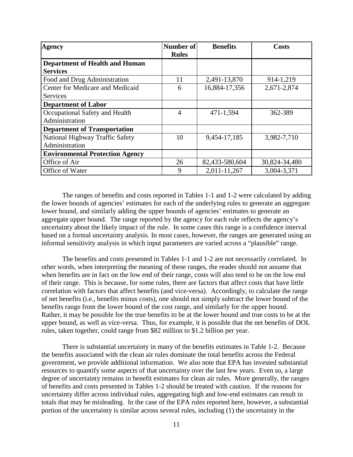| <b>Agency</b>                          | Number of<br><b>Rules</b> | <b>Benefits</b> | <b>Costs</b>  |
|----------------------------------------|---------------------------|-----------------|---------------|
| <b>Department of Health and Human</b>  |                           |                 |               |
| <b>Services</b>                        |                           |                 |               |
| Food and Drug Administration           | 11                        | 2,491-13,870    | 914-1,219     |
| Center for Medicare and Medicaid       | 6                         | 16,884-17,356   | 2,671-2,874   |
| <b>Services</b>                        |                           |                 |               |
| <b>Department of Labor</b>             |                           |                 |               |
| Occupational Safety and Health         | $\overline{4}$            | 471-1,594       | 362-389       |
| Administration                         |                           |                 |               |
| <b>Department of Transportation</b>    |                           |                 |               |
| National Highway Traffic Safety        | 10                        | 9,454-17,185    | 3,982-7,710   |
| Administration                         |                           |                 |               |
| <b>Environmental Protection Agency</b> |                           |                 |               |
| Office of Air                          | 26                        | 82,433-580,604  | 30,824-34,480 |
| Office of Water                        | 9                         | 2,011-11,267    | 3,004-3,371   |

The ranges of benefits and costs reported in Tables 1-1 and 1-2 were calculated by adding the lower bounds of agencies' estimates for each of the underlying rules to generate an aggregate lower bound, and similarly adding the upper bounds of agencies' estimates to generate an aggregate upper bound. The range reported by the agency for each rule reflects the agency's uncertainty about the likely impact of the rule. In some cases this range is a confidence interval based on a formal uncertainty analysis. In most cases, however, the ranges are generated using an informal sensitivity analysis in which input parameters are varied across a "plausible" range.

The benefits and costs presented in Tables 1-1 and 1-2 are not necessarily correlated. In other words, when interpreting the meaning of these ranges, the reader should not assume that when benefits are in fact on the low end of their range, costs will also tend to be on the low end of their range. This is because, for some rules, there are factors that affect costs that have little correlation with factors that affect benefits (and vice-versa). Accordingly, to calculate the range of net benefits (i.e., benefits minus costs), one should not simply subtract the lower bound of the benefits range from the lower bound of the cost range, and similarly for the upper bound. Rather, it may be possible for the true benefits to be at the lower bound and true costs to be at the upper bound, as well as vice-versa. Thus, for example, it is possible that the net benefits of DOL rules, taken together, could range from \$82 million to \$1.2 billion per year.

There is substantial uncertainty in many of the benefits estimates in Table 1-2. Because the benefits associated with the clean air rules dominate the total benefits across the Federal government, we provide additional information. We also note that EPA has invested substantial resources to quantify some aspects of that uncertainty over the last few years. Even so, a large degree of uncertainty remains in benefit estimates for clean air rules. More generally, the ranges of benefits and costs presented in Tables 1-2 should be treated with caution. If the reasons for uncertainty differ across individual rules, aggregating high and low-end estimates can result in totals that may be misleading. In the case of the EPA rules reported here, however, a substantial portion of the uncertainty is similar across several rules, including (1) the uncertainty in the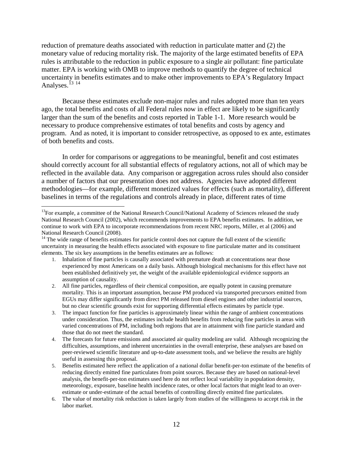reduction of premature deaths associated with reduction in particulate matter and (2) the monetary value of reducing mortality risk. The majority of the large estimated benefits of EPA rules is attributable to the reduction in public exposure to a single air pollutant: fine particulate matter. EPA is working with OMB to improve methods to quantify the degree of technical uncertainty in benefits estimates and to make other improvements to EPA's Regulatory Impact Analyses.<sup>[13](#page-12-0) [14](#page-12-1)</sup>

Because these estimates exclude non-major rules and rules adopted more than ten years ago, the total benefits and costs of all Federal rules now in effect are likely to be significantly larger than the sum of the benefits and costs reported in Table 1-1. More research would be necessary to produce comprehensive estimates of total benefits and costs by agency and program. And as noted, it is important to consider retrospective, as opposed to ex ante, estimates of both benefits and costs.

In order for comparisons or aggregations to be meaningful, benefit and cost estimates should correctly account for all substantial effects of regulatory actions, not all of which may be reflected in the available data. Any comparison or aggregation across rules should also consider a number of factors that our presentation does not address. Agencies have adopted different methodologies—for example, different monetized values for effects (such as mortality), different baselines in terms of the regulations and controls already in place, different rates of time

- 1. Inhalation of fine particles is causally associated with premature death at concentrations near those experienced by most Americans on a daily basis. Although biological mechanisms for this effect have not been established definitively yet, the weight of the available epidemiological evidence supports an assumption of causality.
- 2. All fine particles, regardless of their chemical composition, are equally potent in causing premature mortality. This is an important assumption, because PM produced via transported precursors emitted from EGUs may differ significantly from direct PM released from diesel engines and other industrial sources, but no clear scientific grounds exist for supporting differential effects estimates by particle type.
- 3. The impact function for fine particles is approximately linear within the range of ambient concentrations under consideration. Thus, the estimates include health benefits from reducing fine particles in areas with varied concentrations of PM, including both regions that are in attainment with fine particle standard and those that do not meet the standard.
- 4. The forecasts for future emissions and associated air quality modeling are valid. Although recognizing the difficulties, assumptions, and inherent uncertainties in the overall enterprise, these analyses are based on peer-reviewed scientific literature and up-to-date assessment tools, and we believe the results are highly useful in assessing this proposal.
- 5. Benefits estimated here reflect the application of a national dollar benefit-per-ton estimate of the benefits of reducing directly emitted fine particulates from point sources. Because they are based on national-level analysis, the benefit-per-ton estimates used here do not reflect local variability in population density, meteorology, exposure, baseline health incidence rates, or other local factors that might lead to an overestimate or under-estimate of the actual benefits of controlling directly emitted fine particulates.
- 6. The value of mortality risk reduction is taken largely from studies of the willingness to accept risk in the labor market.

<span id="page-12-0"></span><sup>&</sup>lt;sup>13</sup>For example, a committee of the National Research Council/National Academy of Sciences released the study National Research Council (2002), which recommends improvements to EPA benefits estimates. In addition, we continue to work with EPA to incorporate recommendations from recent NRC reports, Miller, et al (2006) and National Research Council (2008).<br><sup>14</sup> The wide range of benefits estimates for particle control does not capture the full extent of the scientific

<span id="page-12-1"></span>uncertainty in measuring the health effects associated with exposure to fine particulate matter and its constituent elements. The six key assumptions in the benefits estimates are as follows: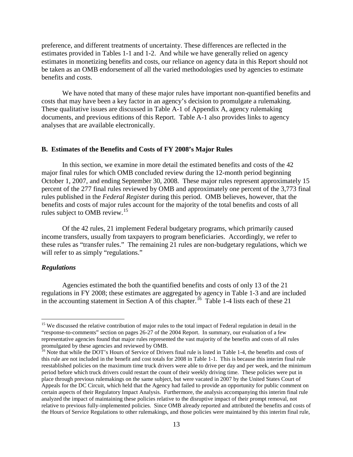preference, and different treatments of uncertainty. These differences are reflected in the estimates provided in Tables 1-1 and 1-2. And while we have generally relied on agency estimates in monetizing benefits and costs, our reliance on agency data in this Report should not be taken as an OMB endorsement of all the varied methodologies used by agencies to estimate benefits and costs.

We have noted that many of these major rules have important non-quantified benefits and costs that may have been a key factor in an agency's decision to promulgate a rulemaking. These qualitative issues are discussed in Table A-1 of Appendix A, agency rulemaking documents, and previous editions of this Report. Table A-1 also provides links to agency analyses that are available electronically.

#### **B. Estimates of the Benefits and Costs of FY 2008's Major Rules**

In this section, we examine in more detail the estimated benefits and costs of the 42 major final rules for which OMB concluded review during the 12-month period beginning October 1, 2007, and ending September 30, 2008. These major rules represent approximately 15 percent of the 277 final rules reviewed by OMB and approximately one percent of the 3,773 final rules published in the *Federal Register* during this period. OMB believes, however, that the benefits and costs of major rules account for the majority of the total benefits and costs of all rules subject to OMB review.<sup>[15](#page-13-0)</sup>

Of the 42 rules, 21 implement Federal budgetary programs, which primarily caused income transfers, usually from taxpayers to program beneficiaries. Accordingly, we refer to these rules as "transfer rules." The remaining 21 rules are non-budgetary regulations, which we will refer to as simply "regulations."

## *Regulations*

 $\overline{a}$ 

Agencies estimated the both the quantified benefits and costs of only 13 of the 21 regulations in FY 2008; these estimates are aggregated by agency in Table 1-3 and are included in the accounting statement in Section A of this chapter.<sup>[16](#page-13-1)</sup> Table 1-4 lists each of these 21

<span id="page-13-0"></span><sup>&</sup>lt;sup>15</sup> We discussed the relative contribution of major rules to the total impact of Federal regulation in detail in the "response-to-comments" section on pages 26-27 of the 2004 Report. In summary, our evaluation of a few representative agencies found that major rules represented the vast majority of the benefits and costs of all rules promulgated by these agencies and reviewed by OMB.

<span id="page-13-1"></span><sup>&</sup>lt;sup>16</sup> Note that while the DOT's Hours of Service of Drivers final rule is listed in Table 1-4, the benefits and costs of this rule are not included in the benefit and cost totals for 2008 in Table 1-1. This is because this interim final rule reestablished policies on the maximum time truck drivers were able to drive per day and per week, and the minimum period before which truck drivers could restart the count of their weekly driving time. These policies were put in place through previous rulemakings on the same subject, but were vacated in 2007 by the United States Court of Appeals for the DC Circuit, which held that the Agency had failed to provide an opportunity for public comment on certain aspects of their Regulatory Impact Analysis. Furthermore, the analysis accompanying this interim final rule analyzed the impact of maintaining these policies relative to the disruptive impact of their prompt removal, not relative to previous fully-implemented policies. Since OMB already reported and attributed the benefits and costs of the Hours of Service Regulations to other rulemakings, and those policies were maintained by this interim final rule,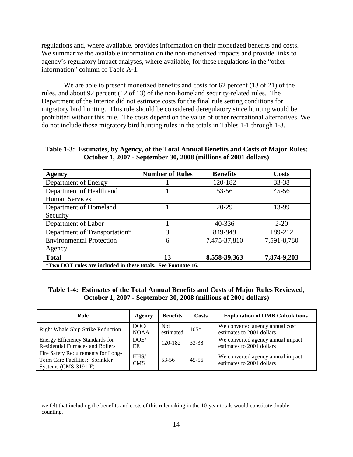regulations and, where available, provides information on their monetized benefits and costs. We summarize the available information on the non-monetized impacts and provide links to agency's regulatory impact analyses, where available, for these regulations in the "other information" column of Table A-1.

We are able to present monetized benefits and costs for 62 percent (13 of 21) of the rules, and about 92 percent (12 of 13) of the non-homeland security-related rules. The Department of the Interior did not estimate costs for the final rule setting conditions for migratory bird hunting. This rule should be considered deregulatory since hunting would be prohibited without this rule. The costs depend on the value of other recreational alternatives. We do not include those migratory bird hunting rules in the totals in Tables 1-1 through 1-3.

**Table 1-3: Estimates, by Agency, of the Total Annual Benefits and Costs of Major Rules: October 1, 2007 - September 30, 2008 (millions of 2001 dollars)** 

| <b>Agency</b>                                                        | <b>Number of Rules</b> | <b>Benefits</b> | <b>Costs</b> |
|----------------------------------------------------------------------|------------------------|-----------------|--------------|
| Department of Energy                                                 |                        | 120-182         | 33-38        |
| Department of Health and                                             |                        | $53 - 56$       | $45 - 56$    |
| <b>Human Services</b>                                                |                        |                 |              |
| Department of Homeland                                               |                        | $20-29$         | 13-99        |
| Security                                                             |                        |                 |              |
| Department of Labor                                                  |                        | 40-336          | $2 - 20$     |
| Department of Transportation*                                        | 3                      | 849-949         | 189-212      |
| <b>Environmental Protection</b>                                      | 6                      | 7,475-37,810    | 7,591-8,780  |
| Agency                                                               |                        |                 |              |
| <b>Total</b>                                                         | 13                     | 8,558-39,363    | 7,874-9,203  |
| <i>*Two DOT rules are included in these totals. See Footnote 16.</i> |                        |                 |              |

**\*Two DOT rules are included in these totals. See Footnote 16.**

 $\overline{a}$ 

## **Table 1-4: Estimates of the Total Annual Benefits and Costs of Major Rules Reviewed, October 1, 2007 - September 30, 2008 (millions of 2001 dollars)**

| Rule                                                                                          | Agency                | <b>Benefits</b>         | Costs     | <b>Explanation of OMB Calculations</b>                         |
|-----------------------------------------------------------------------------------------------|-----------------------|-------------------------|-----------|----------------------------------------------------------------|
| <b>Right Whale Ship Strike Reduction</b>                                                      | DOC/<br><b>NOAA</b>   | <b>Not</b><br>estimated | $105*$    | We converted agency annual cost<br>estimates to 2001 dollars   |
| <b>Energy Efficiency Standards for</b><br><b>Residential Furnaces and Boilers</b>             | DOE/<br>EE            | 120-182                 | 33-38     | We converted agency annual impact<br>estimates to 2001 dollars |
| Fire Safety Requirements for Long-<br>Term Care Facilities: Sprinkler<br>Systems (CMS-3191-F) | $H$ HS/<br><b>CMS</b> | 53-56                   | $45 - 56$ | We converted agency annual impact<br>estimates to 2001 dollars |

we felt that including the benefits and costs of this rulemaking in the 10-year totals would constitute double counting.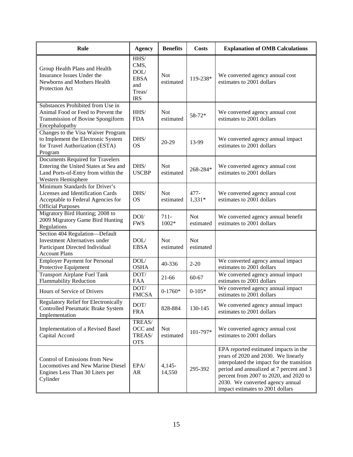| Rule                                                                                                                                   | <b>Agency</b>                                                      | <b>Benefits</b>         | <b>Costs</b>            | <b>Explanation of OMB Calculations</b>                                                                                                                                                                                                                                                   |
|----------------------------------------------------------------------------------------------------------------------------------------|--------------------------------------------------------------------|-------------------------|-------------------------|------------------------------------------------------------------------------------------------------------------------------------------------------------------------------------------------------------------------------------------------------------------------------------------|
| Group Health Plans and Health<br>Insurance Issues Under the<br>Newborns and Mothers Health<br>Protection Act                           | HHS/<br>CMS,<br>DOL/<br><b>EBSA</b><br>and<br>Treas/<br><b>IRS</b> | <b>Not</b><br>estimated | 119-238*                | We converted agency annual cost<br>estimates to 2001 dollars                                                                                                                                                                                                                             |
| Substances Prohibited from Use in<br>Animal Food or Feed to Prevent the<br>Transmission of Bovine Spongiform<br>Encephalopathy         | HHS/<br><b>FDA</b>                                                 | <b>Not</b><br>estimated | $58 - 72*$              | We converted agency annual cost<br>estimates to 2001 dollars                                                                                                                                                                                                                             |
| Changes to the Visa Waiver Program<br>to Implement the Electronic System<br>for Travel Authorization (ESTA)<br>Program                 | DHS/<br><b>OS</b>                                                  | 20-29                   | 13-99                   | We converted agency annual impact<br>estimates to 2001 dollars                                                                                                                                                                                                                           |
| Documents Required for Travelers<br>Entering the United States at Sea and<br>Land Ports-of-Entry from within the<br>Western Hemisphere | DHS/<br><b>USCBP</b>                                               | <b>Not</b><br>estimated | 268-284*                | We converted agency annual cost<br>estimates to 2001 dollars                                                                                                                                                                                                                             |
| Minimum Standards for Driver's<br>Licenses and Identification Cards<br>Acceptable to Federal Agencies for<br><b>Official Purposes</b>  | DHS/<br><b>OS</b>                                                  | <b>Not</b><br>estimated | $477 -$<br>$1,331*$     | We converted agency annual cost<br>estimates to 2001 dollars                                                                                                                                                                                                                             |
| Migratory Bird Hunting; 2008 to<br>2009 Migratory Game Bird Hunting<br>Regulations                                                     | DOI/<br><b>FWS</b>                                                 | $711-$<br>1002*         | <b>Not</b><br>estimated | We converted agency annual benefit<br>estimates to 2001 dollars                                                                                                                                                                                                                          |
| Section 404 Regulation-Default<br><b>Investment Alternatives under</b><br>Participant Directed Individual<br><b>Account Plans</b>      | DOL/<br><b>EBSA</b>                                                | <b>Not</b><br>estimated | <b>Not</b><br>estimated |                                                                                                                                                                                                                                                                                          |
| <b>Employer Payment for Personal</b><br>Protective Equipment                                                                           | DOL/<br><b>OSHA</b>                                                | 40-336                  | $2 - 20$                | We converted agency annual impact<br>estimates to 2001 dollars                                                                                                                                                                                                                           |
| <b>Transport Airplane Fuel Tank</b><br><b>Flammability Reduction</b>                                                                   | DOT/<br><b>FAA</b>                                                 | $21 - 66$               | 60-67                   | We converted agency annual impact<br>estimates to 2001 dollars                                                                                                                                                                                                                           |
| Hours of Service of Drivers                                                                                                            | DOT/<br><b>FMCSA</b>                                               | $0-1760*$               | $0-105*$                | We converted agency annual impact<br>estimates to 2001 dollars                                                                                                                                                                                                                           |
| Regulatory Relief for Electronically<br>Controlled Pneumatic Brake System<br>Implementation                                            | DOT/<br><b>FRA</b>                                                 | 828-884                 | 130-145                 | We converted agency annual impact<br>estimates to 2001 dollars                                                                                                                                                                                                                           |
| Implementation of a Revised Basel<br>Capital Accord                                                                                    | TREAS/<br>OCC and<br>TREAS/<br><b>OTS</b>                          | <b>Not</b><br>estimated | 101-797*                | We converted agency annual cost<br>estimates to 2001 dollars                                                                                                                                                                                                                             |
| Control of Emissions from New<br>Locomotives and New Marine Diesel<br>Engines Less Than 30 Liters per<br>Cylinder                      | EPA/<br>AR                                                         | $4,145-$<br>14,550      | 295-392                 | EPA reported estimated impacts in the<br>years of 2020 and 2030. We linearly<br>interpolated the impact for the transition<br>period and annualized at 7 percent and 3<br>percent from 2007 to 2020, and 2020 to<br>2030. We converted agency annual<br>impact estimates to 2001 dollars |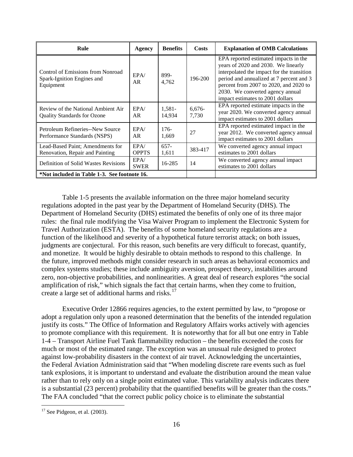| Rule                                                                         | Agency               | <b>Benefits</b>  | <b>Costs</b>    | <b>Explanation of OMB Calculations</b>                                                                                                                                                                                                                                                   |
|------------------------------------------------------------------------------|----------------------|------------------|-----------------|------------------------------------------------------------------------------------------------------------------------------------------------------------------------------------------------------------------------------------------------------------------------------------------|
| Control of Emissions from Nonroad<br>Spark-Ignition Engines and<br>Equipment | EPA/<br>AR           | 899-<br>4.762    | 196-200         | EPA reported estimated impacts in the<br>years of 2020 and 2030. We linearly<br>interpolated the impact for the transition<br>period and annualized at 7 percent and 3<br>percent from 2007 to 2020, and 2020 to<br>2030. We converted agency annual<br>impact estimates to 2001 dollars |
| Review of the National Ambient Air<br><b>Quality Standards for Ozone</b>     | EPA/<br>AR           | 1,581-<br>14,934 | 6,676-<br>7.730 | EPA reported estimate impacts in the<br>year 2020. We converted agency annual<br>impact estimates to 2001 dollars                                                                                                                                                                        |
| Petroleum Refineries--New Source<br>Performance Standards (NSPS)             | EPA/<br>AR.          | $176-$<br>1,669  | 27              | EPA reported estimated impact in the<br>year 2012. We converted agency annual<br>impact estimates to 2001 dollars                                                                                                                                                                        |
| Lead-Based Paint; Amendments for<br>Renovation, Repair and Painting          | EPA/<br><b>OPPTS</b> | $657-$<br>1,611  | 383-417         | We converted agency annual impact<br>estimates to 2001 dollars                                                                                                                                                                                                                           |
| <b>Definition of Solid Wastes Revisions</b>                                  | EPA/<br><b>SWER</b>  | 16-285           | 14              | We converted agency annual impact<br>estimates to 2001 dollars                                                                                                                                                                                                                           |
| *Not included in Table 1-3. See footnote 16.                                 |                      |                  |                 |                                                                                                                                                                                                                                                                                          |

Table 1-5 presents the available information on the three major homeland security regulations adopted in the past year by the Department of Homeland Security (DHS). The Department of Homeland Security (DHS) estimated the benefits of only one of its three major rules: the final rule modifying the Visa Waiver Program to implement the Electronic System for Travel Authorization (ESTA). The benefits of some homeland security regulations are a function of the likelihood and severity of a hypothetical future terrorist attack; on both issues, judgments are conjectural. For this reason, such benefits are very difficult to forecast, quantify, and monetize. It would be highly desirable to obtain methods to respond to this challenge. In the future, improved methods might consider research in such areas as behavioral economics and complex systems studies; these include ambiguity aversion, prospect theory, instabilities around zero, non-objective probabilities, and nonlinearities. A great deal of research explores "the social amplification of risk," which signals the fact that certain harms, when they come to fruition, create a large set of additional harms and risks.[17](#page-16-0)

Executive Order 12866 requires agencies, to the extent permitted by law, to "propose or adopt a regulation only upon a reasoned determination that the benefits of the intended regulation justify its costs." The Office of Information and Regulatory Affairs works actively with agencies to promote compliance with this requirement. It is noteworthy that for all but one entry in Table 1-4 – Transport Airline Fuel Tank flammability reduction – the benefits exceeded the costs for much or most of the estimated range. The exception was an unusual rule designed to protect against low-probability disasters in the context of air travel. Acknowledging the uncertainties, the Federal Aviation Administration said that "When modeling discrete rare events such as fuel tank explosions, it is important to understand and evaluate the distribution around the mean value rather than to rely only on a single point estimated value. This variability analysis indicates there is a substantial (23 percent) probability that the quantified benefits will be greater than the costs." The FAA concluded "that the correct public policy choice is to eliminate the substantial

<span id="page-16-0"></span> $17$  See Pidgeon, et al. (2003).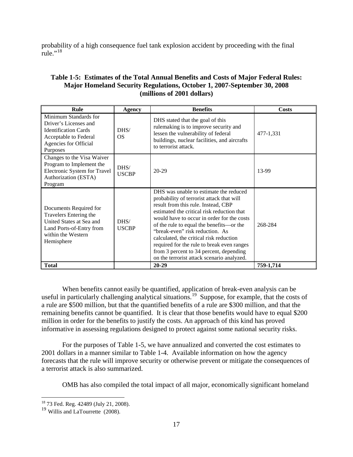probability of a high consequence fuel tank explosion accident by proceeding with the final rule." $^{18}$  $^{18}$  $^{18}$ 

## **Table 1-5: Estimates of the Total Annual Benefits and Costs of Major Federal Rules: Major Homeland Security Regulations, October 1, 2007-September 30, 2008 (millions of 2001 dollars)**

| Rule                                                                                                                                         | Agency                  | <b>Benefits</b>                                                                                                                                                                                                                                                                                                                                                                                                                                                                         | Costs     |
|----------------------------------------------------------------------------------------------------------------------------------------------|-------------------------|-----------------------------------------------------------------------------------------------------------------------------------------------------------------------------------------------------------------------------------------------------------------------------------------------------------------------------------------------------------------------------------------------------------------------------------------------------------------------------------------|-----------|
| Minimum Standards for<br>Driver's Licenses and<br><b>Identification Cards</b><br>Acceptable to Federal<br>Agencies for Official<br>Purposes  | DHS/<br>OS.             | DHS stated that the goal of this<br>rulemaking is to improve security and<br>lessen the vulnerability of federal<br>buildings, nuclear facilities, and aircrafts<br>to terrorist attack.                                                                                                                                                                                                                                                                                                | 477-1,331 |
| Changes to the Visa Waiver<br>Program to Implement the<br>Electronic System for Travel<br>Authorization (ESTA)<br>Program                    | DHS/<br><b>USCBP</b>    | $20 - 29$                                                                                                                                                                                                                                                                                                                                                                                                                                                                               | 13-99     |
| Documents Required for<br>Travelers Entering the<br>United States at Sea and<br>Land Ports-of-Entry from<br>within the Western<br>Hemisphere | $D$ HS/<br><b>USCBP</b> | DHS was unable to estimate the reduced<br>probability of terrorist attack that will<br>result from this rule. Instead, CBP<br>estimated the critical risk reduction that<br>would have to occur in order for the costs<br>of the rule to equal the benefits—or the<br>"break-even" risk reduction. As<br>calculated, the critical risk reduction<br>required for the rule to break even ranges<br>from 3 percent to 34 percent, depending<br>on the terrorist attack scenario analyzed. | 268-284   |
| <b>Total</b>                                                                                                                                 |                         | $20 - 29$                                                                                                                                                                                                                                                                                                                                                                                                                                                                               | 759-1,714 |

When benefits cannot easily be quantified, application of break-even analysis can be useful in particularly challenging analytical situations.<sup>[19](#page-17-1)</sup> Suppose, for example, that the costs of a rule are \$500 million, but that the quantified benefits of a rule are \$300 million, and that the remaining benefits cannot be quantified. It is clear that those benefits would have to equal \$200 million in order for the benefits to justify the costs. An approach of this kind has proved informative in assessing regulations designed to protect against some national security risks.

For the purposes of Table 1-5, we have annualized and converted the cost estimates to 2001 dollars in a manner similar to Table 1-4. Available information on how the agency forecasts that the rule will improve security or otherwise prevent or mitigate the consequences of a terrorist attack is also summarized.

OMB has also compiled the total impact of all major, economically significant homeland

<span id="page-17-0"></span><sup>&</sup>lt;sup>18</sup> 73 Fed. Reg. 42489 (July 21, 2008).

<span id="page-17-1"></span><sup>&</sup>lt;sup>19</sup> Willis and LaTourrette (2008).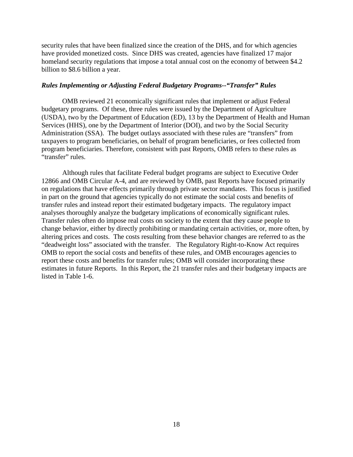security rules that have been finalized since the creation of the DHS, and for which agencies have provided monetized costs. Since DHS was created, agencies have finalized 17 major homeland security regulations that impose a total annual cost on the economy of between \$4.2 billion to \$8.6 billion a year.

## *Rules Implementing or Adjusting Federal Budgetary Programs--"Transfer" Rules*

OMB reviewed 21 economically significant rules that implement or adjust Federal budgetary programs. Of these, three rules were issued by the Department of Agriculture (USDA), two by the Department of Education (ED), 13 by the Department of Health and Human Services (HHS), one by the Department of Interior (DOI), and two by the Social Security Administration (SSA). The budget outlays associated with these rules are "transfers" from taxpayers to program beneficiaries, on behalf of program beneficiaries, or fees collected from program beneficiaries. Therefore, consistent with past Reports, OMB refers to these rules as "transfer" rules.

Although rules that facilitate Federal budget programs are subject to Executive Order 12866 and OMB Circular A-4, and are reviewed by OMB, past Reports have focused primarily on regulations that have effects primarily through private sector mandates. This focus is justified in part on the ground that agencies typically do not estimate the social costs and benefits of transfer rules and instead report their estimated budgetary impacts. The regulatory impact analyses thoroughly analyze the budgetary implications of economically significant rules. Transfer rules often do impose real costs on society to the extent that they cause people to change behavior, either by directly prohibiting or mandating certain activities, or, more often, by altering prices and costs. The costs resulting from these behavior changes are referred to as the "deadweight loss" associated with the transfer. The Regulatory Right-to-Know Act requires OMB to report the social costs and benefits of these rules, and OMB encourages agencies to report these costs and benefits for transfer rules; OMB will consider incorporating these estimates in future Reports. In this Report, the 21 transfer rules and their budgetary impacts are listed in Table 1-6.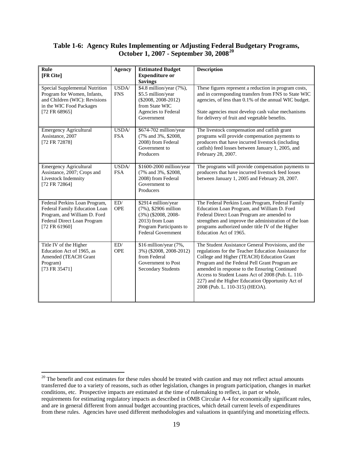## **Table 1-6: Agency Rules Implementing or Adjusting Federal Budgetary Programs, October 1, 2007 - September 30, 2008[20](#page-19-0)**

| Rule<br>[FR Cite]                                                                                                                              | <b>Agency</b>       | <b>Estimated Budget</b><br><b>Expenditure or</b><br><b>Savings</b>                                                                               | <b>Description</b>                                                                                                                                                                                                                                                                                                                                                                                     |
|------------------------------------------------------------------------------------------------------------------------------------------------|---------------------|--------------------------------------------------------------------------------------------------------------------------------------------------|--------------------------------------------------------------------------------------------------------------------------------------------------------------------------------------------------------------------------------------------------------------------------------------------------------------------------------------------------------------------------------------------------------|
| Special Supplemental Nutrition<br>Program for Women, Infants,<br>and Children (WIC): Revisions<br>in the WIC Food Packages<br>[72 FR 68965]    | USDA/<br><b>FNS</b> | \$4.8 million/year (7%),<br>\$5.5 million/year<br>$(\$2008, 2008-2012)$<br>from State WIC<br>Agencies to Federal<br>Government                   | These figures represent a reduction in program costs,<br>and in corresponding transfers from FNS to State WIC<br>agencies, of less than 0.1% of the annual WIC budget.<br>State agencies must develop cash value mechanisms<br>for delivery of fruit and vegetable benefits.                                                                                                                           |
| <b>Emergency Agricultural</b><br>Assistance, 2007<br>[72 FR 72878]                                                                             | USDA/<br><b>FSA</b> | \$674-702 million/year<br>(7% and 3%, \$2008,<br>2008) from Federal<br>Government to<br>Producers                                                | The livestock compensation and catfish grant<br>programs will provide compensation payments to<br>producers that have incurred livestock (including<br>catfish) feed losses between January 1, 2005, and<br>February 28, 2007.                                                                                                                                                                         |
| <b>Emergency Agricultural</b><br>Assistance, 2007; Crops and<br>Livestock Indemnity<br>[72 FR 72864]                                           | USDA/<br><b>FSA</b> | \$1600-2000 million/year<br>(7% and 3%, \$2008,<br>2008) from Federal<br>Government to<br>Producers                                              | The programs will provide compensation payments to<br>producers that have incurred livestock feed losses<br>between January 1, 2005 and February 28, 2007.                                                                                                                                                                                                                                             |
| Federal Perkins Loan Program,<br>Federal Family Education Loan<br>Program, and William D. Ford<br>Federal Direct Loan Program<br>[72 FR 61960] | ED/<br><b>OPE</b>   | \$2914 million/year<br>(7%), \$2906 million<br>$(3\%)$ (\$2008, 2008-<br>2013) from Loan<br>Program Participants to<br><b>Federal Government</b> | The Federal Perkins Loan Program, Federal Family<br>Education Loan Program, and William D. Ford<br>Federal Direct Loan Program are amended to<br>strengthen and improve the administration of the loan<br>programs authorized under title IV of the Higher<br>Education Act of 1965.                                                                                                                   |
| Title IV of the Higher<br>Education Act of 1965, as<br>Amended (TEACH Grant<br>Program)<br>[73 FR 35471]                                       | ED/<br><b>OPE</b>   | \$16 million/year (7%,<br>3%) (\$2008, 2008-2012)<br>from Federal<br>Government to Post<br><b>Secondary Students</b>                             | The Student Assistance General Provisions, and the<br>regulations for the Teacher Education Assistance for<br>College and Higher (TEACH) Education Grant<br>Program and the Federal Pell Grant Program are<br>amended in response to the Ensuring Continued<br>Access to Student Loans Act of 2008 (Pub. L. 110-<br>227) and the Higher Education Opportunity Act of<br>2008 (Pub. L. 110-315) (HEOA). |

<span id="page-19-0"></span> $20$  The benefit and cost estimates for these rules should be treated with caution and may not reflect actual amounts transferred due to a variety of reasons, such as other legislation, changes in program participation, changes in market conditions, etc. Prospective impacts are estimated at the time of rulemaking to reflect, in part or whole, requirements for estimating regulatory impacts as described in OMB Circular A-4 for economically significant rules, and are in general different from annual budget accounting practices, which detail current levels of expenditures from these rules. Agencies have used different methodologies and valuations in quantifying and monetizing effects.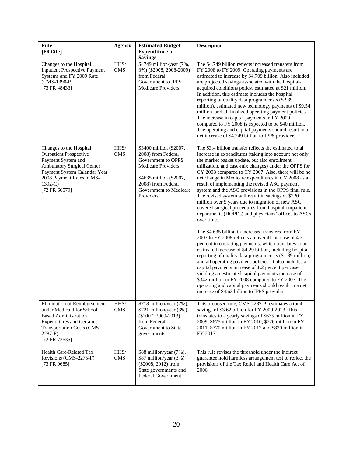| Rule<br>[FR Cite]                                                                                                                                                                                            | Agency                   | <b>Estimated Budget</b><br><b>Expenditure or</b><br><b>Savings</b>                                                                                                                       | <b>Description</b>                                                                                                                                                                                                                                                                                                                                                                                                                                                                                                                                                                                                                                                                                                                                                                                                                                                                                                                                                                                                                                                                                                                                                                                                                                                                                                              |  |
|--------------------------------------------------------------------------------------------------------------------------------------------------------------------------------------------------------------|--------------------------|------------------------------------------------------------------------------------------------------------------------------------------------------------------------------------------|---------------------------------------------------------------------------------------------------------------------------------------------------------------------------------------------------------------------------------------------------------------------------------------------------------------------------------------------------------------------------------------------------------------------------------------------------------------------------------------------------------------------------------------------------------------------------------------------------------------------------------------------------------------------------------------------------------------------------------------------------------------------------------------------------------------------------------------------------------------------------------------------------------------------------------------------------------------------------------------------------------------------------------------------------------------------------------------------------------------------------------------------------------------------------------------------------------------------------------------------------------------------------------------------------------------------------------|--|
| Changes to the Hospital<br><b>Inpatient Prospective Payment</b><br>Systems and FY 2009 Rate<br>$(CMS-1390-P)$<br>[73 FR 48433]                                                                               | $\rm HHS/$<br><b>CMS</b> | \$4749 million/year (7%,<br>3%) (\$2008, 2008-2009)<br>from Federal<br>Government to IPPS<br><b>Medicare Providers</b>                                                                   | The \$4.749 billion reflects increased transfers from<br>FY 2008 to FY 2009. Operating payments are<br>estimated to increase by \$4.709 billion. Also included<br>are projected savings associated with the hospital-<br>acquired conditions policy, estimated at \$21 million.<br>In addition, this estimate includes the hospital<br>reporting of quality data program costs (\$2.39)<br>million), estimated new technology payments of \$9.54<br>million, and all finalized operating payment policies.<br>The increase in capital payments in FY 2009<br>compared to FY 2008 is expected to be \$40 million.<br>The operating and capital payments should result in a<br>net increase of \$4.749 billion to IPPS providers.                                                                                                                                                                                                                                                                                                                                                                                                                                                                                                                                                                                                 |  |
| Changes to the Hospital<br><b>Outpatient Prospective</b><br>Payment System and<br><b>Ambulatory Surgical Center</b><br>Payment System Calendar Year<br>2008 Payment Rates (CMS-<br>$1392-C$<br>[72 FR 66579] | $\rm HHS/$<br><b>CMS</b> | \$3400 million (\$2007,<br>2008) from Federal<br>Government to OPPS<br><b>Medicare Providers</b><br>\$4635 million (\$2007,<br>2008) from Federal<br>Government to Medicare<br>Providers | The \$3.4 billion transfer reflects the estimated total<br>increase in expenditures (taking into account not only<br>the market basket update, but also enrollment,<br>utilization, and case-mix changes) under the OPPS for<br>CY 2008 compared to CY 2007. Also, there will be no<br>net change in Medicare expenditures in CY 2008 as a<br>result of implementing the revised ASC payment<br>system and the ASC provisions in the OPPS final rule.<br>The revised system will result in savings of \$220<br>million over 5 years due to migration of new ASC<br>covered surgical procedures from hospital outpatient<br>departments (HOPDs) and physicians' offices to ASCs<br>over time.<br>The \$4.635 billion in increased transfers from FY<br>2007 to FY 2008 reflects an overall increase of 4.3<br>percent in operating payments, which translates to an<br>estimated increase of \$4.29 billion, including hospital<br>reporting of quality data program costs (\$1.89 million)<br>and all operating payment policies. It also includes a<br>capital payments increase of 1.2 percent per case,<br>yielding an estimated capital payments increase of<br>\$342 million in FY 2008 compared to FY 2007. The<br>operating and capital payments should result in a net<br>increase of \$4.63 billion to IPPS providers. |  |
| Elimination of Reimbursement<br>under Medicaid for School-<br><b>Based Administration</b><br><b>Expenditures and Certain</b><br><b>Transportation Costs (CMS-</b><br>$2287-F$ )<br>[72 FR 73635]             | $\rm HHS/$<br><b>CMS</b> | \$718 million/year (7%),<br>$$721$ million/year (3%)<br>$(\$2007, 2009-2013)$<br>from Federal<br>Government to State<br>governments                                                      | This proposed rule, CMS-2287-P, estimates a total<br>savings of \$3.62 billion for FY 2009-2013. This<br>translates to a yearly savings of \$635 million in FY<br>2009, \$675 million in FY 2010, \$720 million in FY<br>2011, \$770 million in FY 2012 and \$820 million in<br>FY 2013.                                                                                                                                                                                                                                                                                                                                                                                                                                                                                                                                                                                                                                                                                                                                                                                                                                                                                                                                                                                                                                        |  |
| Health Care-Related Tax<br>Revisions (CMS-2275-F)<br>[73 FR 9685]                                                                                                                                            | HHS/<br><b>CMS</b>       | \$88 million/year (7%),<br>\$87 million/year (3%)<br>(\$2008, 2012) from<br>State governments and<br><b>Federal Government</b>                                                           | This rule revises the threshold under the indirect<br>guarantee hold harmless arrangement test to reflect the<br>provisions of the Tax Relief and Health Care Act of<br>2006.                                                                                                                                                                                                                                                                                                                                                                                                                                                                                                                                                                                                                                                                                                                                                                                                                                                                                                                                                                                                                                                                                                                                                   |  |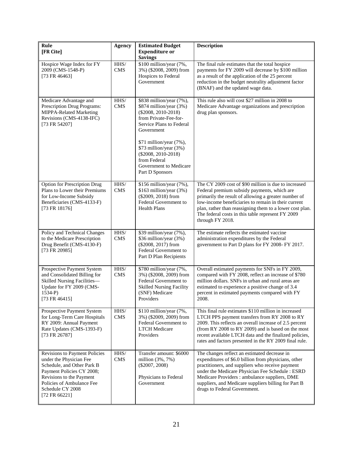| Rule<br>[FR Cite]                                                                                                                                                                                                   | <b>Agency</b>      | <b>Estimated Budget</b><br><b>Expenditure or</b><br><b>Savings</b>                                                                                                                                                                                                                         | <b>Description</b>                                                                                                                                                                                                                                                                                                                                      |  |
|---------------------------------------------------------------------------------------------------------------------------------------------------------------------------------------------------------------------|--------------------|--------------------------------------------------------------------------------------------------------------------------------------------------------------------------------------------------------------------------------------------------------------------------------------------|---------------------------------------------------------------------------------------------------------------------------------------------------------------------------------------------------------------------------------------------------------------------------------------------------------------------------------------------------------|--|
| Hospice Wage Index for FY<br>2009 (CMS-1548-P)<br>[73 FR 46463]                                                                                                                                                     | HHS/<br><b>CMS</b> | \$100 million/year (7%,<br>3%) (\$2008, 2009) from<br>Hospices to Federal<br>Government                                                                                                                                                                                                    | The final rule estimates that the total hospice<br>payments for FY 2009 will decrease by \$100 million<br>as a result of the application of the 25 percent<br>reduction in the budget neutrality adjustment factor<br>(BNAF) and the updated wage data.                                                                                                 |  |
| Medicare Advantage and<br>Prescription Drug Programs:<br>MIPPA-Related Marketing<br>Revisions (CMS-4138-IFC)<br>[73 FR 54207]                                                                                       | HHS/<br><b>CMS</b> | \$838 million/year (7%),<br>\$874 million/year (3%)<br>$(\$2008, 2010-2018)$<br>from Private-Fee-for-<br>Service Plans to Federal<br>Government<br>\$71 million/year (7%),<br>\$73 million/year (3%)<br>$(\$2008, 2010-2018)$<br>from Federal<br>Government to Medicare<br>Part D Sponsors | This rule also will cost \$27 million in 2008 to<br>Medicare Advantage organizations and prescription<br>drug plan sponsors.                                                                                                                                                                                                                            |  |
| Option for Prescription Drug<br>Plans to Lower their Premiums<br>for Low-Income Subsidy<br>Beneficiaries (CMS-4133-F)<br>[73 FR 18176]                                                                              | HHS/<br><b>CMS</b> | \$156 million/year (7%),<br>\$163 million/year (3%)<br>(\$2009, 2018) from<br>Federal Government to<br><b>Health Plans</b>                                                                                                                                                                 | The CY 2009 cost of \$90 million is due to increased<br>Federal premium subsidy payments, which are<br>primarily the result of allowing a greater number of<br>low-income beneficiaries to remain in their current<br>plan, rather than reassigning them to a lower cost plan.<br>The federal costs in this table represent FY 2009<br>through FY 2018. |  |
| Policy and Technical Changes<br>to the Medicare Prescription<br>Drug Benefit (CMS-4130-F)<br>[73 FR 20985]                                                                                                          | HHS/<br><b>CMS</b> | \$39 million/year (7%),<br>\$36 million/year (3%)<br>(\$2008, 2017) from<br>Federal Government to<br>Part D Plan Recipients                                                                                                                                                                | The estimate reflects the estimated vaccine<br>administration expenditures by the Federal<br>government to Part D plans for FY 2008- FY 2017.                                                                                                                                                                                                           |  |
| Prospective Payment System<br>and Consolidated Billing for<br>Skilled Nursing Facilities-<br>Update for FY 2009 (CMS-<br>$1534-P$ )<br>[73 FR 46415]                                                                | HHS/<br><b>CMS</b> | \$780 million/year (7%,<br>3%) (\$2008, 2009) from<br>Federal Government to<br><b>Skilled Nursing Facility</b><br>(SNF) Medicare<br>Providers                                                                                                                                              | Overall estimated payments for SNFs in FY 2009,<br>compared with FY 2008, reflect an increase of \$780<br>million dollars. SNFs in urban and rural areas are<br>estimated to experience a positive change of 3.4<br>percent in estimated payments compared with FY<br>2008.                                                                             |  |
| Prospective Payment System<br>for Long-Term Care Hospitals<br>RY 2009: Annual Payment<br>Rate Updates (CMS-1393-F)<br>[73 FR 26787]                                                                                 | HHS/<br><b>CMS</b> | \$110 million/year (7%,<br>3%) (\$2009, 2009) from<br>Federal Government to<br><b>LTCH Medicare</b><br>Providers                                                                                                                                                                           | This final rule estimates \$110 million in increased<br>LTCH PPS payment transfers from RY 2008 to RY<br>2009. This reflects an overall increase of 2.5 percent<br>(from RY 2008 to RY 2009) and is based on the most<br>recent available LTCH data and the finalized policies,<br>rates and factors presented in the RY 2009 final rule.               |  |
| Revisions to Payment Policies<br>under the Physician Fee<br>Schedule, and Other Park B<br>Payment Policies CY 2008;<br>Revisions to the Payment<br>Policies of Ambulance Fee<br>Schedule CY 2008<br>$[72$ FR 66221] | HHS/<br>$\rm CMS$  | Transfer amount: \$6000<br>million $(3\%, 7\%)$<br>$(\$2007, 2008)$<br>Physicians to Federal<br>Government                                                                                                                                                                                 | The changes reflect an estimated decrease in<br>expenditures of \$6.0 billion from physicians, other<br>practitioners, and suppliers who receive payment<br>under the Medicare Physician Fee Schedule : ESRD<br>Medicare Providers: ambulance suppliers, DME<br>suppliers, and Medicare suppliers billing for Part B<br>drugs to Federal Government.    |  |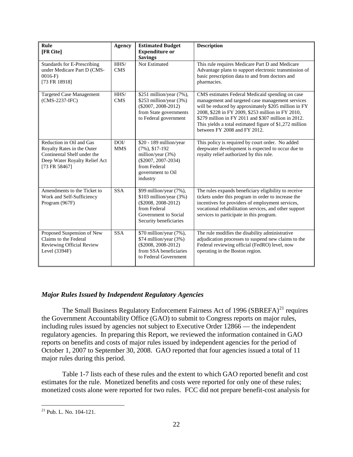| Rule<br>[FR Cite]                                                                                                                       | <b>Agency</b>      | <b>Estimated Budget</b><br><b>Expenditure or</b><br><b>Savings</b>                                                                             | <b>Description</b>                                                                                                                                                                                                                                                                                                                                                 |
|-----------------------------------------------------------------------------------------------------------------------------------------|--------------------|------------------------------------------------------------------------------------------------------------------------------------------------|--------------------------------------------------------------------------------------------------------------------------------------------------------------------------------------------------------------------------------------------------------------------------------------------------------------------------------------------------------------------|
| <b>Standards for E-Prescribing</b><br>under Medicare Part D (CMS-<br>$0016-F$<br>[73 FR 18918]                                          | HHS/<br><b>CMS</b> | Not Estimated                                                                                                                                  | This rule requires Medicare Part D and Medicare<br>Advantage plans to support electronic transmission of<br>basic prescription data to and from doctors and<br>pharmacies.                                                                                                                                                                                         |
| <b>Targeted Case Management</b><br>(CMS-2237-IFC)                                                                                       | HHS/<br><b>CMS</b> | \$251 million/year (7%),<br>\$253 million/year (3%)<br>$(\$2007, 2008-2012)$<br>from State governments<br>to Federal government                | CMS estimates Federal Medicaid spending on case<br>management and targeted case management services<br>will be reduced by approximately \$205 million in FY<br>2008, \$228 in FY 2009, \$253 million in FY 2010,<br>\$279 million in FY 2011 and \$307 million in 2012.<br>This yields a total estimated figure of \$1,272 million<br>between FY 2008 and FY 2012. |
| Reduction in Oil and Gas<br>Royalty Rates in the Outer<br>Continental Shelf under the<br>Deep Water Royalty Relief Act<br>[73 FR 58467] | DOI/<br><b>MMS</b> | \$20 - 189 million/year<br>$(7\%)$ , \$17-192<br>million/year $(3%)$<br>$(\$2007, 2007-2034)$<br>from Federal<br>government to Oil<br>industry | This policy is required by court order. No added<br>deepwater development is expected to occur due to<br>royalty relief authorized by this rule.                                                                                                                                                                                                                   |
| Amendments to the Ticket to<br>Work and Self-Sufficiency<br>Program (967F)                                                              | <b>SSA</b>         | \$99 million/year (7%),<br>\$103 million/year (3%)<br>$(\$2008, 2008-2012)$<br>from Federal<br>Government to Social<br>Security beneficiaries  | The rules expands beneficiary eligibility to receive<br>tickets under this program in order to increase the<br>incentives for providers of employment services,<br>vocational rehabilitation services, and other support<br>services to participate in this program.                                                                                               |
| Proposed Suspension of New<br>Claims to the Federal<br>Reviewing Official Review<br>Level $(3394F)$                                     | <b>SSA</b>         | \$70 million/year (7%),<br>\$74 million/year (3%)<br>$(\$2008, 2008-2012)$<br>from SSA beneficiaries<br>to Federal Government                  | The rule modifies the disability administrative<br>adjudication processes to suspend new claims to the<br>Federal reviewing official (FedRO) level, now<br>operating in the Boston region.                                                                                                                                                                         |

## *Major Rules Issued by Independent Regulatory Agencies*

The Small Business Regulatory Enforcement Fairness Act of 1996  $(SBREFA)^{21}$  requires the Government Accountability Office (GAO) to submit to Congress reports on major rules, including rules issued by agencies not subject to Executive Order 12866 — the independent regulatory agencies. In preparing this Report, we reviewed the information contained in GAO reports on benefits and costs of major rules issued by independent agencies for the period of October 1, 2007 to September 30, 2008. GAO reported that four agencies issued a total of 11 major rules during this period.

Table 1-7 lists each of these rules and the extent to which GAO reported benefit and cost estimates for the rule. Monetized benefits and costs were reported for only one of these rules; monetized costs alone were reported for two rules. FCC did not prepare benefit-cost analysis for

<span id="page-22-0"></span> $\overline{a}$  $21$  Pub. L. No. 104-121.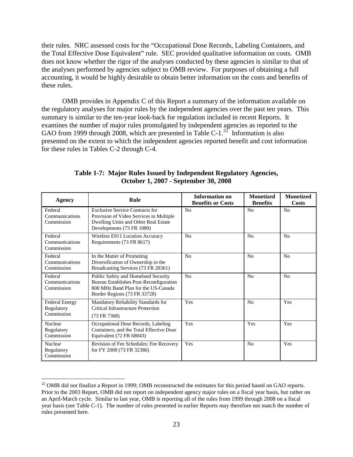their rules. NRC assessed costs for the "Occupational Dose Records, Labeling Containers, and the Total Effective Dose Equivalent" rule. SEC provided qualitative information on costs. OMB does not know whether the rigor of the analyses conducted by these agencies is similar to that of the analyses performed by agencies subject to OMB review. For purposes of obtaining a full accounting, it would be highly desirable to obtain better information on the costs and benefits of these rules.

OMB provides in Appendix C of this Report a summary of the information available on the regulatory analyses for major rules by the independent agencies over the past ten years. This summary is similar to the ten-year look-back for regulation included in recent Reports. It examines the number of major rules promulgated by independent agencies as reported to the GAO from 1999 through 2008, which are presented in Table C-1.<sup>[22](#page-23-0)</sup> Information is also presented on the extent to which the independent agencies reported benefit and cost information for these rules in Tables C-2 through C-4.

| Agency                                            | Rule                                                                                                                                                   | <b>Information on</b><br><b>Benefits or Costs</b> | <b>Monetized</b><br><b>Benefits</b> | <b>Monetized</b><br>Costs |
|---------------------------------------------------|--------------------------------------------------------------------------------------------------------------------------------------------------------|---------------------------------------------------|-------------------------------------|---------------------------|
| Federal<br>Communications<br>Commission           | <b>Exclusive Service Contracts for</b><br>Provision of Video Services in Multiple<br>Dwelling Units and Other Real Estate<br>Developments (73 FR 1080) | N <sub>0</sub>                                    | No                                  | No                        |
| Federal<br>Communications<br>Commission           | Wireless E911 Location Accuracy<br>Requirements (73 FR 8617)                                                                                           | N <sub>0</sub>                                    | N <sub>0</sub>                      | N <sub>o</sub>            |
| Federal<br>Communications<br>Commission           | In the Matter of Promoting<br>Diversification of Ownership in the<br>Broadcasting Services (73 FR 28361)                                               | N <sub>0</sub>                                    | N <sub>0</sub>                      | N <sub>o</sub>            |
| Federal<br>Communications<br>Commission           | Public Safety and Homeland Security<br>Bureau Establishes Post-Reconfiguration<br>800 MHz Band Plan for the US-Canada<br>Border Regions (73 FR 33728)  | N <sub>0</sub>                                    | N <sub>0</sub>                      | No                        |
| <b>Federal Energy</b><br>Regulatory<br>Commission | Mandatory Reliability Standards for<br><b>Critical Infrastructure Protection</b><br>(73 FR 7368)                                                       | Yes                                               | N <sub>0</sub>                      | Yes                       |
| Nuclear<br>Regulatory<br>Commission               | Occupational Dose Records, Labeling<br>Containers, and the Total Effective Dose<br>Equivalent (72 FR 68043)                                            | Yes                                               | Yes                                 | Yes                       |
| Nuclear<br>Regulatory<br>Commission               | Revision of Fee Schedules; Fee Recovery<br>for FY 2008 (73 FR 32386)                                                                                   | Yes                                               | N <sub>0</sub>                      | Yes                       |

**Table 1-7: Major Rules Issued by Independent Regulatory Agencies, October 1, 2007 - September 30, 2008** 

<span id="page-23-0"></span> $^{22}$  OMB did not finalize a Report in 1999; OMB reconstructed the estimates for this period based on GAO reports. Prior to the 2003 Report, OMB did not report on independent agency major rules on a fiscal year basis, but rather on an April-March cycle. Similar to last year, OMB is reporting all of the rules from 1999 through 2008 on a fiscal year basis (see Table C-1). The number of rules presented in earlier Reports may therefore not match the number of rules presented here.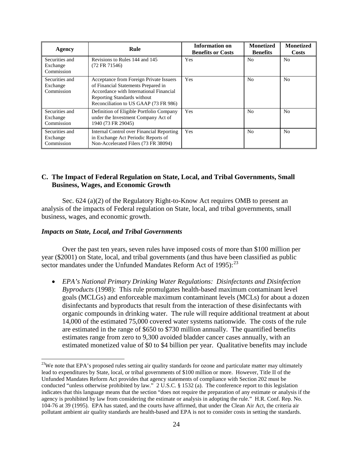| Agency                                   | Rule                                                                                                                                                                                              | <b>Information on</b><br><b>Benefits or Costs</b> | <b>Monetized</b><br><b>Benefits</b> | <b>Monetized</b><br>Costs |
|------------------------------------------|---------------------------------------------------------------------------------------------------------------------------------------------------------------------------------------------------|---------------------------------------------------|-------------------------------------|---------------------------|
| Securities and<br>Exchange<br>Commission | Revisions to Rules 144 and 145<br>(72 FR 71546)                                                                                                                                                   | Yes                                               | N <sub>0</sub>                      | N <sub>o</sub>            |
| Securities and<br>Exchange<br>Commission | Acceptance from Foreign Private Issuers<br>of Financial Statements Prepared in<br>Accordance with International Financial<br>Reporting Standards without<br>Reconciliation to US GAAP (73 FR 986) | Yes                                               | N <sub>0</sub>                      | N <sub>0</sub>            |
| Securities and<br>Exchange<br>Commission | Definition of Eligible Portfolio Company<br>under the Investment Company Act of<br>1940 (73 FR 29045)                                                                                             | Yes                                               | N <sub>0</sub>                      | N <sub>0</sub>            |
| Securities and<br>Exchange<br>Commission | Internal Control over Financial Reporting<br>in Exchange Act Periodic Reports of<br>Non-Accelerated Filers (73 FR 38094)                                                                          | Yes                                               | N <sub>0</sub>                      | N <sub>0</sub>            |

## **C. The Impact of Federal Regulation on State, Local, and Tribal Governments, Small Business, Wages, and Economic Growth**

Sec. 624 (a)(2) of the Regulatory Right-to-Know Act requires OMB to present an analysis of the impacts of Federal regulation on State, local, and tribal governments, small business, wages, and economic growth.

## *Impacts on State, Local, and Tribal Governments*

 $\overline{a}$ 

Over the past ten years, seven rules have imposed costs of more than \$100 million per year (\$2001) on State, local, and tribal governments (and thus have been classified as public sector mandates under the Unfunded Mandates Reform Act of  $1995$ :  $^{23}$ 

• *EPA's National Primary Drinking Water Regulations: Disinfectants and Disinfection Byproducts* (1998): This rule promulgates health-based maximum contaminant level goals (MCLGs) and enforceable maximum contaminant levels (MCLs) for about a dozen disinfectants and byproducts that result from the interaction of these disinfectants with organic compounds in drinking water. The rule will require additional treatment at about 14,000 of the estimated 75,000 covered water systems nationwide. The costs of the rule are estimated in the range of \$650 to \$730 million annually. The quantified benefits estimates range from zero to 9,300 avoided bladder cancer cases annually, with an estimated monetized value of \$0 to \$4 billion per year. Qualitative benefits may include

<span id="page-24-0"></span> $^{23}$ We note that EPA's proposed rules setting air quality standards for ozone and particulate matter may ultimately lead to expenditures by State, local, or tribal governments of \$100 million or more. However, Title II of the Unfunded Mandates Reform Act provides that agency statements of compliance with Section 202 must be conducted "unless otherwise prohibited by law." 2 U.S.C. § 1532 (a). The conference report to this legislation indicates that this language means that the section "does not require the preparation of any estimate or analysis if the agency is prohibited by law from considering the estimate or analysis in adopting the rule." H.R. Conf. Rep. No. 104-76 at 39 (1995). EPA has stated, and the courts have affirmed, that under the Clean Air Act, the criteria air pollutant ambient air quality standards are health-based and EPA is not to consider costs in setting the standards.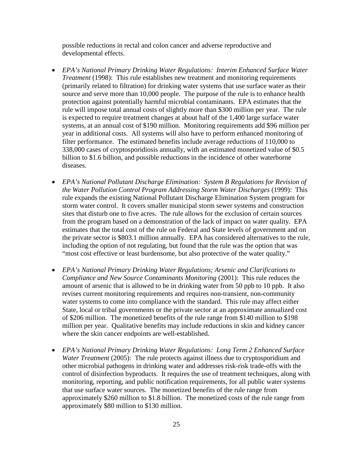possible reductions in rectal and colon cancer and adverse reproductive and developmental effects.

- *EPA's National Primary Drinking Water Regulations: Interim Enhanced Surface Water Treatment* (1998): This rule establishes new treatment and monitoring requirements (primarily related to filtration) for drinking water systems that use surface water as their source and serve more than 10,000 people. The purpose of the rule is to enhance health protection against potentially harmful microbial contaminants. EPA estimates that the rule will impose total annual costs of slightly more than \$300 million per year. The rule is expected to require treatment changes at about half of the 1,400 large surface water systems, at an annual cost of \$190 million. Monitoring requirements add \$96 million per year in additional costs. All systems will also have to perform enhanced monitoring of filter performance. The estimated benefits include average reductions of 110,000 to 338,000 cases of cryptosporidiosis annually, with an estimated monetized value of \$0.5 billion to \$1.6 billion, and possible reductions in the incidence of other waterborne diseases.
- *EPA's National Pollutant Discharge Elimination: System B Regulations for Revision of the Water Pollution Control Program Addressing Storm Water Discharges* (1999): This rule expands the existing National Pollutant Discharge Elimination System program for storm water control. It covers smaller municipal storm sewer systems and construction sites that disturb one to five acres. The rule allows for the exclusion of certain sources from the program based on a demonstration of the lack of impact on water quality. EPA estimates that the total cost of the rule on Federal and State levels of government and on the private sector is \$803.1 million annually. EPA has considered alternatives to the rule, including the option of not regulating, but found that the rule was the option that was "most cost effective or least burdensome, but also protective of the water quality."
- *EPA's National Primary Drinking Water Regulations; Arsenic and Clarifications to Compliance and New Source Contaminants Monitoring* (2001): This rule reduces the amount of arsenic that is allowed to be in drinking water from 50 ppb to 10 ppb. It also revises current monitoring requirements and requires non-transient, non-community water systems to come into compliance with the standard. This rule may affect either State, local or tribal governments or the private sector at an approximate annualized cost of \$206 million. The monetized benefits of the rule range from \$140 million to \$198 million per year. Qualitative benefits may include reductions in skin and kidney cancer where the skin cancer endpoints are well-established.
- *EPA's National Primary Drinking Water Regulations: Long Term 2 Enhanced Surface Water Treatment* (2005): The rule protects against illness due to cryptosporidium and other microbial pathogens in drinking water and addresses risk-risk trade-offs with the control of disinfection byproducts. It requires the use of treatment techniques, along with monitoring, reporting, and public notification requirements, for all public water systems that use surface water sources. The monetized benefits of the rule range from approximately \$260 million to \$1.8 billion. The monetized costs of the rule range from approximately \$80 million to \$130 million.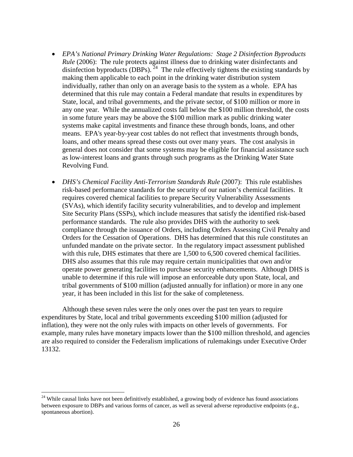- *EPA's National Primary Drinking Water Regulations: Stage 2 Disinfection Byproducts Rule* (2006): The rule protects against illness due to drinking water disinfectants and disinfection byproducts (DBPs).  $^{24}$  The rule effectively tightens the existing standards by making them applicable to each point in the drinking water distribution system individually, rather than only on an average basis to the system as a whole. EPA has determined that this rule may contain a Federal mandate that results in expenditures by State, local, and tribal governments, and the private sector, of \$100 million or more in any one year. While the annualized costs fall below the \$100 million threshold, the costs in some future years may be above the \$100 million mark as public drinking water systems make capital investments and finance these through bonds, loans, and other means. EPA's year-by-year cost tables do not reflect that investments through bonds, loans, and other means spread these costs out over many years. The cost analysis in general does not consider that some systems may be eligible for financial assistance such as low-interest loans and grants through such programs as the Drinking Water State Revolving Fund.
- *DHS's Chemical Facility Anti-Terrorism Standards Rule* (2007): This rule establishes risk-based performance standards for the security of our nation's chemical facilities. It requires covered chemical facilities to prepare Security Vulnerability Assessments (SVAs), which identify facility security vulnerabilities, and to develop and implement Site Security Plans (SSPs), which include measures that satisfy the identified risk-based performance standards. The rule also provides DHS with the authority to seek compliance through the issuance of Orders, including Orders Assessing Civil Penalty and Orders for the Cessation of Operations. DHS has determined that this rule constitutes an unfunded mandate on the private sector. In the regulatory impact assessment published with this rule, DHS estimates that there are 1,500 to 6,500 covered chemical facilities. DHS also assumes that this rule may require certain municipalities that own and/or operate power generating facilities to purchase security enhancements. Although DHS is unable to determine if this rule will impose an enforceable duty upon State, local, and tribal governments of \$100 million (adjusted annually for inflation) or more in any one year, it has been included in this list for the sake of completeness.

Although these seven rules were the only ones over the past ten years to require expenditures by State, local and tribal governments exceeding \$100 million (adjusted for inflation), they were not the only rules with impacts on other levels of governments. For example, many rules have monetary impacts lower than the \$100 million threshold, and agencies are also required to consider the Federalism implications of rulemakings under Executive Order 13132.

<span id="page-26-0"></span><sup>&</sup>lt;sup>24</sup> While causal links have not been definitively established, a growing body of evidence has found associations between exposure to DBPs and various forms of cancer, as well as several adverse reproductive endpoints (e.g., spontaneous abortion).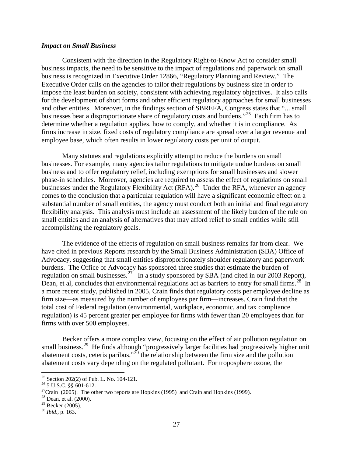## *Impact on Small Business*

Consistent with the direction in the Regulatory Right-to-Know Act to consider small business impacts, the need to be sensitive to the impact of regulations and paperwork on small business is recognized in Executive Order 12866, "Regulatory Planning and Review." The Executive Order calls on the agencies to tailor their regulations by business size in order to impose the least burden on society, consistent with achieving regulatory objectives. It also calls for the development of short forms and other efficient regulatory approaches for small businesses and other entities. Moreover, in the findings section of SBREFA, Congress states that "... small businesses bear a disproportionate share of regulatory costs and burdens."<sup>[25](#page-27-0)</sup> Each firm has to determine whether a regulation applies, how to comply, and whether it is in compliance. As firms increase in size, fixed costs of regulatory compliance are spread over a larger revenue and employee base, which often results in lower regulatory costs per unit of output.

Many statutes and regulations explicitly attempt to reduce the burdens on small businesses. For example, many agencies tailor regulations to mitigate undue burdens on small business and to offer regulatory relief, including exemptions for small businesses and slower phase-in schedules. Moreover, agencies are required to assess the effect of regulations on small businesses under the Regulatory Flexibility Act (RFA).<sup>[26](#page-27-1)</sup> Under the RFA, whenever an agency comes to the conclusion that a particular regulation will have a significant economic effect on a substantial number of small entities, the agency must conduct both an initial and final regulatory flexibility analysis. This analysis must include an assessment of the likely burden of the rule on small entities and an analysis of alternatives that may afford relief to small entities while still accomplishing the regulatory goals.

The evidence of the effects of regulation on small business remains far from clear. We have cited in previous Reports research by the Small Business Administration (SBA) Office of Advocacy, suggesting that small entities disproportionately shoulder regulatory and paperwork burdens. The Office of Advocacy has sponsored three studies that estimate the burden of regulation on small businesses.<sup>[27](#page-27-2)</sup> In a study sponsored by SBA (and cited in our 2003 Report), Dean, et al, concludes that environmental regulations act as barriers to entry for small firms.<sup>28</sup> In a more recent study, published in 2005, Crain finds that regulatory costs per employee decline as firm size—as measured by the number of employees per firm—increases. Crain find that the total cost of Federal regulation (environmental, workplace, economic, and tax compliance regulation) is 45 percent greater per employee for firms with fewer than 20 employees than for firms with over 500 employees.

Becker offers a more complex view, focusing on the effect of air pollution regulation on small business.<sup>[29](#page-27-4)</sup> He finds although "progressively larger facilities had progressively higher unit abatement costs, ceteris paribus,"<sup>[30](#page-27-5)</sup> the relationship between the firm size and the pollution abatement costs vary depending on the regulated pollutant. For troposphere ozone, the

<sup>&</sup>lt;sup>25</sup> Section 202(2) of Pub. L. No. 104-121.

<span id="page-27-2"></span><span id="page-27-1"></span><span id="page-27-0"></span><sup>&</sup>lt;sup>26</sup> 5 U.S.C. §§ 601-612.<br><sup>27</sup>Crain (2005). The other two reports are Hopkins (1995) and Crain and Hopkins (1999).

<span id="page-27-3"></span> $28$  Dean, et al. (2000).

<span id="page-27-4"></span><sup>&</sup>lt;sup>29</sup> Becker (2005).<br><sup>30</sup> *Ibid*., p. 163.

<span id="page-27-5"></span>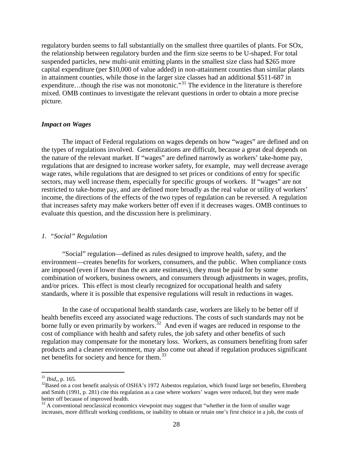regulatory burden seems to fall substantially on the smallest three quartiles of plants. For SOx, the relationship between regulatory burden and the firm size seems to be U-shaped. For total suspended particles, new multi-unit emitting plants in the smallest size class had \$265 more capital expenditure (per \$10,000 of value added) in non-attainment counties than similar plants in attainment counties, while those in the larger size classes had an additional \$511-687 in expenditure...though the rise was not monotonic."<sup>[31](#page-28-0)</sup> The evidence in the literature is therefore mixed. OMB continues to investigate the relevant questions in order to obtain a more precise picture.

## *Impact on Wages*

The impact of Federal regulations on wages depends on how "wages" are defined and on the types of regulations involved. Generalizations are difficult, because a great deal depends on the nature of the relevant market. If "wages" are defined narrowly as workers' take-home pay, regulations that are designed to increase worker safety, for example, may well decrease average wage rates, while regulations that are designed to set prices or conditions of entry for specific sectors, may well increase them, especially for specific groups of workers. If "wages" are not restricted to take-home pay, and are defined more broadly as the real value or utility of workers' income, the directions of the effects of the two types of regulation can be reversed. A regulation that increases safety may make workers better off even if it decreases wages. OMB continues to evaluate this question, and the discussion here is preliminary.

### *1. "Social" Regulation*

"Social" regulation—defined as rules designed to improve health, safety, and the environment—creates benefits for workers, consumers, and the public. When compliance costs are imposed (even if lower than the ex ante estimates), they must be paid for by some combination of workers, business owners, and consumers through adjustments in wages, profits, and/or prices. This effect is most clearly recognized for occupational health and safety standards, where it is possible that expensive regulations will result in reductions in wages.

In the case of occupational health standards case, workers are likely to be better off if health benefits exceed any associated wage reductions. The costs of such standards may not be borne fully or even primarily by workers.<sup>32</sup> And even if wages are reduced in response to the cost of compliance with health and safety rules, the job safety and other benefits of such regulation may compensate for the monetary loss. Workers, as consumers benefiting from safer products and a cleaner environment, may also come out ahead if regulation produces significant net benefits for society and hence for them.<sup>[33](#page-28-2)</sup>

<span id="page-28-0"></span><sup>31</sup> *Ibid*,, p. 165.

<span id="page-28-1"></span> $32B$ ased on a cost benefit analysis of OSHA's 1972 Asbestos regulation, which found large net benefits, Ehrenberg and Smith (1991, p. 281) cite this regulation as a case where workers' wages were reduced, but they were made better off because of improved health.<br><sup>33</sup> A conventional neoclassical economics viewpoint may suggest that "whether in the form of smaller wage

<span id="page-28-2"></span>increases, more difficult working conditions, or inability to obtain or retain one's first choice in a job, the costs of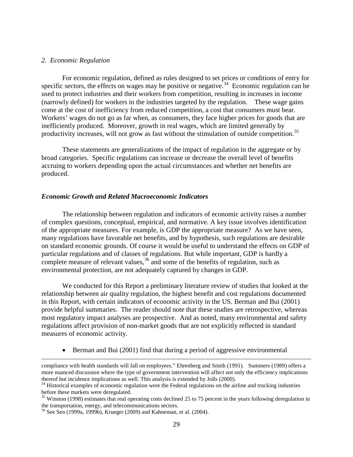#### *2. Economic Regulation*

 $\overline{a}$ 

For economic regulation, defined as rules designed to set prices or conditions of entry for specific sectors, the effects on wages may be positive or negative.<sup>34</sup> Economic regulation can be used to protect industries and their workers from competition, resulting in increases in income (narrowly defined) for workers in the industries targeted by the regulation. These wage gains come at the cost of inefficiency from reduced competition, a cost that consumers must bear. Workers' wages do not go as far when, as consumers, they face higher prices for goods that are inefficiently produced. Moreover, growth in real wages, which are limited generally by productivity increases, will not grow as fast without the stimulation of outside competition.<sup>[35](#page-29-1)</sup>

These statements are generalizations of the impact of regulation in the aggregate or by broad categories. Specific regulations can increase or decrease the overall level of benefits accruing to workers depending upon the actual circumstances and whether net benefits are produced.

#### *Economic Growth and Related Macroeconomic Indicators*

The relationship between regulation and indicators of economic activity raises a number of complex questions, conceptual, empirical, and normative. A key issue involves identification of the appropriate measures. For example, is GDP the appropriate measure? As we have seen, many regulations have favorable net benefits, and by hypothesis, such regulations are desirable on standard economic grounds. Of course it would be useful to understand the effects on GDP of particular regulations and of classes of regulations. But while important, GDP is hardly a complete measure of relevant values,  $36$  and some of the benefits of regulation, such as environmental protection, are not adequately captured by changes in GDP.

We conducted for this Report a preliminary literature review of studies that looked at the relationship between air quality regulation, the highest benefit and cost regulations documented in this Report, with certain indicators of economic activity in the US. Berman and Bui (2001) provide helpful summaries. The reader should note that these studies are retrospective, whereas most regulatory impact analyses are prospective. And as noted, many environmental and safety regulations affect provision of non-market goods that are not explicitly reflected in standard measures of economic activity.

• Berman and Bui (2001) find that during a period of aggressive environmental

compliance with health standards will fall on employees." Ehrenberg and Smith (1991). Summers (1989) offers a more nuanced discussion where the type of government intervention will affect not only the efficiency implications thereof but incidence implications as well. This analysis is extended by Jolls (2000).

<span id="page-29-0"></span> $34$  Historical examples of economic regulation were the Federal regulations on the airline and trucking industries before these markets were deregulated.

<span id="page-29-1"></span> $35$  Winston (1998) estimates that real operating costs declined 25 to 75 percent in the years following deregulation in the transportation, energy, and telecommunications sectors.

<span id="page-29-2"></span><sup>36</sup> See Sen (1999a, 1999b), Krueger (2009) and Kahneman, et al. (2004).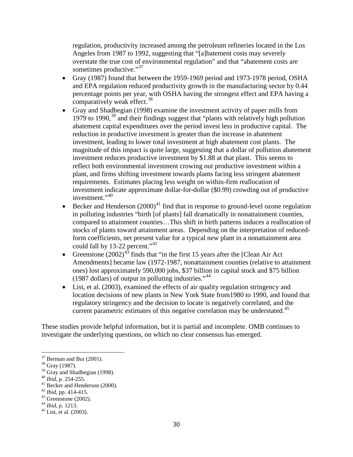regulation, productivity increased among the petroleum refineries located in the Los Angeles from 1987 to 1992, suggesting that "[a]batement costs may severely overstate the true cost of environmental regulation" and that "abatement costs are sometimes productive."<sup>[37](#page-30-0)</sup>

- Gray (1987) found that between the 1959-1969 period and 1973-1978 period, OSHA and EPA regulation reduced productivity growth in the manufacturing sector by 0.44 percentage points per year, with OSHA having the strongest effect and EPA having a comparatively weak effect.<sup>[38](#page-30-1)</sup>
- Gray and Shadbegian (1998) examine the investment activity of paper mills from 1979 to 1990,<sup>[39](#page-30-2)</sup> and their findings suggest that "plants with relatively high pollution abatement capital expenditures over the period invest less in productive capital. The reduction in productive investment is greater than the increase in abatement investment, leading to lower total investment at high abatement cost plants. The magnitude of this impact is quite large, suggesting that a dollar of pollution abatement investment reduces productive investment by \$1.88 at that plant. This seems to reflect both environmental investment crowing out productive investment within a plant, and firms shifting investment towards plants facing less stringent abatement requirements. Estimates placing less weight on within-firm reallocation of investment indicate approximate dollar-for-dollar (\$0.99) crowding out of productive investment."[40](#page-30-3)
- investment."<sup>40</sup><br>• Becker and Henderson  $(2000)^{41}$  $(2000)^{41}$  $(2000)^{41}$  find that in response to ground-level ozone regulation in polluting industries "birth [of plants] fall dramatically in nonattainment counties, compared to attainment counties…This shift in birth patterns induces a reallocation of stocks of plants toward attainment areas. Depending on the interpretation of reducedform coefficients, net present value for a typical new plant in a nonattainment area could fall by 13-22 percent."<sup>[42](#page-30-5)</sup>
- Greenstone  $(2002)^{43}$  $(2002)^{43}$  $(2002)^{43}$  finds that "in the first 15 years after the [Clean Air Act Amendments] became law (1972-1987, nonattainment counties (relative to attainment ones) lost approximately 590,000 jobs, \$37 billion in capital stock and \$75 billion (1987 dollars) of output in polluting industries."[44](#page-30-7)
- List, et al. (2003), examined the effects of air quality regulation stringency and location decisions of new plants in New York State from1980 to 1990, and found that regulatory stringency and the decision to locate is negatively correlated, and the current parametric estimates of this negative correlation may be understated.<sup>45</sup>

These studies provide helpful information, but it is partial and incomplete. OMB continues to investigate the underlying questions, on which no clear consensus has emerged.

<span id="page-30-0"></span> $37 \text{Bernan}$  and Bui (2001).<br> $38 \text{ Gray}$  (1987).

<span id="page-30-3"></span><span id="page-30-2"></span><span id="page-30-1"></span><sup>&</sup>lt;sup>39</sup> Gray and Shadbegian (1998).<br><sup>40</sup> *Ibid*, p. 254-255.<br><sup>41</sup> Becker and Henderson (2000).<br><sup>42</sup> *Ibid*, pp. 414-415.<br><sup>43</sup> Greenstone (2002).<br><sup>44</sup> *Ibid*, p. 1213.<br><sup>45</sup> List, et al. (2003).

<span id="page-30-4"></span>

<span id="page-30-5"></span>

<span id="page-30-6"></span>

<span id="page-30-7"></span>

<span id="page-30-8"></span>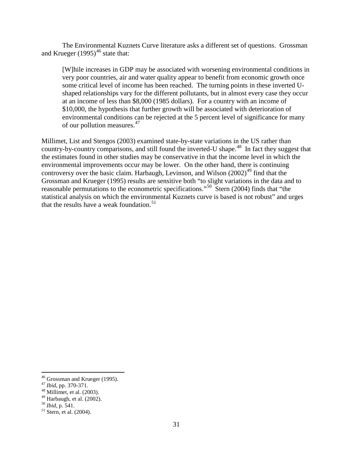The Environmental Kuznets Curve literature asks a different set of questions. Grossman and Krueger  $(1995)^{46}$  $(1995)^{46}$  $(1995)^{46}$  state that:

[W]hile increases in GDP may be associated with worsening environmental conditions in very poor countries, air and water quality appear to benefit from economic growth once some critical level of income has been reached. The turning points in these inverted Ushaped relationships vary for the different pollutants, but in almost every case they occur at an income of less than \$8,000 (1985 dollars). For a country with an income of \$10,000, the hypothesis that further growth will be associated with deterioration of environmental conditions can be rejected at the 5 percent level of significance for many of our pollution measures.<sup>47</sup>

Millimet, List and Stengos (2003) examined state-by-state variations in the US rather than country-by-country comparisons, and still found the inverted-U shape.<sup>[48](#page-31-2)</sup> In fact they suggest that the estimates found in other studies may be conservative in that the income level in which the environmental improvements occur may be lower. On the other hand, there is continuing controversy over the basic claim. Harbaugh, Levinson, and Wilson  $(2002)^{49}$  find that the Grossman and Krueger (1995) results are sensitive both "to slight variations in the data and to reasonable permutations to the econometric specifications."[50](#page-31-4) Stern (2004) finds that "the statistical analysis on which the environmental Kuznets curve is based is not robust" and urges that the results have a weak foundation. $51$ 

<span id="page-31-0"></span><sup>&</sup>lt;sup>46</sup> Grossman and Krueger (1995).<br><sup>47</sup> *Ibid*, pp. 370-371.<br><sup>48</sup> Millimet, et al. (2003).

<span id="page-31-3"></span><span id="page-31-2"></span><span id="page-31-1"></span><sup>&</sup>lt;sup>48</sup> Millimet, et al. (2003).<br><sup>49</sup> Harbaugh, et al. (2002).<br><sup>50</sup> *Ibid*, p. 541.<br><sup>51</sup> Stern, et al. (2004).

<span id="page-31-4"></span>

<span id="page-31-5"></span>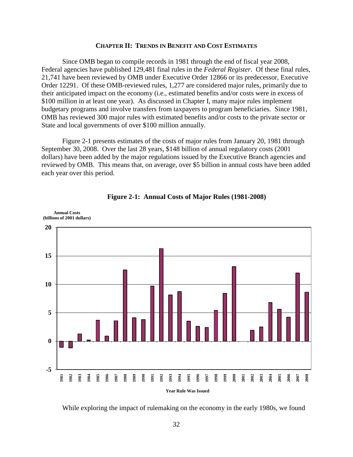## **CHAPTER II: TRENDS IN BENEFIT AND COST ESTIMATES**

Since OMB began to compile records in 1981 through the end of fiscal year 2008, Federal agencies have published 129,481 final rules in the *Federal Register*. Of these final rules, 21,741 have been reviewed by OMB under Executive Order 12866 or its predecessor, Executive Order 12291. Of these OMB-reviewed rules, 1,277 are considered major rules, primarily due to their anticipated impact on the economy (i.e., estimated benefits and/or costs were in excess of \$100 million in at least one year). As discussed in Chapter I, many major rules implement budgetary programs and involve transfers from taxpayers to program beneficiaries. Since 1981, OMB has reviewed 300 major rules with estimated benefits and/or costs to the private sector or State and local governments of over \$100 million annually.

Figure 2-1 presents estimates of the costs of major rules from January 20, 1981 through September 30, 2008. Over the last 28 years, \$148 billion of annual regulatory costs (2001 dollars) have been added by the major regulations issued by the Executive Branch agencies and reviewed by OMB. This means that, on average, over \$5 billion in annual costs have been added each year over this period.





While exploring the impact of rulemaking on the economy in the early 1980s, we found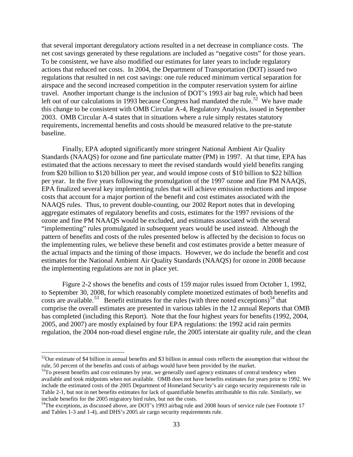that several important deregulatory actions resulted in a net decrease in compliance costs. The net cost savings generated by these regulations are included as "negative costs" for those years. To be consistent, we have also modified our estimates for later years to include regulatory actions that reduced net costs. In 2004, the Department of Transportation (DOT) issued two regulations that resulted in net cost savings: one rule reduced minimum vertical separation for airspace and the second increased competition in the computer reservation system for airline travel. Another important change is the inclusion of DOT's 1993 air bag rule, which had been left out of our calculations in 1993 because Congress had mandated the rule.<sup>52</sup> We have made this change to be consistent with OMB Circular A-4, Regulatory Analysis, issued in September 2003. OMB Circular A-4 states that in situations where a rule simply restates statutory requirements, incremental benefits and costs should be measured relative to the pre-statute baseline.

Finally, EPA adopted significantly more stringent National Ambient Air Quality Standards (NAAQS) for ozone and fine particulate matter (PM) in 1997. At that time, EPA has estimated that the actions necessary to meet the revised standards would yield benefits ranging from \$20 billion to \$120 billion per year, and would impose costs of \$10 billion to \$22 billion per year. In the five years following the promulgation of the 1997 ozone and fine PM NAAQS, EPA finalized several key implementing rules that will achieve emission reductions and impose costs that account for a major portion of the benefit and cost estimates associated with the NAAQS rules. Thus, to prevent double-counting, our 2002 Report notes that in developing aggregate estimates of regulatory benefits and costs, estimates for the 1997 revisions of the ozone and fine PM NAAQS would be excluded, and estimates associated with the several "implementing" rules promulgated in subsequent years would be used instead. Although the pattern of benefits and costs of the rules presented below is affected by the decision to focus on the implementing rules, we believe these benefit and cost estimates provide a better measure of the actual impacts and the timing of those impacts. However, we do include the benefit and cost estimates for the National Ambient Air Quality Standards (NAAQS) for ozone in 2008 because the implementing regulations are not in place yet.

Figure 2-2 shows the benefits and costs of 159 major rules issued from October 1, 1992, to September 30, 2008, for which reasonably complete monetized estimates of both benefits and costs are available.<sup>53</sup> Benefit estimates for the rules (with three noted exceptions)<sup>[54](#page-33-2)</sup> that comprise the overall estimates are presented in various tables in the 12 annual Reports that OMB has completed (including this Report). Note that the four highest years for benefits (1992, 2004, 2005, and 2007) are mostly explained by four EPA regulations: the 1992 acid rain permits regulation, the 2004 non-road diesel engine rule, the 2005 interstate air quality rule, and the clean

<span id="page-33-0"></span> $52$ Our estimate of \$4 billion in annual benefits and \$3 billion in annual costs reflects the assumption that without the rule, 50 percent of the benefits and costs of airbags would have been provided by the market.

<span id="page-33-1"></span><sup>&</sup>lt;sup>53</sup>To present benefits and cost estimates by year, we generally used agency estimates of central tendency when available and took midpoints when not available. OMB does not have benefits estimates for years prior to 1992. We include the estimated costs of the 2005 Department of Homeland Security's air cargo security requirements rule in Table 2-1, but not in net benefits estimates for lack of quantifiable benefits attributable to this rule. Similarly, we include benefits for the 2005 migratory bird rules, but not the costs.

<span id="page-33-2"></span><sup>&</sup>lt;sup>54</sup>The exceptions, as discussed above, are DOT's 1993 airbag rule and 2008 hours of service rule (see Footnote 17 and Tables 1-3 and 1-4), and DHS's 2005 air cargo security requirements rule.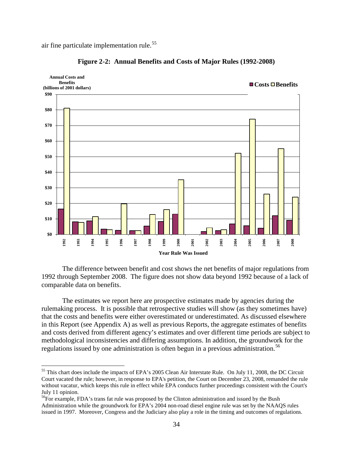air fine particulate implementation rule.<sup>55</sup>

 $\overline{a}$ 





The difference between benefit and cost shows the net benefits of major regulations from 1992 through September 2008. The figure does not show data beyond 1992 because of a lack of comparable data on benefits.

The estimates we report here are prospective estimates made by agencies during the rulemaking process. It is possible that retrospective studies will show (as they sometimes have) that the costs and benefits were either overestimated or underestimated. As discussed elsewhere in this Report (see Appendix A) as well as previous Reports, the aggregate estimates of benefits and costs derived from different agency's estimates and over different time periods are subject to methodological inconsistencies and differing assumptions. In addition, the groundwork for the regulations issued by one administration is often begun in a previous administration.<sup>[56](#page-34-1)</sup>

<span id="page-34-0"></span><sup>&</sup>lt;sup>55</sup> This chart does include the impacts of EPA's 2005 Clean Air Interstate Rule. On July 11, 2008, the DC Circuit Court vacated the rule; however, in response to EPA's petition, the Court on December 23, 2008, remanded the rule without vacatur, which keeps this rule in effect while EPA conducts further proceedings consistent with the Court's July 11 opinion.

<span id="page-34-1"></span><sup>&</sup>lt;sup>56</sup>For example, FDA's trans fat rule was proposed by the Clinton administration and issued by the Bush Administration while the groundwork for EPA's 2004 non-road diesel engine rule was set by the NAAQS rules issued in 1997. Moreover, Congress and the Judiciary also play a role in the timing and outcomes of regulations.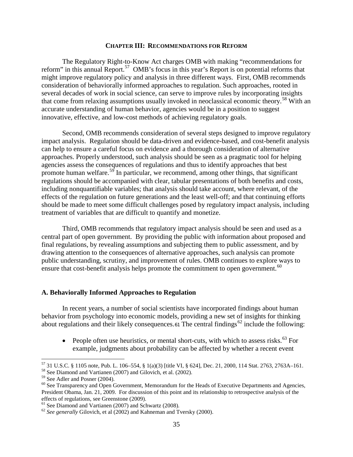#### **CHAPTER III: RECOMMENDATIONS FOR REFORM**

The Regulatory Right-to-Know Act charges OMB with making "recommendations for reform" in this annual Report.<sup>57</sup> OMB's focus in this year's Report is on potential reforms that might improve regulatory policy and analysis in three different ways. First, OMB recommends consideration of behaviorally informed approaches to regulation. Such approaches, rooted in several decades of work in social science, can serve to improve rules by incorporating insights that come from relaxing assumptions usually invoked in neoclassical economic theory.<sup>[58](#page-35-1)</sup> With an accurate understanding of human behavior, agencies would be in a position to suggest innovative, effective, and low-cost methods of achieving regulatory goals.

Second, OMB recommends consideration of several steps designed to improve regulatory impact analysis. Regulation should be data-driven and evidence-based, and cost-benefit analysis can help to ensure a careful focus on evidence and a thorough consideration of alternative approaches. Properly understood, such analysis should be seen as a pragmatic tool for helping agencies assess the consequences of regulations and thus to identify approaches that best promote human welfare.<sup>[59](#page-35-2)</sup> In particular, we recommend, among other things, that significant regulations should be accompanied with clear, tabular presentations of both benefits and costs, including nonquantifiable variables; that analysis should take account, where relevant, of the effects of the regulation on future generations and the least well-off; and that continuing efforts should be made to meet some difficult challenges posed by regulatory impact analysis, including treatment of variables that are difficult to quantify and monetize.

Third, OMB recommends that regulatory impact analysis should be seen and used as a central part of open government. By providing the public with information about proposed and final regulations, by revealing assumptions and subjecting them to public assessment, and by drawing attention to the consequences of alternative approaches, such analysis can promote public understanding, scrutiny, and improvement of rules. OMB continues to explore ways to ensure that cost-benefit analysis helps promote the commitment to open government.<sup>60</sup>

#### **A. Behaviorally Informed Approaches to Regulation**

<span id="page-35-6"></span>In recent years, a number of social scientists have incorporated findings about human behavior from psychology into economic models, providing a new set of insights for thinking about regulations and their likely consequences.<sup>[61](#page-35-4)</sup> The central findings<sup>[62](#page-35-5)</sup> include the following:

• People often use heuristics, or mental short-cuts, with which to assess risks. $^{63}$  $^{63}$  $^{63}$  For example, judgments about probability can be affected by whether a recent event

 $^{57}$  31 U.S.C. § 1105 note, Pub. L. 106–554, § 1(a)(3) [title VI, § 624], Dec. 21, 2000, 114 Stat. 2763, 2763A–161.

<span id="page-35-1"></span><span id="page-35-0"></span><sup>&</sup>lt;sup>58</sup> See Diamond and Vartianen (2007) and Gilovich, et al. (2002).<br><sup>59</sup> See Adler and Posner (2004).

<span id="page-35-3"></span><span id="page-35-2"></span> $60$  See Transparency and Open Government, Memorandum for the Heads of Executive Departments and Agencies, President Obama, Jan. 21, 2009. For discussion of this point and its relationship to retrospective analysis of the effects of regulations, see Greenstone (2009).<br><sup>61</sup> See Diamond and Vartianen (2007) and Schwartz (2008).

<span id="page-35-4"></span>

<span id="page-35-5"></span><sup>&</sup>lt;sup>62</sup> See generally Gilovich, et al (2002) and Kahneman and Tversky (2000).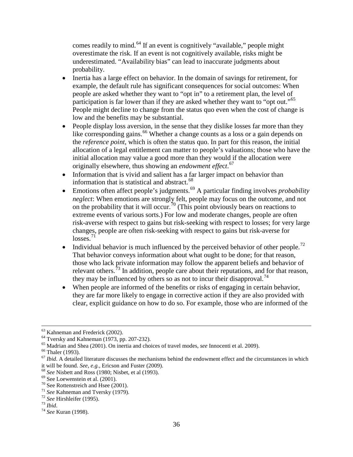comes readily to mind.<sup>[64](#page-36-0)</sup> If an event is cognitively "available," people might overestimate the risk. If an event is not cognitively available, risks might be underestimated. "Availability bias" can lead to inaccurate judgments about probability.

- Inertia has a large effect on behavior. In the domain of savings for retirement, for example, the default rule has significant consequences for social outcomes: When people are asked whether they want to "opt in" to a retirement plan, the level of participation is far lower than if they are asked whether they want to "opt out."<sup>[65](#page-36-1)</sup> People might decline to change from the status quo even when the cost of change is low and the benefits may be substantial.
- People display loss aversion, in the sense that they dislike losses far more than they like corresponding gains.<sup>66</sup> Whether a change counts as a loss or a gain depends on the *reference point*, which is often the status quo. In part for this reason, the initial allocation of a legal entitlement can matter to people's valuations; those who have the initial allocation may value a good more than they would if the allocation were originally elsewhere, thus showing an *endowment effe*c*t*. [67](#page-36-3)
- Information that is vivid and salient has a far larger impact on behavior than information that is statistical and abstract.<sup>[68](#page-36-4)</sup>
- Emotions often affect people's judgments.<sup>[69](#page-36-5)</sup> A particular finding involves *probability neglect*: When emotions are strongly felt, people may focus on the outcome, and not on the probability that it will occur.<sup>[70](#page-36-6)</sup> (This point obviously bears on reactions to extreme events of various sorts.) For low and moderate changes, people are often risk-averse with respect to gains but risk-seeking with respect to losses; for very large changes, people are often risk-seeking with respect to gains but risk-averse for  $losses.<sup>71</sup>$  $losses.<sup>71</sup>$  $losses.<sup>71</sup>$
- Individual behavior is much influenced by the perceived behavior of other people.<sup>[72](#page-36-8)</sup> That behavior conveys information about what ought to be done; for that reason, those who lack private information may follow the apparent beliefs and behavior of relevant others.<sup>73</sup> In addition, people care about their reputations, and for that reason, they may be influenced by others so as not to incur their disapproval.<sup>[74](#page-36-10)</sup>
- When people are informed of the benefits or risks of engaging in certain behavior, they are far more likely to engage in corrective action if they are also provided with clear, explicit guidance on how to do so. For example, those who are informed of the

<span id="page-36-1"></span>

<span id="page-36-3"></span><span id="page-36-2"></span>

<span id="page-36-0"></span><sup>&</sup>lt;sup>63</sup> Kahneman and Frederick (2002).<br>
<sup>64</sup> Tversky and Kahneman (1973, pp. 207-232).<br>
<sup>65</sup> Madrian and Shea (2001). On inertia and choices of travel modes, *see* Innocenti et al. 2009).<br>
<sup>66</sup> Thaler (1993).<br>
<sup>67</sup> *Ibid.* A

<span id="page-36-4"></span><sup>&</sup>lt;sup>68</sup> *See* Nisbett and Ross (1980; Nisbet, et al (1993).<br><sup>69</sup> See Loewenstein et al. (2001).<br><sup>70</sup> See Rottenstreich and Hsee (2001).<br><sup>71</sup> *See* Kahneman and Tversky (1979).<br><sup>72</sup> *See* Hirshleifer (1995).<br><sup>73</sup> *Ibid.*<br><sup>74</sup>

<span id="page-36-5"></span>

<span id="page-36-6"></span>

<span id="page-36-7"></span>

<span id="page-36-8"></span>

<span id="page-36-9"></span>

<span id="page-36-10"></span>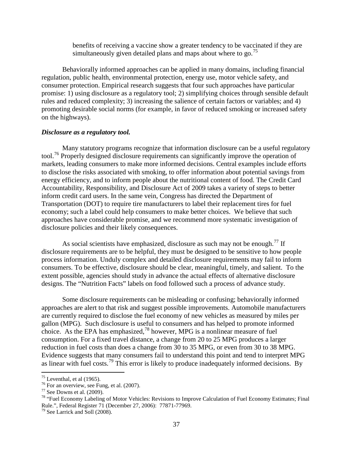benefits of receiving a vaccine show a greater tendency to be vaccinated if they are simultaneously given detailed plans and maps about where to go.<sup>[75](#page-37-0)</sup>

Behaviorally informed approaches can be applied in many domains, including financial regulation, public health, environmental protection, energy use, motor vehicle safety, and consumer protection. Empirical research suggests that four such approaches have particular promise: 1) using disclosure as a regulatory tool; 2) simplifying choices through sensible default rules and reduced complexity; 3) increasing the salience of certain factors or variables; and 4) promoting desirable social norms (for example, in favor of reduced smoking or increased safety on the highways).

#### *Disclosure as a regulatory tool.*

Many statutory programs recognize that information disclosure can be a useful regulatory tool.<sup>[76](#page-37-1)</sup> Properly designed disclosure requirements can significantly improve the operation of markets, leading consumers to make more informed decisions. Central examples include efforts to disclose the risks associated with smoking, to offer information about potential savings from energy efficiency, and to inform people about the nutritional content of food. The Credit Card Accountability, Responsibility, and Disclosure Act of 2009 takes a variety of steps to better inform credit card users. In the same vein, Congress has directed the Department of Transportation (DOT) to require tire manufacturers to label their replacement tires for fuel economy; such a label could help consumers to make better choices. We believe that such approaches have considerable promise, and we recommend more systematic investigation of disclosure policies and their likely consequences.

As social scientists have emphasized, disclosure as such may not be enough.<sup>[77](#page-37-2)</sup> If disclosure requirements are to be helpful, they must be designed to be sensitive to how people process information. Unduly complex and detailed disclosure requirements may fail to inform consumers. To be effective, disclosure should be clear, meaningful, timely, and salient. To the extent possible, agencies should study in advance the actual effects of alternative disclosure designs. The "Nutrition Facts" labels on food followed such a process of advance study.

Some disclosure requirements can be misleading or confusing; behaviorally informed approaches are alert to that risk and suggest possible improvements. Automobile manufacturers are currently required to disclose the fuel economy of new vehicles as measured by miles per gallon (MPG). Such disclosure is useful to consumers and has helped to promote informed choice. As the EPA has emphasized,<sup>[78](#page-37-3)</sup> however, MPG is a nonlinear measure of fuel consumption. For a fixed travel distance, a change from 20 to 25 MPG produces a larger reduction in fuel costs than does a change from 30 to 35 MPG, or even from 30 to 38 MPG. Evidence suggests that many consumers fail to understand this point and tend to interpret MPG as linear with fuel costs.<sup>[79](#page-37-4)</sup> This error is likely to produce inadequately informed decisions. By

 $75$  Leventhal, et al (1965).

<span id="page-37-3"></span>

<span id="page-37-2"></span><span id="page-37-1"></span><span id="page-37-0"></span><sup>&</sup>lt;sup>76</sup> For an overview, see Fung, et al. (2007).<br><sup>77</sup> See Downs et al. (2009).<br><sup>78</sup> "Fuel Economy Labeling of Motor Vehicles: Revisions to Improve Calculation of Fuel Economy Estimates; Final Rule.", Federal Register 71 (December 27, 2006): 77871-77969.<br><sup>79</sup> See Larrick and Soll (2008).

<span id="page-37-4"></span>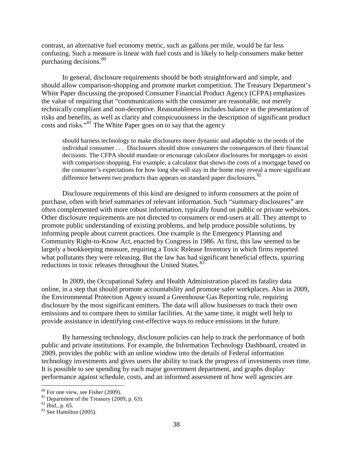contrast, an alternative fuel economy metric, such as gallons per mile, would be far less confusing. Such a measure is linear with fuel costs and is likely to help consumers make better purchasing decisions.<sup>80</sup>

In general, disclosure requirements should be both straightforward and simple, and should allow comparison-shopping and promote market competition. The Treasury Department's White Paper discussing the proposed Consumer Financial Product Agency (CFPA) emphasizes the value of requiring that "communications with the consumer are reasonable, not merely technically compliant and non-deceptive. Reasonableness includes balance in the presentation of risks and benefits, as well as clarity and conspicuousness in the description of significant product costs and risks."[81](#page-38-1) The White Paper goes on to say that the agency

should harness technology to make disclosures more dynamic and adaptable to the needs of the individual consumer . . . Disclosures should show consumers the consequences of their financial decisions. The CFPA should mandate or encourage calculator disclosures for mortgages to assist with comparison shopping. For example, a calculator that shows the costs of a mortgage based on the consumer's expectations for how long she will stay in the home may reveal a more significant difference between two products than appears on standard paper disclosures.  $82$ 

Disclosure requirements of this kind are designed to inform consumers at the point of purchase, often with brief summaries of relevant information. Such "summary disclosures" are often complemented with more robust information, typically found on public or private websites. Other disclosure requirements are not directed to consumers or end-users at all. They attempt to promote public understanding of existing problems, and help produce possible solutions, by informing people about current practices. One example is the Emergency Planning and Community Right-to-Know Act, enacted by Congress in 1986. At first, this law seemed to be largely a bookkeeping measure, requiring a Toxic Release Inventory in which firms reported what pollutants they were releasing. But the law has had significant beneficial effects, spurring reductions in toxic releases throughout the United States. [83](#page-38-3)

In 2009, the Occupational Safety and Health Administration placed its fatality data online, in a step that should promote accountability and promote safer workplaces. Also in 2009, the Environmental Protection Agency issued a Greenhouse Gas Reporting rule, requiring disclosure by the most significant emitters. The data will allow businesses to track their own emissions and to compare them to similar facilities. At the same time, it might well help to provide assistance in identifying cost-effective ways to reduce emissions in the future.

By harnessing technology, disclosure policies can help to track the performance of both public and private institutions. For example, the Information Technology Dashboard, created in 2009, provides the public with an online window into the details of Federal information technology investments and gives users the ability to track the progress of investments over time. It is possible to see spending by each major government department, and graphs display performance against schedule, costs, and an informed assessment of how well agencies are

<span id="page-38-1"></span><span id="page-38-0"></span><sup>&</sup>lt;sup>80</sup> For one view, see Fisher (2009).<br><sup>81</sup> Department of the Treasury (2009, p. 63).<br><sup>82</sup> *Ibid.*, p. 65. 83 See Hamilton (2005).

<span id="page-38-3"></span><span id="page-38-2"></span>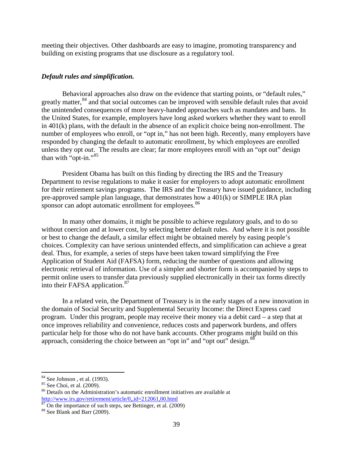meeting their objectives. Other dashboards are easy to imagine, promoting transparency and building on existing programs that use disclosure as a regulatory tool.

## *Default rules and simplification.*

Behavioral approaches also draw on the evidence that starting points, or "default rules," greatly matter,<sup>84</sup> and that social outcomes can be improved with sensible default rules that avoid the unintended consequences of more heavy-handed approaches such as mandates and bans. In the United States, for example, employers have long asked workers whether they want to enroll in 401(k) plans, with the default in the absence of an explicit choice being non-enrollment. The number of employees who enroll, or "opt in," has not been high. Recently, many employers have responded by changing the default to automatic enrollment, by which employees are enrolled unless they opt *out*. The results are clear; far more employees enroll with an "opt out" design than with "opt-in."<sup>[85](#page-39-1)</sup>

President Obama has built on this finding by directing the IRS and the Treasury Department to revise regulations to make it easier for employers to adopt automatic enrollment for their retirement savings programs. The IRS and the Treasury have issued guidance, including pre-approved sample plan language, that demonstrates how a 401(k) or SIMPLE IRA plan sponsor can adopt automatic enrollment for employees.<sup>86</sup>

In many other domains, it might be possible to achieve regulatory goals, and to do so without coercion and at lower cost, by selecting better default rules. And where it is not possible or best to change the default, a similar effect might be obtained merely by easing people's choices. Complexity can have serious unintended effects, and simplification can achieve a great deal. Thus, for example, a series of steps have been taken toward simplifying the Free Application of Student Aid (FAFSA) form, reducing the number of questions and allowing electronic retrieval of information. Use of a simpler and shorter form is accompanied by steps to permit online users to transfer data previously supplied electronically in their tax forms directly into their FAFSA application. $87$ 

In a related vein, the Department of Treasury is in the early stages of a new innovation in the domain of Social Security and Supplemental Security Income: the Direct Express card program. Under this program, people may receive their money via a debit card – a step that at once improves reliability and convenience, reduces costs and paperwork burdens, and offers particular help for those who do not have bank accounts. Other programs might build on this approach, considering the choice between an "opt in" and "opt out" design.<sup>[88](#page-39-4)</sup>

<span id="page-39-0"></span><sup>&</sup>lt;sup>84</sup> See Johnson, et al. (1993).

<span id="page-39-2"></span><span id="page-39-1"></span><sup>&</sup>lt;sup>85</sup> See Choi, et al. (2009).  $\overline{\phantom{a}}^{86}$  Details on the Administration's automatic enrollment initiatives are available at <http://www.irs.gov/retirement/article/0,,id=212061,00.html>

<span id="page-39-3"></span> $\frac{87}{88}$  On the importance of such steps, see Bettinger, et al. (2009).<br> $\frac{88}{88}$  See Blank and Barr (2009).

<span id="page-39-4"></span>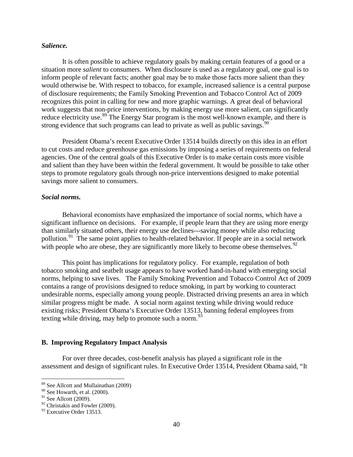## *Salience.*

It is often possible to achieve regulatory goals by making certain features of a good or a situation more *salient* to consumers. When disclosure is used as a regulatory goal, one goal is to inform people of relevant facts; another goal may be to make those facts more salient than they would otherwise be. With respect to tobacco, for example, increased salience is a central purpose of disclosure requirements; the Family Smoking Prevention and Tobacco Control Act of 2009 recognizes this point in calling for new and more graphic warnings. A great deal of behavioral work suggests that non-price interventions, by making energy use more salient, can significantly reduce electricity use.<sup>[89](#page-40-0)</sup> The Energy Star program is the most well-known example, and there is strong evidence that such programs can lead to private as well as public savings.<sup>[90](#page-40-1)</sup>

President Obama's recent Executive Order 13514 builds directly on this idea in an effort to cut costs and reduce greenhouse gas emissions by imposing a series of requirements on federal agencies. One of the central goals of this Executive Order is to make certain costs more visible and salient than they have been within the federal government. It would be possible to take other steps to promote regulatory goals through non-price interventions designed to make potential savings more salient to consumers.

## *Social norms.*

Behavioral economists have emphasized the importance of social norms, which have a significant influence on decisions. For example, if people learn that they are using more energy than similarly situated others, their energy use declines---saving money while also reducing pollution.<sup>91</sup> The same point applies to health-related behavior. If people are in a social network with people who are obese, they are significantly more likely to become obese themselves.<sup>[92](#page-40-3)</sup>

This point has implications for regulatory policy. For example, regulation of both tobacco smoking and seatbelt usage appears to have worked hand-in-hand with emerging social norms, helping to save lives. The Family Smoking Prevention and Tobacco Control Act of 2009 contains a range of provisions designed to reduce smoking, in part by working to counteract undesirable norms, especially among young people. Distracted driving presents an area in which similar progress might be made. A social norm against texting while driving would reduce existing risks; President Obama's Executive Order 13513, banning federal employees from texting while driving, may help to promote such a norm.<sup>[93](#page-40-4)</sup>

## **B. Improving Regulatory Impact Analysis**

For over three decades, cost-benefit analysis has played a significant role in the assessment and design of significant rules. In Executive Order 13514, President Obama said, "It

<sup>&</sup>lt;sup>89</sup> See Allcott and Mullainathan (2009)

<span id="page-40-1"></span><span id="page-40-0"></span> $90$  See Howarth, et al. (2000).

<span id="page-40-2"></span> $91$  See Allcott (2009).

<span id="page-40-3"></span> $92$  Christakis and Fowler (2009).

<span id="page-40-4"></span><sup>&</sup>lt;sup>93</sup> Executive Order 13513.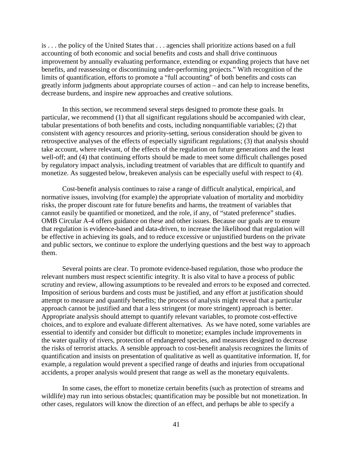is . . . the policy of the United States that . . . agencies shall prioritize actions based on a full accounting of both economic and social benefits and costs and shall drive continuous improvement by annually evaluating performance, extending or expanding projects that have net benefits, and reassessing or discontinuing under-performing projects." With recognition of the limits of quantification, efforts to promote a "full accounting" of both benefits and costs can greatly inform judgments about appropriate courses of action – and can help to increase benefits, decrease burdens, and inspire new approaches and creative solutions.

In this section, we recommend several steps designed to promote these goals. In particular, we recommend (1) that all significant regulations should be accompanied with clear, tabular presentations of both benefits and costs, including nonquantifiable variables; (2) that consistent with agency resources and priority-setting, serious consideration should be given to retrospective analyses of the effects of especially significant regulations; (3) that analysis should take account, where relevant, of the effects of the regulation on future generations and the least well-off; and (4) that continuing efforts should be made to meet some difficult challenges posed by regulatory impact analysis, including treatment of variables that are difficult to quantify and monetize. As suggested below, breakeven analysis can be especially useful with respect to (4).

Cost-benefit analysis continues to raise a range of difficult analytical, empirical, and normative issues, involving (for example) the appropriate valuation of mortality and morbidity risks, the proper discount rate for future benefits and harms, the treatment of variables that cannot easily be quantified or monetized, and the role, if any, of "stated preference" studies. OMB Circular A-4 offers guidance on these and other issues. Because our goals are to ensure that regulation is evidence-based and data-driven, to increase the likelihood that regulation will be effective in achieving its goals, and to reduce excessive or unjustified burdens on the private and public sectors, we continue to explore the underlying questions and the best way to approach them.

Several points are clear. To promote evidence-based regulation, those who produce the relevant numbers must respect scientific integrity. It is also vital to have a process of public scrutiny and review, allowing assumptions to be revealed and errors to be exposed and corrected. Imposition of serious burdens and costs must be justified, and any effort at justification should attempt to measure and quantify benefits; the process of analysis might reveal that a particular approach cannot be justified and that a less stringent (or more stringent) approach is better. Appropriate analysis should attempt to quantify relevant variables, to promote cost-effective choices, and to explore and evaluate different alternatives. As we have noted, some variables are essential to identify and consider but difficult to monetize; examples include improvements in the water quality of rivers, protection of endangered species, and measures designed to decrease the risks of terrorist attacks. A sensible approach to cost-benefit analysis recognizes the limits of quantification and insists on presentation of qualitative as well as quantitative information. If, for example, a regulation would prevent a specified range of deaths and injuries from occupational accidents, a proper analysis would present that range as well as the monetary equivalents.

In some cases, the effort to monetize certain benefits (such as protection of streams and wildlife) may run into serious obstacles; quantification may be possible but not monetization. In other cases, regulators will know the direction of an effect, and perhaps be able to specify a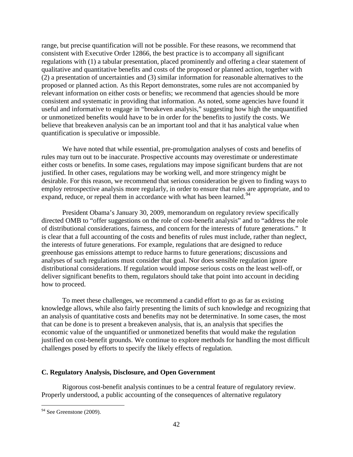range, but precise quantification will not be possible. For these reasons, we recommend that consistent with Executive Order 12866, the best practice is to accompany all significant regulations with (1) a tabular presentation, placed prominently and offering a clear statement of qualitative and quantitative benefits and costs of the proposed or planned action, together with (2) a presentation of uncertainties and (3) similar information for reasonable alternatives to the proposed or planned action. As this Report demonstrates, some rules are not accompanied by relevant information on either costs or benefits; we recommend that agencies should be more consistent and systematic in providing that information. As noted, some agencies have found it useful and informative to engage in "breakeven analysis," suggesting how high the unquantified or unmonetized benefits would have to be in order for the benefits to justify the costs. We believe that breakeven analysis can be an important tool and that it has analytical value when quantification is speculative or impossible.

We have noted that while essential, pre-promulgation analyses of costs and benefits of rules may turn out to be inaccurate. Prospective accounts may overestimate or underestimate either costs or benefits. In some cases, regulations may impose significant burdens that are not justified. In other cases, regulations may be working well, and more stringency might be desirable. For this reason, we recommend that serious consideration be given to finding ways to employ retrospective analysis more regularly, in order to ensure that rules are appropriate, and to expand, reduce, or repeal them in accordance with what has been learned.<sup>94</sup>

President Obama's January 30, 2009, memorandum on regulatory review specifically directed OMB to "offer suggestions on the role of cost-benefit analysis" and to "address the role of distributional considerations, fairness, and concern for the interests of future generations." It is clear that a full accounting of the costs and benefits of rules must include, rather than neglect, the interests of future generations. For example, regulations that are designed to reduce greenhouse gas emissions attempt to reduce harms to future generations; discussions and analyses of such regulations must consider that goal. Nor does sensible regulation ignore distributional considerations. If regulation would impose serious costs on the least well-off, or deliver significant benefits to them, regulators should take that point into account in deciding how to proceed.

To meet these challenges, we recommend a candid effort to go as far as existing knowledge allows, while also fairly presenting the limits of such knowledge and recognizing that an analysis of quantitative costs and benefits may not be determinative. In some cases, the most that can be done is to present a breakeven analysis, that is, an analysis that specifies the economic value of the unquantified or unmonetized benefits that would make the regulation justified on cost-benefit grounds. We continue to explore methods for handling the most difficult challenges posed by efforts to specify the likely effects of regulation.

## **C. Regulatory Analysis, Disclosure, and Open Government**

Rigorous cost-benefit analysis continues to be a central feature of regulatory review. Properly understood, a public accounting of the consequences of alternative regulatory

<span id="page-42-0"></span> $94$  See Greenstone (2009).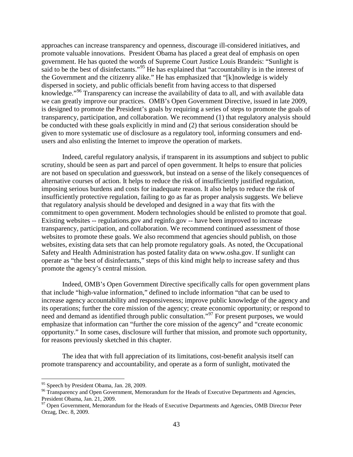approaches can increase transparency and openness, discourage ill-considered initiatives, and promote valuable innovations. President Obama has placed a great deal of emphasis on open government. He has quoted the words of Supreme Court Justice Louis Brandeis: "Sunlight is said to be the best of disinfectants."<sup>[95](#page-43-0)</sup> He has explained that "accountability is in the interest of the Government and the citizenry alike." He has emphasized that "[k]nowledge is widely dispersed in society, and public officials benefit from having access to that dispersed knowledge."[96](#page-43-1) Transparency can increase the availability of data to all, and with available data we can greatly improve our practices. OMB's Open Government Directive, issued in late 2009, is designed to promote the President's goals by requiring a series of steps to promote the goals of transparency, participation, and collaboration. We recommend (1) that regulatory analysis should be conducted with these goals explicitly in mind and (2) that serious consideration should be given to more systematic use of disclosure as a regulatory tool, informing consumers and endusers and also enlisting the Internet to improve the operation of markets.

Indeed, careful regulatory analysis, if transparent in its assumptions and subject to public scrutiny, should be seen as part and parcel of open government. It helps to ensure that policies are not based on speculation and guesswork, but instead on a sense of the likely consequences of alternative courses of action. It helps to reduce the risk of insufficiently justified regulation, imposing serious burdens and costs for inadequate reason. It also helps to reduce the risk of insufficiently protective regulation, failing to go as far as proper analysis suggests. We believe that regulatory analysis should be developed and designed in a way that fits with the commitment to open government. Modern technologies should be enlisted to promote that goal. Existing websites -- regulations.gov and reginfo.gov -- have been improved to increase transparency, participation, and collaboration. We recommend continued assessment of those websites to promote these goals. We also recommend that agencies should publish, on those websites, existing data sets that can help promote regulatory goals. As noted, the Occupational Safety and Health Administration has posted fatality data on www.osha.gov. If sunlight can operate as "the best of disinfectants," steps of this kind might help to increase safety and thus promote the agency's central mission.

Indeed, OMB's Open Government Directive specifically calls for open government plans that include "high-value information," defined to include information "that can be used to increase agency accountability and responsiveness; improve public knowledge of the agency and its operations; further the core mission of the agency; create economic opportunity; or respond to need and demand as identified through public consultation."<sup>97</sup> For present purposes, we would emphasize that information can "further the core mission of the agency" and "create economic opportunity." In some cases, disclosure will further that mission, and promote such opportunity, for reasons previously sketched in this chapter.

The idea that with full appreciation of its limitations, cost-benefit analysis itself can promote transparency and accountability, and operate as a form of sunlight, motivated the

<span id="page-43-0"></span><sup>&</sup>lt;sup>95</sup> Speech by President Obama, Jan. 28, 2009.

<span id="page-43-1"></span><sup>&</sup>lt;sup>96</sup> Transparency and Open Government, Memorandum for the Heads of Executive Departments and Agencies, President Obama, Jan. 21, 2009.

<span id="page-43-2"></span> $97$  Open Government, Memorandum for the Heads of Executive Departments and Agencies, OMB Director Peter Orzag, Dec. 8, 2009.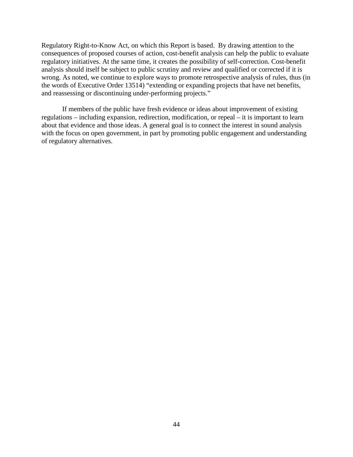Regulatory Right-to-Know Act, on which this Report is based. By drawing attention to the consequences of proposed courses of action, cost-benefit analysis can help the public to evaluate regulatory initiatives. At the same time, it creates the possibility of self-correction. Cost-benefit analysis should itself be subject to public scrutiny and review and qualified or corrected if it is wrong. As noted, we continue to explore ways to promote retrospective analysis of rules, thus (in the words of Executive Order 13514) "extending or expanding projects that have net benefits, and reassessing or discontinuing under-performing projects."

If members of the public have fresh evidence or ideas about improvement of existing regulations – including expansion, redirection, modification, or repeal – it is important to learn about that evidence and those ideas. A general goal is to connect the interest in sound analysis with the focus on open government, in part by promoting public engagement and understanding of regulatory alternatives*.*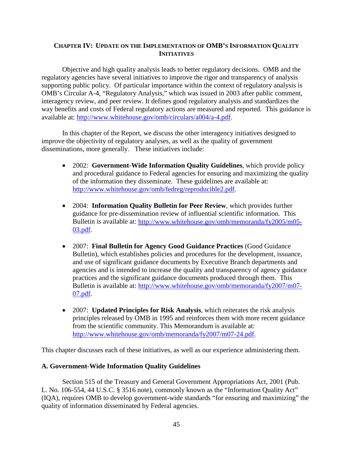## **CHAPTER IV: UPDATE ON THE IMPLEMENTATION OF OMB'S INFORMATION QUALITY INITIATIVES**

Objective and high quality analysis leads to better regulatory decisions. OMB and the regulatory agencies have several initiatives to improve the rigor and transparency of analysis supporting public policy. Of particular importance within the context of regulatory analysis is OMB's Circular A-4, "Regulatory Analysis," which was issued in 2003 after public comment, interagency review, and peer review. It defines good regulatory analysis and standardizes the way benefits and costs of Federal regulatory actions are measured and reported. This guidance is available at: [http://www.whitehouse.gov/omb/circulars/a004/a-4.pdf.](http://www.whitehouse.gov/omb/circulars/a004/a-4.pdf)

In this chapter of the Report, we discuss the other interagency initiatives designed to improve the objectivity of regulatory analyses, as well as the quality of government disseminations, more generally. These initiatives include:

- 2002: **Government-Wide Information Quality Guidelines**, which provide policy and procedural guidance to Federal agencies for ensuring and maximizing the quality of the information they disseminate. These guidelines are available at: [http://www.whitehouse.gov/omb/fedreg/reproducible2.pdf.](http://www.whitehouse.gov/omb/fedreg/reproducible2.pdf)
- 2004: **Information Quality Bulletin for Peer Review**, which provides further guidance for pre-dissemination review of influential scientific information. This Bulletin is available at: [http://www.whitehouse.gov/omb/memoranda/fy2005/m05-](http://www.whitehouse.gov/omb/memoranda/fy2005/m05-03.pdf) [03.pdf.](http://www.whitehouse.gov/omb/memoranda/fy2005/m05-03.pdf)
- 2007: **Final Bulletin for Agency Good Guidance Practices** (Good Guidance Bulletin), which establishes policies and procedures for the development, issuance, and use of significant guidance documents by Executive Branch departments and agencies and is intended to increase the quality and transparency of agency guidance practices and the significant guidance documents produced through them. This Bulletin is available at: [http://www.whitehouse.gov/omb/memoranda/fy2007/m07-](http://www.whitehouse.gov/omb/memoranda/fy2007/m07-07.pdf) [07.pdf.](http://www.whitehouse.gov/omb/memoranda/fy2007/m07-07.pdf)
- 2007: **Updated Principles for Risk Analysis**, which reiterates the risk analysis principles released by OMB in 1995 and reinforces them with more recent guidance from the scientific community. This Memorandum is available at: [http://www.whitehouse.gov/omb/memoranda/fy2007/m07-24.pdf.](http://www.whitehouse.gov/omb/memoranda/fy2007/m07-24.pdf)

This chapter discusses each of these initiatives, as well as our experience administering them.

## **A. Government-Wide Information Quality Guidelines**

Section 515 of the Treasury and General Government Appropriations Act, 2001 (Pub. L. No. 106-554, 44 U.S.C. § 3516 note), commonly known as the "Information Quality Act" (IQA), requires OMB to develop government-wide standards "for ensuring and maximizing" the quality of information disseminated by Federal agencies.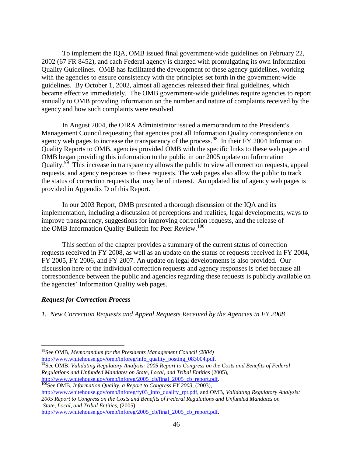To implement the IQA, OMB issued final government-wide guidelines on February 22, 2002 (67 FR 8452), and each Federal agency is charged with promulgating its own Information Quality Guidelines. OMB has facilitated the development of these agency guidelines, working with the agencies to ensure consistency with the principles set forth in the government-wide guidelines. By October 1, 2002, almost all agencies released their final guidelines, which became effective immediately. The OMB government-wide guidelines require agencies to report annually to OMB providing information on the number and nature of complaints received by the agency and how such complaints were resolved.

In August 2004, the OIRA Administrator issued a memorandum to the President's Management Council requesting that agencies post all Information Quality correspondence on agency web pages to increase the transparency of the process.<sup>[98](#page-46-0)</sup> In their FY 2004 Information Quality Reports to OMB, agencies provided OMB with the specific links to these web pages and OMB began providing this information to the public in our 2005 update on Information Quality.<sup>99</sup> This increase in transparency allows the public to view all correction requests, appeal requests, and agency responses to these requests. The web pages also allow the public to track the status of correction requests that may be of interest. An updated list of agency web pages is provided in Appendix D of this Report.

In our 2003 Report, OMB presented a thorough discussion of the IQA and its implementation, including a discussion of perceptions and realities, legal developments, ways to improve transparency, suggestions for improving correction requests, and the release of the OMB Information Quality Bulletin for Peer Review.<sup>100</sup>

This section of the chapter provides a summary of the current status of correction requests received in FY 2008, as well as an update on the status of requests received in FY 2004, FY 2005, FY 2006, and FY 2007. An update on legal developments is also provided. Our discussion here of the individual correction requests and agency responses is brief because all correspondence between the public and agencies regarding these requests is publicly available on the agencies' Information Quality web pages.

# *Request for Correction Process*

*1. New Correction Requests and Appeal Requests Received by the Agencies in FY 2008* 

<span id="page-46-0"></span> $\overline{a}$ <sup>98</sup>See OMB, *Memorandum for the Presidents Management Council (2004)*<br>http://www.whitehouse.gov/omb/inforeg/info\_quality\_posting\_083004.pdf.

<span id="page-46-1"></span><sup>&</sup>lt;sup>99</sup>See OMB, *Validating Regulatory Analysis: 2005 Report to Congress on the Costs and Benefits of Federal Regulations and Unfunded Mandates on State, Local, and Tribal Entities* (2005)*,*

<span id="page-46-2"></span> $\frac{100}{100}$ See OMB, *Information Quality, a Report to Congress FY 2003,* (2003)*,* 

[http://www.whitehouse.gov/omb/inforeg/fy03\\_info\\_quality\\_rpt.pdf,](http://www.whitehouse.gov/omb/inforeg/fy03_info_quality_rpt.pdf) and OMB, *Validating Regulatory Analysis: 2005 Report to Congress on the Costs and Benefits of Federal Regulations and Unfunded Mandates on State, Local, and Tribal Entities*, (2005)

[http://www.whitehouse.gov/omb/inforeg/2005\\_cb/final\\_2005\\_cb\\_report.pdf.](http://www.whitehouse.gov/omb/inforeg/2005_cb/final_2005_cb_report.pdf)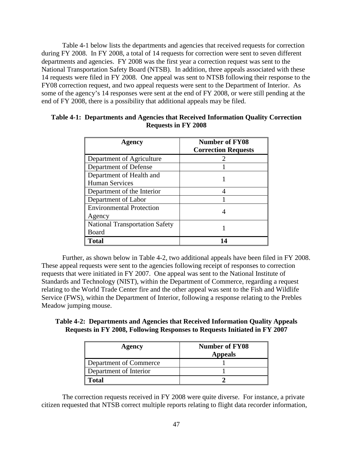Table 4-1 below lists the departments and agencies that received requests for correction during FY 2008. In FY 2008, a total of 14 requests for correction were sent to seven different departments and agencies. FY 2008 was the first year a correction request was sent to the National Transportation Safety Board (NTSB). In addition, three appeals associated with these 14 requests were filed in FY 2008. One appeal was sent to NTSB following their response to the FY08 correction request, and two appeal requests were sent to the Department of Interior. As some of the agency's 14 responses were sent at the end of FY 2008, or were still pending at the end of FY 2008, there is a possibility that additional appeals may be filed.

| Agency                                | <b>Number of FY08</b>      |  |
|---------------------------------------|----------------------------|--|
|                                       | <b>Correction Requests</b> |  |
| Department of Agriculture             |                            |  |
| Department of Defense                 |                            |  |
| Department of Health and              |                            |  |
| <b>Human Services</b>                 |                            |  |
| Department of the Interior            |                            |  |
| Department of Labor                   |                            |  |
| <b>Environmental Protection</b>       |                            |  |
| Agency                                |                            |  |
| <b>National Transportation Safety</b> |                            |  |
| Board                                 |                            |  |
| <b>Total</b>                          |                            |  |

# **Table 4-1: Departments and Agencies that Received Information Quality Correction Requests in FY 2008**

 Further, as shown below in Table 4-2, two additional appeals have been filed in FY 2008. These appeal requests were sent to the agencies following receipt of responses to correction requests that were initiated in FY 2007. One appeal was sent to the National Institute of Standards and Technology (NIST), within the Department of Commerce, regarding a request relating to the World Trade Center fire and the other appeal was sent to the Fish and Wildlife Service (FWS), within the Department of Interior, following a response relating to the Prebles Meadow jumping mouse.

| Table 4-2: Departments and Agencies that Received Information Quality Appeals |  |  |  |
|-------------------------------------------------------------------------------|--|--|--|
| Requests in FY 2008, Following Responses to Requests Initiated in FY 2007     |  |  |  |

| Agency                 | <b>Number of FY08</b> |
|------------------------|-----------------------|
|                        | <b>Appeals</b>        |
| Department of Commerce |                       |
| Department of Interior |                       |
| Fotal                  |                       |

The correction requests received in FY 2008 were quite diverse. For instance, a private citizen requested that NTSB correct multiple reports relating to flight data recorder information,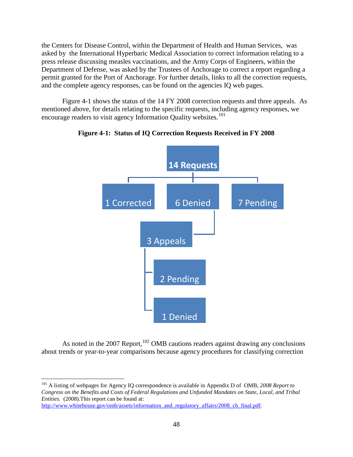the Centers for Disease Control, within the Department of Health and Human Services, was asked by the International Hyperbaric Medical Association to correct information relating to a press release discussing measles vaccinations, and the Army Corps of Engineers, within the Department of Defense, was asked by the Trustees of Anchorage to correct a report regarding a permit granted for the Port of Anchorage. For further details, links to all the correction requests, and the complete agency responses, can be found on the agencies IQ web pages.

Figure 4-1 shows the status of the 14 FY 2008 correction requests and three appeals*.* As mentioned above, for details relating to the specific requests, including agency responses, we encourage readers to visit agency Information Quality websites.<sup>[101](#page-48-0)</sup>



# **Figure 4-1: Status of IQ Correction Requests Received in FY 2008**

As noted in the 2007 Report,  $102$  OMB cautions readers against drawing any conclusions about trends or year-to-year comparisons because agency procedures for classifying correction

<span id="page-48-1"></span><span id="page-48-0"></span><sup>101</sup> A listing of webpages for Agency IQ correspondence is available in Appendix D of OMB, *2008 Report to Congress on the Benefits and Costs of Federal Regulations and Unfunded Mandates on State, Local, and Tribal Entities.* (2008).This report can be found at: [http://www.whitehouse.gov/omb/assets/information\\_and\\_regulatory\\_affairs/2008\\_cb\\_final.pdf.](http://www.whitehouse.gov/omb/assets/information_and_regulatory_affairs/2008_cb_final.pdf)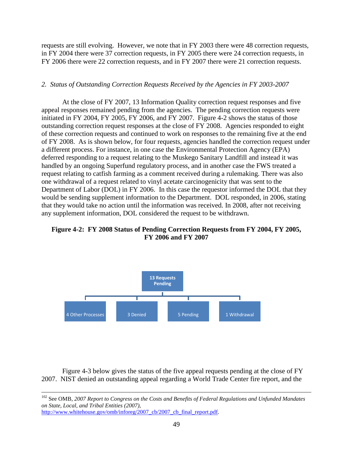requests are still evolving. However, we note that in FY 2003 there were 48 correction requests, in FY 2004 there were 37 correction requests, in FY 2005 there were 24 correction requests, in FY 2006 there were 22 correction requests, and in FY 2007 there were 21 correction requests.

## *2. Status of Outstanding Correction Requests Received by the Agencies in FY 2003-2007*

At the close of FY 2007, 13 Information Quality correction request responses and five appeal responses remained pending from the agencies. The pending correction requests were initiated in FY 2004, FY 2005, FY 2006, and FY 2007. Figure 4-2 shows the status of those outstanding correction request responses at the close of FY 2008. Agencies responded to eight of these correction requests and continued to work on responses to the remaining five at the end of FY 2008. As is shown below, for four requests, agencies handled the correction request under a different process. For instance, in one case the Environmental Protection Agency (EPA) deferred responding to a request relating to the Muskego Sanitary Landfill and instead it was handled by an ongoing Superfund regulatory process, and in another case the FWS treated a request relating to catfish farming as a comment received during a rulemaking. There was also one withdrawal of a request related to vinyl acetate carcinogenicity that was sent to the Department of Labor (DOL) in FY 2006. In this case the requestor informed the DOL that they would be sending supplement information to the Department. DOL responded, in 2006, stating that they would take no action until the information was received. In 2008, after not receiving any supplement information, DOL considered the request to be withdrawn.

# **Figure 4-2: FY 2008 Status of Pending Correction Requests from FY 2004, FY 2005, FY 2006 and FY 2007**



Figure 4-3 below gives the status of the five appeal requests pending at the close of FY 2007. NIST denied an outstanding appeal regarding a World Trade Center fire report, and the

[http://www.whitehouse.gov/omb/inforeg/2007\\_cb/2007\\_cb\\_final\\_report.pdf.](http://www.whitehouse.gov/omb/inforeg/2007_cb/2007_cb_final_report.pdf)

 <sup>102</sup> See OMB, *2007 Report to Congress on the Costs and Benefits of Federal Regulations and Unfunded Mandates on State, Local, and Tribal Entities (2007)*,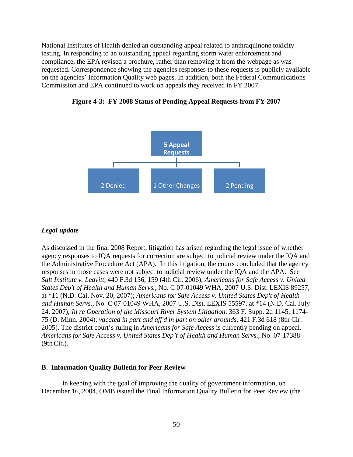National Institutes of Health denied an outstanding appeal related to anthraquinone toxicity testing. In responding to an outstanding appeal regarding storm water enforcement and compliance, the EPA revised a brochure, rather than removing it from the webpage as was requested. Correspondence showing the agencies responses to these requests is publicly available on the agencies' Information Quality web pages. In addition, both the Federal Communications Commission and EPA continued to work on appeals they received in FY 2007.





## *Legal update*

As discussed in the final 2008 Report, litigation has arisen regarding the legal issue of whether agency responses to IQA requests for correction are subject to judicial review under the IQA and the Administrative Procedure Act (APA). In this litigation, the courts concluded that the agency responses in those cases were not subject to judicial review under the IQA and the APA. See *Salt Institute v. Leavitt*, 440 F.3d 156, 159 (4th Cir. 2006); *Americans for Safe Access v. United States Dep't of Health and Human Servs.,* No. C 07-01049 WHA, 2007 U.S. Dist. LEXIS 89257, at \*11 (N.D. Cal. Nov. 20, 2007); *Americans for Safe Access v. United States Dep't of Health and Human Servs*., No. C 07-01049 WHA, 2007 U.S. Dist. LEXIS 55597, at \*14 (N.D. Cal. July 24, 2007); *In re Operation of the Missouri River System Litigation*, 363 F. Supp. 2d 1145, 1174- 75 (D. Minn. 2004), *vacated in part and aff'd in part on other grounds*, 421 F.3d 618 (8th Cir. 2005). The district court's ruling in *Americans for Safe Access* is currently pending on appeal. *Americans for Safe Access v. United States Dep't of Health and Human Servs*., No. 07-17388 (9thCir.).

#### **B. Information Quality Bulletin for Peer Review**

In keeping with the goal of improving the quality of government information, on December 16, 2004, OMB issued the Final Information Quality Bulletin for Peer Review (the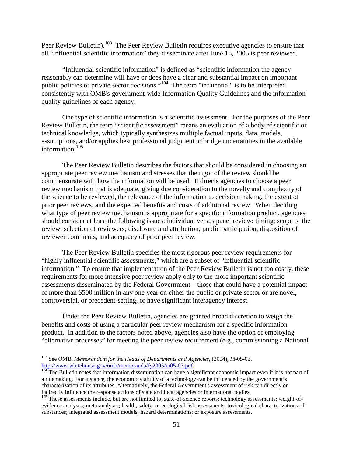Peer Review Bulletin).<sup>[103](#page-51-0)</sup> The Peer Review Bulletin requires executive agencies to ensure that all "influential scientific information" they disseminate after June 16, 2005 is peer reviewed.

"Influential scientific information" is defined as "scientific information the agency reasonably can determine will have or does have a clear and substantial impact on important public policies or private sector decisions."[104](#page-51-1) The term "influential" is to be interpreted consistently with OMB's government-wide Information Quality Guidelines and the information quality guidelines of each agency.

One type of scientific information is a scientific assessment. For the purposes of the Peer Review Bulletin, the term "scientific assessment" means an evaluation of a body of scientific or technical knowledge, which typically synthesizes multiple factual inputs, data, models, assumptions, and/or applies best professional judgment to bridge uncertainties in the available information.[105](#page-51-2)

The Peer Review Bulletin describes the factors that should be considered in choosing an appropriate peer review mechanism and stresses that the rigor of the review should be commensurate with how the information will be used. It directs agencies to choose a peer review mechanism that is adequate, giving due consideration to the novelty and complexity of the science to be reviewed, the relevance of the information to decision making, the extent of prior peer reviews, and the expected benefits and costs of additional review. When deciding what type of peer review mechanism is appropriate for a specific information product, agencies should consider at least the following issues: individual versus panel review; timing; scope of the review; selection of reviewers; disclosure and attribution; public participation; disposition of reviewer comments; and adequacy of prior peer review.

The Peer Review Bulletin specifies the most rigorous peer review requirements for "highly influential scientific assessments," which are a subset of "influential scientific information." To ensure that implementation of the Peer Review Bulletin is not too costly, these requirements for more intensive peer review apply only to the more important scientific assessments disseminated by the Federal Government – those that could have a potential impact of more than \$500 million in any one year on either the public or private sector or are novel, controversial, or precedent-setting, or have significant interagency interest.

Under the Peer Review Bulletin, agencies are granted broad discretion to weigh the benefits and costs of using a particular peer review mechanism for a specific information product. In addition to the factors noted above, agencies also have the option of employing "alternative processes" for meeting the peer review requirement (e.g., commissioning a National

<span id="page-51-0"></span><sup>103</sup> See OMB, *Memorandum for the Heads of Departments and Agencies*, (2004), M-05-03, http://www.whitehouse.gov/omb/memoranda/fy2005/m05-03.pdf.<br><sup>104</sup> The Bulletin notes that information dissemination can have a significant economic impact even if it is not part of

<span id="page-51-1"></span>a rulemaking. For instance, the economic viability of a technology can be influenced by the government's characterization of its attributes. Alternatively, the Federal Government's assessment of risk can directly or indirectly influence the response actions of state and local agencies or international bodies.

<span id="page-51-2"></span><sup>&</sup>lt;sup>105</sup> These assessments include, but are not limited to, state-of-science reports; technology assessments; weight-ofevidence analyses; meta-analyses; health, safety, or ecological risk assessments; toxicological characterizations of substances; integrated assessment models; hazard determinations; or exposure assessments.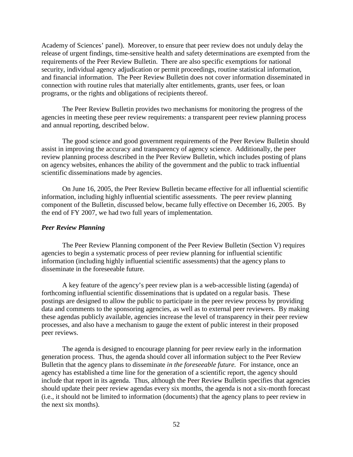Academy of Sciences' panel). Moreover, to ensure that peer review does not unduly delay the release of urgent findings, time-sensitive health and safety determinations are exempted from the requirements of the Peer Review Bulletin. There are also specific exemptions for national security, individual agency adjudication or permit proceedings, routine statistical information, and financial information. The Peer Review Bulletin does not cover information disseminated in connection with routine rules that materially alter entitlements, grants, user fees, or loan programs, or the rights and obligations of recipients thereof.

The Peer Review Bulletin provides two mechanisms for monitoring the progress of the agencies in meeting these peer review requirements: a transparent peer review planning process and annual reporting, described below.

The good science and good government requirements of the Peer Review Bulletin should assist in improving the accuracy and transparency of agency science. Additionally, the peer review planning process described in the Peer Review Bulletin, which includes posting of plans on agency websites, enhances the ability of the government and the public to track influential scientific disseminations made by agencies.

On June 16, 2005, the Peer Review Bulletin became effective for all influential scientific information, including highly influential scientific assessments. The peer review planning component of the Bulletin, discussed below, became fully effective on December 16, 2005. By the end of FY 2007, we had two full years of implementation.

## *Peer Review Planning*

The Peer Review Planning component of the Peer Review Bulletin (Section V) requires agencies to begin a systematic process of peer review planning for influential scientific information (including highly influential scientific assessments) that the agency plans to disseminate in the foreseeable future.

A key feature of the agency's peer review plan is a web-accessible listing (agenda) of forthcoming influential scientific disseminations that is updated on a regular basis. These postings are designed to allow the public to participate in the peer review process by providing data and comments to the sponsoring agencies, as well as to external peer reviewers. By making these agendas publicly available, agencies increase the level of transparency in their peer review processes, and also have a mechanism to gauge the extent of public interest in their proposed peer reviews.

The agenda is designed to encourage planning for peer review early in the information generation process. Thus, the agenda should cover all information subject to the Peer Review Bulletin that the agency plans to disseminate *in the foreseeable future.* For instance, once an agency has established a time line for the generation of a scientific report, the agency should include that report in its agenda. Thus, although the Peer Review Bulletin specifies that agencies should update their peer review agendas every six months, the agenda is not a six-month forecast (i.e., it should not be limited to information (documents) that the agency plans to peer review in the next six months).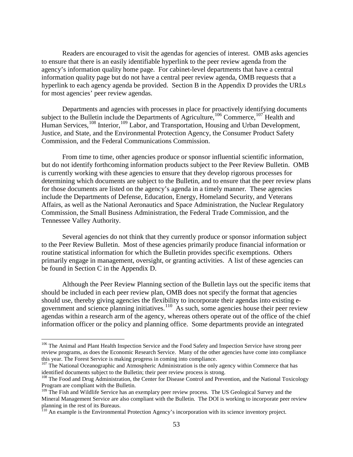Readers are encouraged to visit the agendas for agencies of interest. OMB asks agencies to ensure that there is an easily identifiable hyperlink to the peer review agenda from the agency's information quality home page. For cabinet-level departments that have a central information quality page but do not have a central peer review agenda, OMB requests that a hyperlink to each agency agenda be provided. Section B in the Appendix D provides the URLs for most agencies' peer review agendas.

Departments and agencies with processes in place for proactively identifying documents subject to the Bulletin include the Departments of Agriculture,<sup>[106](#page-53-0)</sup> Commerce,<sup>[107](#page-53-1)</sup> Health and Human Services,<sup>108</sup> Interior,<sup>[109](#page-53-3)</sup> Labor, and Transportation, Housing and Urban Development, Justice, and State, and the Environmental Protection Agency, the Consumer Product Safety Commission, and the Federal Communications Commission.

From time to time, other agencies produce or sponsor influential scientific information, but do not identify forthcoming information products subject to the Peer Review Bulletin. OMB is currently working with these agencies to ensure that they develop rigorous processes for determining which documents are subject to the Bulletin, and to ensure that the peer review plans for those documents are listed on the agency's agenda in a timely manner. These agencies include the Departments of Defense, Education, Energy, Homeland Security, and Veterans Affairs, as well as the National Aeronautics and Space Administration, the Nuclear Regulatory Commission, the Small Business Administration, the Federal Trade Commission, and the Tennessee Valley Authority.

Several agencies do not think that they currently produce or sponsor information subject to the Peer Review Bulletin. Most of these agencies primarily produce financial information or routine statistical information for which the Bulletin provides specific exemptions. Others primarily engage in management, oversight, or granting activities. A list of these agencies can be found in Section C in the Appendix D.

Although the Peer Review Planning section of the Bulletin lays out the specific items that should be included in each peer review plan, OMB does not specify the format that agencies should use, thereby giving agencies the flexibility to incorporate their agendas into existing egovernment and science planning initiatives. $110$  As such, some agencies house their peer review agendas within a research arm of the agency, whereas others operate out of the office of the chief information officer or the policy and planning office. Some departments provide an integrated

<span id="page-53-0"></span><sup>&</sup>lt;sup>106</sup> The Animal and Plant Health Inspection Service and the Food Safety and Inspection Service have strong peer review programs, as does the Economic Research Service. Many of the other agencies have come into compliance this year. The Forest Service is making progress in coming into compliance.

<span id="page-53-1"></span><sup>&</sup>lt;sup>107</sup> The National Oceanographic and Atmospheric Administration is the only agency within Commerce that has identified documents subject to the Bulletin; their peer review process is strong.

<span id="page-53-2"></span><sup>&</sup>lt;sup>108</sup> The Food and Drug Administration, the Center for Disease Control and Prevention, and the National Toxicology Program are compliant with the Bulletin.

<span id="page-53-3"></span><sup>&</sup>lt;sup>109</sup> The Fish and Wildlife Service has an exemplary peer review process. The US Geological Survey and the Mineral Management Service are also compliant with the Bulletin. The DOI is working to incorporate peer review planning in the rest of its Bureaus.

<span id="page-53-4"></span><sup>&</sup>lt;sup>110</sup> An example is the Environmental Protection Agency's incorporation with its science inventory project.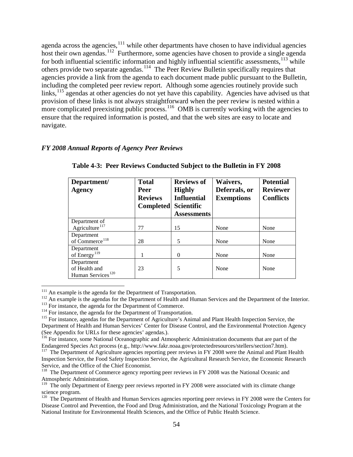agenda across the agencies, $111$  while other departments have chosen to have individual agencies host their own agendas.<sup>[112](#page-54-1)</sup> Furthermore, some agencies have chosen to provide a single agenda for both influential scientific information and highly influential scientific assessments,<sup>[113](#page-54-2)</sup> while others provide two separate agendas.<sup>114</sup> The Peer Review Bulletin specifically requires that agencies provide a link from the agenda to each document made public pursuant to the Bulletin, including the completed peer review report. Although some agencies routinely provide such links,<sup>[115](#page-54-4)</sup> agendas at other agencies do not yet have this capability. Agencies have advised us that provision of these links is not always straightforward when the peer review is nested within a more complicated preexisting public process.<sup>[116](#page-54-5)</sup> OMB is currently working with the agencies to ensure that the required information is posted, and that the web sites are easy to locate and navigate.

## *FY 2008 Annual Reports of Agency Peer Reviews*

| Department/<br><b>Agency</b>                                 | <b>Total</b><br><b>Peer</b><br><b>Reviews</b><br><b>Completed</b> | <b>Reviews of</b><br><b>Highly</b><br><b>Influential</b><br><b>Scientific</b><br><b>Assessments</b> | Waivers,<br>Deferrals, or<br><b>Exemptions</b> | <b>Potential</b><br><b>Reviewer</b><br><b>Conflicts</b> |
|--------------------------------------------------------------|-------------------------------------------------------------------|-----------------------------------------------------------------------------------------------------|------------------------------------------------|---------------------------------------------------------|
| Department of<br>Agriculture <sup>117</sup>                  | 77                                                                | 15                                                                                                  | None                                           | None                                                    |
| Department<br>of Commerce <sup>118</sup>                     | 28                                                                | 5                                                                                                   | None                                           | None                                                    |
| Department<br>of Energy <sup>119</sup>                       |                                                                   | $\Omega$                                                                                            | None                                           | None                                                    |
| Department<br>of Health and<br>Human Services <sup>120</sup> | 23                                                                | 5                                                                                                   | None                                           | None                                                    |

# **Table 4-3: Peer Reviews Conducted Subject to the Bulletin in FY 2008**

<sup>111</sup> An example is the agenda for the Department of Transportation.

<span id="page-54-2"></span><span id="page-54-1"></span><span id="page-54-0"></span><sup>112</sup> An example is the agendas for the Department of Health and Human Services and the Department of the Interior.<br><sup>113</sup> For instance, the agenda for the Department of Commerce.<br><sup>114</sup> For instance, the agenda for the Dep

<span id="page-54-4"></span><span id="page-54-3"></span>Department of Health and Human Services' Center for Disease Control, and the Environmental Protection Agency (See Appendix for URLs for these agencies' agendas.).

<span id="page-54-5"></span><sup>&</sup>lt;sup>116</sup> For instance, some National Oceanographic and Atmospheric Administration documents that are part of the Endangered Species Act process (e.g., http://www.fakr.noaa.gov/protectedresources/stellers/section7.htm).

<span id="page-54-6"></span><sup>&</sup>lt;sup>117</sup> The Department of Agriculture agencies reporting peer reviews in FY 2008 were the Animal and Plant Health Inspection Service, the Food Safety Inspection Service, the Agricultural Research Service, the Economic Research

<span id="page-54-7"></span> $118$  The Department of Commerce agency reporting peer reviews in FY 2008 was the National Oceanic and Atmospheric Administration.

<span id="page-54-8"></span><sup>&</sup>lt;sup>119</sup> The only Department of Energy peer reviews reported in FY 2008 were associated with its climate change science program.

<span id="page-54-9"></span> $120$  The Department of Health and Human Services agencies reporting peer reviews in FY 2008 were the Centers for Disease Control and Prevention, the Food and Drug Administration, and the National Toxicology Program at the National Institute for Environmental Health Sciences, and the Office of Public Health Science.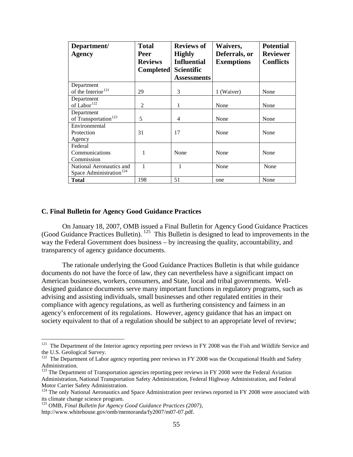| Department/                         | <b>Total</b>     | <b>Reviews of</b>  | Waivers,          | <b>Potential</b> |
|-------------------------------------|------------------|--------------------|-------------------|------------------|
| <b>Agency</b>                       | Peer             | <b>Highly</b>      | Deferrals, or     | <b>Reviewer</b>  |
|                                     | <b>Reviews</b>   | <b>Influential</b> | <b>Exemptions</b> | <b>Conflicts</b> |
|                                     | <b>Completed</b> | <b>Scientific</b>  |                   |                  |
|                                     |                  | <b>Assessments</b> |                   |                  |
| Department                          |                  |                    |                   |                  |
| of the Interior <sup>121</sup>      | 29               | 3                  | 1 (Waiver)        | None             |
| Department                          |                  |                    |                   |                  |
| of Labor <sup>122</sup>             | 2                | 1                  | None              | None             |
| Department                          |                  |                    |                   |                  |
| of Transportation <sup>123</sup>    | 5                | 4                  | None              | None             |
| Environmental                       |                  |                    |                   |                  |
| Protection                          | 31               | 17                 | None              | None             |
| Agency                              |                  |                    |                   |                  |
| Federal                             |                  |                    |                   |                  |
| Communications                      |                  | None               | None              | None             |
| Commission                          |                  |                    |                   |                  |
| National Aeronautics and            | 1                | 1                  | None              | None             |
| Space Administration <sup>124</sup> |                  |                    |                   |                  |
| <b>Total</b>                        | 198              | 51                 | one               | None             |

## **C. Final Bulletin for Agency Good Guidance Practices**

On January 18, 2007, OMB issued a Final Bulletin for Agency Good Guidance Practices (Good Guidance Practices Bulletin).  $125$  This Bulletin is designed to lead to improvements in the way the Federal Government does business – by increasing the quality, accountability, and transparency of agency guidance documents.

The rationale underlying the Good Guidance Practices Bulletin is that while guidance documents do not have the force of law, they can nevertheless have a significant impact on American businesses, workers, consumers, and State, local and tribal governments. Welldesigned guidance documents serve many important functions in regulatory programs, such as advising and assisting individuals, small businesses and other regulated entities in their compliance with agency regulations, as well as furthering consistency and fairness in an agency's enforcement of its regulations. However, agency guidance that has an impact on society equivalent to that of a regulation should be subject to an appropriate level of review;

<span id="page-55-0"></span> $121$  The Department of the Interior agency reporting peer reviews in FY 2008 was the Fish and Wildlife Service and the U.S. Geological Survey.

<span id="page-55-1"></span><sup>&</sup>lt;sup>122</sup> The Department of Labor agency reporting peer reviews in FY 2008 was the Occupational Health and Safety Administration.

<span id="page-55-2"></span><sup>&</sup>lt;sup>123</sup> The Department of Transportation agencies reporting peer reviews in FY 2008 were the Federal Aviation Administration, National Transportation Safety Administration, Federal Highway Administration, and Federal Motor Carrier Safety Administration.

<span id="page-55-3"></span><sup>&</sup>lt;sup>124</sup> The only National Aeronautics and Space Administration peer reviews reported in FY 2008 were associated with its climate change science program.

<span id="page-55-4"></span><sup>125</sup> OMB, *Final Bulletin for Agency Good Guidance Practices (2007),* http://www.whitehouse.gov/omb/memoranda/fy2007/m07-07.pdf.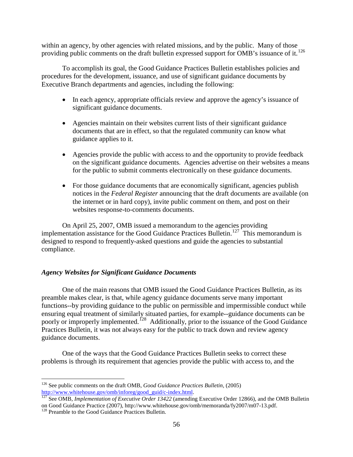within an agency, by other agencies with related missions, and by the public. Many of those providing public comments on the draft bulletin expressed support for OMB's issuance of it.<sup>[126](#page-56-0)</sup>

To accomplish its goal, the Good Guidance Practices Bulletin establishes policies and procedures for the development, issuance, and use of significant guidance documents by Executive Branch departments and agencies, including the following:

- In each agency, appropriate officials review and approve the agency's issuance of significant guidance documents.
- Agencies maintain on their websites current lists of their significant guidance documents that are in effect, so that the regulated community can know what guidance applies to it.
- Agencies provide the public with access to and the opportunity to provide feedback on the significant guidance documents. Agencies advertise on their websites a means for the public to submit comments electronically on these guidance documents.
- For those guidance documents that are economically significant, agencies publish notices in the *Federal Register* announcing that the draft documents are available (on the internet or in hard copy), invite public comment on them, and post on their websites response-to-comments documents.

On April 25, 2007, OMB issued a memorandum to the agencies providing implementation assistance for the Good Guidance Practices Bulletin.<sup>[127](#page-56-1)</sup> This memorandum is designed to respond to frequently-asked questions and guide the agencies to substantial compliance.

## *Agency Websites for Significant Guidance Documents*

One of the main reasons that OMB issued the Good Guidance Practices Bulletin, as its preamble makes clear, is that, while agency guidance documents serve many important functions--by providing guidance to the public on permissible and impermissible conduct while ensuring equal treatment of similarly situated parties, for example--guidance documents can be poorly or improperly implemented.<sup>[128](#page-56-2)</sup> Additionally, prior to the issuance of the Good Guidance Practices Bulletin, it was not always easy for the public to track down and review agency guidance documents.

One of the ways that the Good Guidance Practices Bulletin seeks to correct these problems is through its requirement that agencies provide the public with access to, and the

 $\overline{a}$ <sup>126</sup> See public comments on the draft OMB, *Good Guidance Practices Bulletin*, (2005)

<span id="page-56-1"></span><span id="page-56-0"></span>[http://www.whitehouse.gov/omb/inforeg/good\\_guid/c-index.html. 127](http://www.whitehouse.gov/omb/inforeg/good_guid/c-index.html) See OMB, *Implementation of Executive Order 13422* (amending Executive Order 12866), and the OMB Bulletin on Good Guidance Practice (2007), http://www.whitehouse.gov/omb/memoranda/fy2007/m07-13.pdf. 128 Preamble to the Good Guidance Practices Bulletin.

<span id="page-56-2"></span>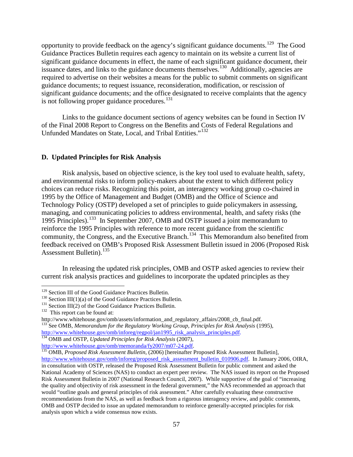opportunity to provide feedback on the agency's significant guidance documents.<sup>[129](#page-57-0)</sup> The Good Guidance Practices Bulletin requires each agency to maintain on its website a current list of significant guidance documents in effect, the name of each significant guidance document, their issuance dates, and links to the guidance documents themselves.<sup>[130](#page-57-1)</sup> Additionally, agencies are required to advertise on their websites a means for the public to submit comments on significant guidance documents; to request issuance, reconsideration, modification, or rescission of significant guidance documents; and the office designated to receive complaints that the agency is not following proper guidance procedures.<sup>[131](#page-57-2)</sup>

 Links to the guidance document sections of agency websites can be found in Section IV of the Final 2008 Report to Congress on the Benefits and Costs of Federal Regulations and Unfunded Mandates on State, Local, and Tribal Entities."[132](#page-57-3)

## **D. Updated Principles for Risk Analysis**

Risk analysis, based on objective science, is the key tool used to evaluate health, safety, and environmental risks to inform policy-makers about the extent to which different policy choices can reduce risks. Recognizing this point, an interagency working group co-chaired in 1995 by the Office of Management and Budget (OMB) and the Office of Science and Technology Policy (OSTP) developed a set of principles to guide policymakers in assessing, managing, and communicating policies to address environmental, health, and safety risks (the 1995 Principles).[133](#page-57-4) In September 2007, OMB and OSTP issued a joint memorandum to reinforce the 1995 Principles with reference to more recent guidance from the scientific community, the Congress, and the Executive Branch.<sup>[134](#page-57-5)</sup> This Memorandum also benefited from feedback received on OMB's Proposed Risk Assessment Bulletin issued in 2006 (Proposed Risk Assessment Bulletin). $135$ 

In releasing the updated risk principles, OMB and OSTP asked agencies to review their current risk analysis practices and guidelines to incorporate the updated principles as they

<sup>&</sup>lt;sup>129</sup> Section III of the Good Guidance Practices Bulletin.

<span id="page-57-1"></span><span id="page-57-0"></span><sup>&</sup>lt;sup>130</sup> Section III(1)(a) of the Good Guidance Practices Bulletin.<br><sup>131</sup> Section III(2) of the Good Guidance Practices Bulletin.<br><sup>132</sup> This report can be found at:

<span id="page-57-2"></span>

<span id="page-57-4"></span><span id="page-57-3"></span>http://www.whitehouse.gov/omb/assets/information\_and\_regulatory\_affairs/2008\_cb\_final.pdf. <sup>133</sup> See OMB, *Memorandum for the Regulatory Working Group, Principles for Risk Analysis* (1995), [http://www.whitehouse.gov/omb/inforeg/regpol/jan1995\\_risk\\_analysis\\_principles.pdf.](http://www.whitehouse.gov/omb/inforeg/regpol/jan1995_risk_analysis_principles.pdf)<br><sup>134</sup> OMB and OSTP, *Updated Principles for Risk Analysis* (2007),<br>http://www.whitehouse.gov/omb/memoranda/fy2007/m07-24.pdf.

<span id="page-57-5"></span>

<span id="page-57-6"></span>http://www.whitehouse.gov/omb/memoralson-memoral<br>135 OMB, *Proposed Risk Assessment Bulletin*, (2006) [hereinafter Proposed Risk Assessment Bulletin], [http://www.whitehouse.gov/omb/inforeg/proposed\\_risk\\_assessment\\_bulletin\\_010906.pdf.](http://www.whitehouse.gov/omb/inforeg/proposed_risk_assessment_bulletin_010906.pdf) In January 2006, OIRA, in consultation with OSTP, released the Proposed Risk Assessment Bulletin for public comment and asked the National Academy of Sciences (NAS) to conduct an expert peer review. The NAS issued its report on the Proposed Risk Assessment Bulletin in 2007 (National Research Council, 2007). While supportive of the goal of "increasing the quality and objectivity of risk assessment in the federal government," the NAS recommended an approach that would "outline goals and general principles of risk assessment." After carefully evaluating these constructive recommendations from the NAS, as well as feedback from a rigorous interagency review, and public comments, OMB and OSTP decided to issue an updated memorandum to reinforce generally-accepted principles for risk analysis upon which a wide consensus now exists.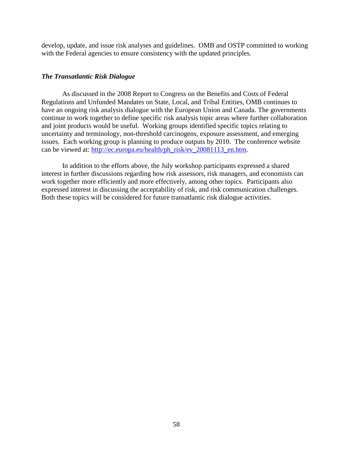develop, update, and issue risk analyses and guidelines. OMB and OSTP committed to working with the Federal agencies to ensure consistency with the updated principles.

## *The Transatlantic Risk Dialogue*

As discussed in the 2008 Report to Congress on the Benefits and Costs of Federal Regulations and Unfunded Mandates on State, Local, and Tribal Entities, OMB continues to have an ongoing risk analysis dialogue with the European Union and Canada. The governments continue to work together to define specific risk analysis topic areas where further collaboration and joint products would be useful. Working groups identified specific topics relating to uncertainty and terminology, non-threshold carcinogens, exposure assessment, and emerging issues. Each working group is planning to produce outputs by 2010. The conference website can be viewed at: [http://ec.europa.eu/health/ph\\_risk/ev\\_20081113\\_en.htm.](http://ec.europa.eu/health/ph_risk/ev_20081113_en.htm)

In addition to the efforts above, the July workshop participants expressed a shared interest in further discussions regarding how risk assessors, risk managers, and economists can work together more efficiently and more effectively, among other topics. Participants also expressed interest in discussing the acceptability of risk, and risk communication challenges. Both these topics will be considered for future transatlantic risk dialogue activities.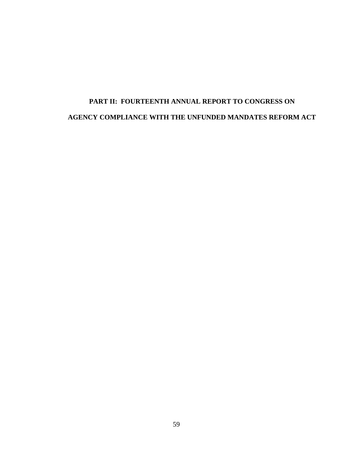# **PART II: FOURTEENTH ANNUAL REPORT TO CONGRESS ON AGENCY COMPLIANCE WITH THE UNFUNDED MANDATES REFORM ACT**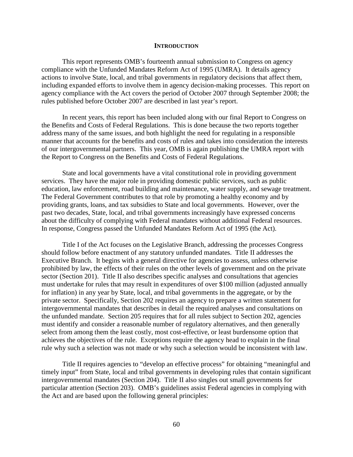#### **INTRODUCTION**

This report represents OMB's fourteenth annual submission to Congress on agency compliance with the Unfunded Mandates Reform Act of 1995 (UMRA). It details agency actions to involve State, local, and tribal governments in regulatory decisions that affect them, including expanded efforts to involve them in agency decision-making processes. This report on agency compliance with the Act covers the period of October 2007 through September 2008; the rules published before October 2007 are described in last year's report.

 In recent years, this report has been included along with our final Report to Congress on the Benefits and Costs of Federal Regulations. This is done because the two reports together address many of the same issues, and both highlight the need for regulating in a responsible manner that accounts for the benefits and costs of rules and takes into consideration the interests of our intergovernmental partners. This year, OMB is again publishing the UMRA report with the Report to Congress on the Benefits and Costs of Federal Regulations.

 State and local governments have a vital constitutional role in providing government services. They have the major role in providing domestic public services, such as public education, law enforcement, road building and maintenance, water supply, and sewage treatment. The Federal Government contributes to that role by promoting a healthy economy and by providing grants, loans, and tax subsidies to State and local governments. However, over the past two decades, State, local, and tribal governments increasingly have expressed concerns about the difficulty of complying with Federal mandates without additional Federal resources. In response, Congress passed the Unfunded Mandates Reform Act of 1995 (the Act).

Title I of the Act focuses on the Legislative Branch, addressing the processes Congress should follow before enactment of any statutory unfunded mandates. Title II addresses the Executive Branch. It begins with a general directive for agencies to assess, unless otherwise prohibited by law, the effects of their rules on the other levels of government and on the private sector (Section 201). Title II also describes specific analyses and consultations that agencies must undertake for rules that may result in expenditures of over \$100 million (adjusted annually for inflation) in any year by State, local, and tribal governments in the aggregate, or by the private sector. Specifically, Section 202 requires an agency to prepare a written statement for intergovernmental mandates that describes in detail the required analyses and consultations on the unfunded mandate. Section 205 requires that for all rules subject to Section 202, agencies must identify and consider a reasonable number of regulatory alternatives, and then generally select from among them the least costly, most cost-effective, or least burdensome option that achieves the objectives of the rule. Exceptions require the agency head to explain in the final rule why such a selection was not made or why such a selection would be inconsistent with law.

Title II requires agencies to "develop an effective process" for obtaining "meaningful and timely input" from State, local and tribal governments in developing rules that contain significant intergovernmental mandates (Section 204). Title II also singles out small governments for particular attention (Section 203). OMB's guidelines assist Federal agencies in complying with the Act and are based upon the following general principles: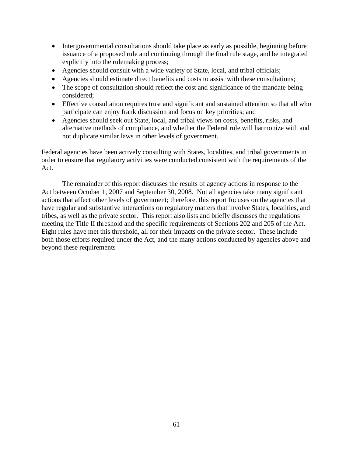- Intergovernmental consultations should take place as early as possible, beginning before issuance of a proposed rule and continuing through the final rule stage, and be integrated explicitly into the rulemaking process;
- Agencies should consult with a wide variety of State, local, and tribal officials;
- Agencies should estimate direct benefits and costs to assist with these consultations;
- The scope of consultation should reflect the cost and significance of the mandate being considered;
- Effective consultation requires trust and significant and sustained attention so that all who participate can enjoy frank discussion and focus on key priorities; and
- Agencies should seek out State, local, and tribal views on costs, benefits, risks, and alternative methods of compliance, and whether the Federal rule will harmonize with and not duplicate similar laws in other levels of government.

Federal agencies have been actively consulting with States, localities, and tribal governments in order to ensure that regulatory activities were conducted consistent with the requirements of the Act.

 The remainder of this report discusses the results of agency actions in response to the Act between October 1, 2007 and September 30, 2008. Not all agencies take many significant actions that affect other levels of government; therefore, this report focuses on the agencies that have regular and substantive interactions on regulatory matters that involve States, localities, and tribes, as well as the private sector. This report also lists and briefly discusses the regulations meeting the Title II threshold and the specific requirements of Sections 202 and 205 of the Act. Eight rules have met this threshold, all for their impacts on the private sector. These include both those efforts required under the Act, and the many actions conducted by agencies above and beyond these requirements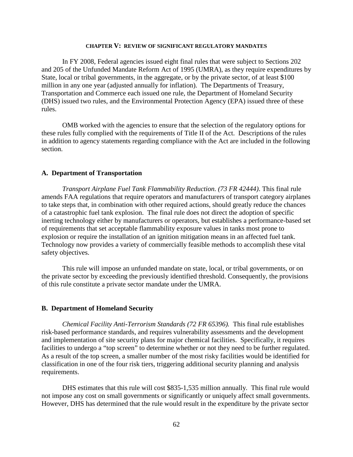#### **CHAPTER V: REVIEW OF SIGNIFICANT REGULATORY MANDATES**

In FY 2008, Federal agencies issued eight final rules that were subject to Sections 202 and 205 of the Unfunded Mandate Reform Act of 1995 (UMRA), as they require expenditures by State, local or tribal governments, in the aggregate, or by the private sector, of at least \$100 million in any one year (adjusted annually for inflation). The Departments of Treasury, Transportation and Commerce each issued one rule, the Department of Homeland Security (DHS) issued two rules, and the Environmental Protection Agency (EPA) issued three of these rules.

OMB worked with the agencies to ensure that the selection of the regulatory options for these rules fully complied with the requirements of Title II of the Act. Descriptions of the rules in addition to agency statements regarding compliance with the Act are included in the following section.

## **A. Department of Transportation**

*Transport Airplane Fuel Tank Flammability Reduction. (73 FR 42444)*. This final rule amends FAA regulations that require operators and manufacturers of transport category airplanes to take steps that, in combination with other required actions, should greatly reduce the chances of a catastrophic fuel tank explosion. The final rule does not direct the adoption of specific inerting technology either by manufacturers or operators, but establishes a performance-based set of requirements that set acceptable flammability exposure values in tanks most prone to explosion or require the installation of an ignition mitigation means in an affected fuel tank. Technology now provides a variety of commercially feasible methods to accomplish these vital safety objectives.

This rule will impose an unfunded mandate on state, local, or tribal governments, or on the private sector by exceeding the previously identified threshold. Consequently, the provisions of this rule constitute a private sector mandate under the UMRA.

#### **B. Department of Homeland Security**

*Chemical Facility Anti-Terrorism Standards (72 FR 65396).* This final rule establishes risk-based performance standards, and requires vulnerability assessments and the development and implementation of site security plans for major chemical facilities. Specifically, it requires facilities to undergo a "top screen" to determine whether or not they need to be further regulated. As a result of the top screen, a smaller number of the most risky facilities would be identified for classification in one of the four risk tiers, triggering additional security planning and analysis requirements.

DHS estimates that this rule will cost \$835-1,535 million annually. This final rule would not impose any cost on small governments or significantly or uniquely affect small governments. However, DHS has determined that the rule would result in the expenditure by the private sector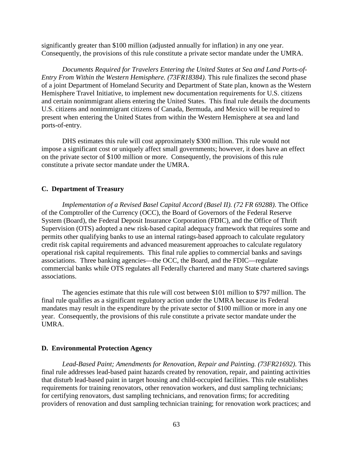significantly greater than \$100 million (adjusted annually for inflation) in any one year. Consequently, the provisions of this rule constitute a private sector mandate under the UMRA.

*Documents Required for Travelers Entering the United States at Sea and Land Ports-of-Entry From Within the Western Hemisphere. (73FR18384)*. This rule finalizes the second phase of a joint Department of Homeland Security and Department of State plan, known as the Western Hemisphere Travel Initiative, to implement new documentation requirements for U.S. citizens and certain nonimmigrant aliens entering the United States. This final rule details the documents U.S. citizens and nonimmigrant citizens of Canada, Bermuda, and Mexico will be required to present when entering the United States from within the Western Hemisphere at sea and land ports-of-entry.

DHS estimates this rule will cost approximately \$300 million. This rule would not impose a significant cost or uniquely affect small governments; however, it does have an effect on the private sector of \$100 million or more. Consequently, the provisions of this rule constitute a private sector mandate under the UMRA.

## **C. Department of Treasury**

*Implementation of a Revised Basel Capital Accord (Basel II). (72 FR 69288)*. The Office of the Comptroller of the Currency (OCC), the Board of Governors of the Federal Reserve System (Board), the Federal Deposit Insurance Corporation (FDIC), and the Office of Thrift Supervision (OTS) adopted a new risk-based capital adequacy framework that requires some and permits other qualifying banks to use an internal ratings-based approach to calculate regulatory credit risk capital requirements and advanced measurement approaches to calculate regulatory operational risk capital requirements. This final rule applies to commercial banks and savings associations. Three banking agencies—the OCC, the Board, and the FDIC—regulate commercial banks while OTS regulates all Federally chartered and many State chartered savings associations.

The agencies estimate that this rule will cost between \$101 million to \$797 million. The final rule qualifies as a significant regulatory action under the UMRA because its Federal mandates may result in the expenditure by the private sector of \$100 million or more in any one year. Consequently, the provisions of this rule constitute a private sector mandate under the UMRA.

#### **D. Environmental Protection Agency**

*Lead-Based Paint; Amendments for Renovation, Repair and Painting. (73FR21692)*. This final rule addresses lead-based paint hazards created by renovation, repair, and painting activities that disturb lead-based paint in target housing and child-occupied facilities. This rule establishes requirements for training renovators, other renovation workers, and dust sampling technicians; for certifying renovators, dust sampling technicians, and renovation firms; for accrediting providers of renovation and dust sampling technician training; for renovation work practices; and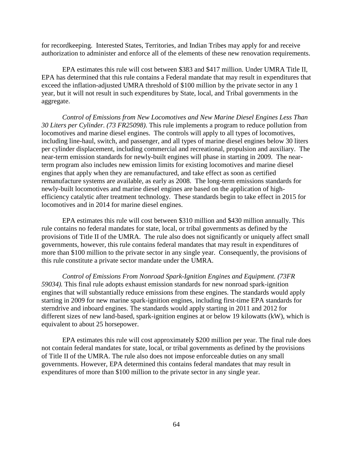for recordkeeping. Interested States, Territories, and Indian Tribes may apply for and receive authorization to administer and enforce all of the elements of these new renovation requirements.

EPA estimates this rule will cost between \$383 and \$417 million. Under UMRA Title II, EPA has determined that this rule contains a Federal mandate that may result in expenditures that exceed the inflation-adjusted UMRA threshold of \$100 million by the private sector in any 1 year, but it will not result in such expenditures by State, local, and Tribal governments in the aggregate.

*Control of Emissions from New Locomotives and New Marine Diesel Engines Less Than 30 Liters per Cylinder. (73 FR25098)*. This rule implements a program to reduce pollution from locomotives and marine diesel engines. The controls will apply to all types of locomotives, including line-haul, switch, and passenger, and all types of marine diesel engines below 30 liters per cylinder displacement, including commercial and recreational, propulsion and auxiliary. The near-term emission standards for newly-built engines will phase in starting in 2009. The nearterm program also includes new emission limits for existing locomotives and marine diesel engines that apply when they are remanufactured, and take effect as soon as certified remanufacture systems are available, as early as 2008. The long-term emissions standards for newly-built locomotives and marine diesel engines are based on the application of highefficiency catalytic after treatment technology. These standards begin to take effect in 2015 for locomotives and in 2014 for marine diesel engines.

EPA estimates this rule will cost between \$310 million and \$430 million annually. This rule contains no federal mandates for state, local, or tribal governments as defined by the provisions of Title II of the UMRA. The rule also does not significantly or uniquely affect small governments, however, this rule contains federal mandates that may result in expenditures of more than \$100 million to the private sector in any single year. Consequently, the provisions of this rule constitute a private sector mandate under the UMRA.

*Control of Emissions From Nonroad Spark-Ignition Engines and Equipment. (73FR 59034).* This final rule adopts exhaust emission standards for new nonroad spark-ignition engines that will substantially reduce emissions from these engines. The standards would apply starting in 2009 for new marine spark-ignition engines, including first-time EPA standards for sterndrive and inboard engines. The standards would apply starting in 2011 and 2012 for different sizes of new land-based, spark-ignition engines at or below 19 kilowatts (kW), which is equivalent to about 25 horsepower.

EPA estimates this rule will cost approximately \$200 million per year. The final rule does not contain federal mandates for state, local, or tribal governments as defined by the provisions of Title II of the UMRA. The rule also does not impose enforceable duties on any small governments. However, EPA determined this contains federal mandates that may result in expenditures of more than \$100 million to the private sector in any single year.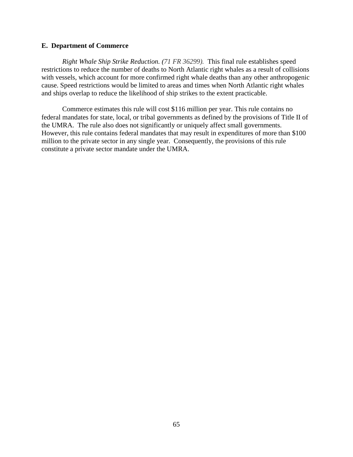## **E. Department of Commerce**

*Right Whale Ship Strike Reduction. (71 FR 36299).* This final rule establishes speed restrictions to reduce the number of deaths to North Atlantic right whales as a result of collisions with vessels, which account for more confirmed right whale deaths than any other anthropogenic cause. Speed restrictions would be limited to areas and times when North Atlantic right whales and ships overlap to reduce the likelihood of ship strikes to the extent practicable.

Commerce estimates this rule will cost \$116 million per year. This rule contains no federal mandates for state, local, or tribal governments as defined by the provisions of Title II of the UMRA. The rule also does not significantly or uniquely affect small governments. However, this rule contains federal mandates that may result in expenditures of more than \$100 million to the private sector in any single year. Consequently, the provisions of this rule constitute a private sector mandate under the UMRA.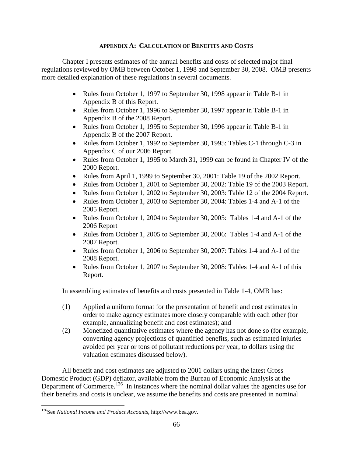## **APPENDIX A: CALCULATION OF BENEFITS AND COSTS**

Chapter I presents estimates of the annual benefits and costs of selected major final regulations reviewed by OMB between October 1, 1998 and September 30, 2008. OMB presents more detailed explanation of these regulations in several documents.

- Rules from October 1, 1997 to September 30, 1998 appear in Table B-1 in Appendix B of this Report.
- Rules from October 1, 1996 to September 30, 1997 appear in Table B-1 in Appendix B of the 2008 Report.
- Rules from October 1, 1995 to September 30, 1996 appear in Table B-1 in Appendix B of the 2007 Report.
- Rules from October 1, 1992 to September 30, 1995: Tables C-1 through C-3 in Appendix C of our 2006 Report.
- Rules from October 1, 1995 to March 31, 1999 can be found in Chapter IV of the 2000 Report.
- Rules from April 1, 1999 to September 30, 2001: Table 19 of the 2002 Report.
- Rules from October 1, 2001 to September 30, 2002: Table 19 of the 2003 Report.
- Rules from October 1, 2002 to September 30, 2003: Table 12 of the 2004 Report.
- Rules from October 1, 2003 to September 30, 2004: Tables 1-4 and A-1 of the 2005 Report.
- Rules from October 1, 2004 to September 30, 2005: Tables 1-4 and A-1 of the 2006 Report
- Rules from October 1, 2005 to September 30, 2006: Tables 1-4 and A-1 of the 2007 Report.
- Rules from October 1, 2006 to September 30, 2007: Tables 1-4 and A-1 of the 2008 Report.
- Rules from October 1, 2007 to September 30, 2008: Tables 1-4 and A-1 of this Report.

In assembling estimates of benefits and costs presented in Table 1-4, OMB has:

- (1) Applied a uniform format for the presentation of benefit and cost estimates in order to make agency estimates more closely comparable with each other (for example, annualizing benefit and cost estimates); and
- (2) Monetized quantitative estimates where the agency has not done so (for example, converting agency projections of quantified benefits, such as estimated injuries avoided per year or tons of pollutant reductions per year, to dollars using the valuation estimates discussed below).

All benefit and cost estimates are adjusted to 2001 dollars using the latest Gross Domestic Product (GDP) deflator, available from the Bureau of Economic Analysis at the Department of Commerce.<sup>[136](#page-66-0)</sup> In instances where the nominal dollar values the agencies use for their benefits and costs is unclear, we assume the benefits and costs are presented in nominal

<span id="page-66-0"></span> $\overline{a}$ 136See *National Income and Product Accounts*, http://www.bea.gov.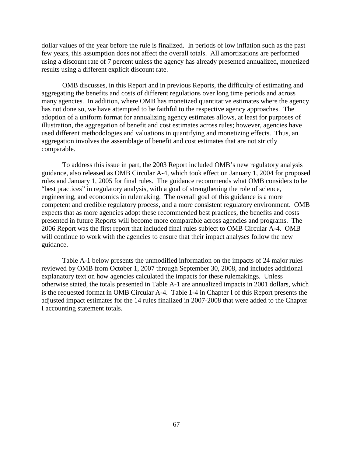dollar values of the year before the rule is finalized. In periods of low inflation such as the past few years, this assumption does not affect the overall totals. All amortizations are performed using a discount rate of 7 percent unless the agency has already presented annualized, monetized results using a different explicit discount rate.

 OMB discusses, in this Report and in previous Reports, the difficulty of estimating and aggregating the benefits and costs of different regulations over long time periods and across many agencies. In addition, where OMB has monetized quantitative estimates where the agency has not done so, we have attempted to be faithful to the respective agency approaches. The adoption of a uniform format for annualizing agency estimates allows, at least for purposes of illustration, the aggregation of benefit and cost estimates across rules; however, agencies have used different methodologies and valuations in quantifying and monetizing effects. Thus, an aggregation involves the assemblage of benefit and cost estimates that are not strictly comparable.

 To address this issue in part, the 2003 Report included OMB's new regulatory analysis guidance, also released as OMB Circular A-4, which took effect on January 1, 2004 for proposed rules and January 1, 2005 for final rules. The guidance recommends what OMB considers to be "best practices" in regulatory analysis, with a goal of strengthening the role of science, engineering, and economics in rulemaking. The overall goal of this guidance is a more competent and credible regulatory process, and a more consistent regulatory environment. OMB expects that as more agencies adopt these recommended best practices, the benefits and costs presented in future Reports will become more comparable across agencies and programs. The 2006 Report was the first report that included final rules subject to OMB Circular A-4. OMB will continue to work with the agencies to ensure that their impact analyses follow the new guidance.

Table A-1 below presents the unmodified information on the impacts of 24 major rules reviewed by OMB from October 1, 2007 through September 30, 2008, and includes additional explanatory text on how agencies calculated the impacts for these rulemakings. Unless otherwise stated, the totals presented in Table A-1 are annualized impacts in 2001 dollars, which is the requested format in OMB Circular A-4. Table 1-4 in Chapter I of this Report presents the adjusted impact estimates for the 14 rules finalized in 2007-2008 that were added to the Chapter I accounting statement totals.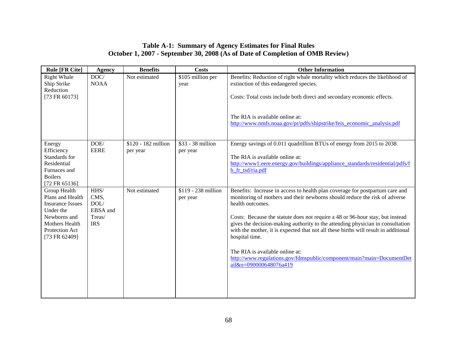# **Table A-1: Summary of Agency Estimates for Final Rules October 1, 2007 - September 30, 2008 (As of Date of Completion of OMB Review)**

| <b>Rule [FR Cite]</b>                                                                                                                         | <b>Agency</b>                                            | <b>Benefits</b>                 | <b>Costs</b>                           | <b>Other Information</b>                                                                                                                                                                                                                                                                                                                                                                                                                                                                                                                                                                         |
|-----------------------------------------------------------------------------------------------------------------------------------------------|----------------------------------------------------------|---------------------------------|----------------------------------------|--------------------------------------------------------------------------------------------------------------------------------------------------------------------------------------------------------------------------------------------------------------------------------------------------------------------------------------------------------------------------------------------------------------------------------------------------------------------------------------------------------------------------------------------------------------------------------------------------|
| <b>Right Whale</b><br>Ship Strike<br>Reduction<br>[73 FR 60173]                                                                               | DOC/<br><b>NOAA</b>                                      | Not estimated                   | $\overline{$105}$$ million per<br>year | Benefits: Reduction of right whale mortality which reduces the likelihood of<br>extinction of this endangered species.<br>Costs: Total costs include both direct and secondary economic effects.<br>The RIA is available online at:<br>http://www.nmfs.noaa.gov/pr/pdfs/shipstrike/feis economic analysis.pdf                                                                                                                                                                                                                                                                                    |
| Energy<br>Efficiency<br>Standards for<br>Residential<br>Furnaces and<br><b>Boilers</b><br>[72 FR 65136]                                       | DOE/<br><b>EERE</b>                                      | \$120 - 182 million<br>per year | \$33 - 38 million<br>per year          | Energy savings of 0.011 quadrillion BTUs of energy from 2015 to 2038.<br>The RIA is available online at:<br>http://www1.eere.energy.gov/buildings/appliance_standards/residential/pdfs/f<br>b_fr_tsd/ria.pdf                                                                                                                                                                                                                                                                                                                                                                                     |
| Group Health<br>Plans and Health<br><b>Insurance Issues</b><br>Under the<br>Newborns and<br>Mothers Health<br>Protection Act<br>[73 FR 62409] | HHS/<br>CMS,<br>DOL/<br>EBSA and<br>Treas/<br><b>IRS</b> | Not estimated                   | \$119 - 238 million<br>per year        | Benefits: Increase in access to health plan coverage for postpartum care and<br>monitoring of mothers and their newborns should reduce the risk of adverse<br>health outcomes.<br>Costs: Because the statute does not require a 48 or 96-hour stay, but instead<br>gives the decision-making authority to the attending physician in consultation<br>with the mother, it is expected that not all these births will result in additional<br>hospital time.<br>The RIA is available online at:<br>http://www.regulations.gov/fdmspublic/component/main?main=DocumentDet<br>ail&o=090000648076a419 |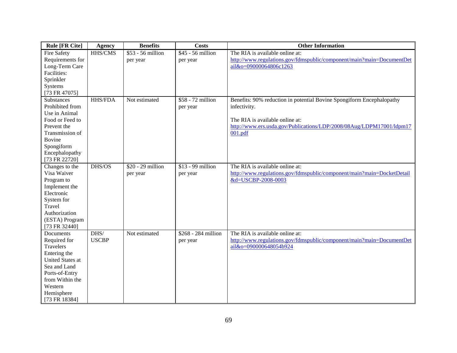| <b>Rule [FR Cite]</b>                                                                                                                                                            | <b>Agency</b>        | <b>Benefits</b>                | <b>Costs</b>                    | <b>Other Information</b>                                                                                                                                                                                    |
|----------------------------------------------------------------------------------------------------------------------------------------------------------------------------------|----------------------|--------------------------------|---------------------------------|-------------------------------------------------------------------------------------------------------------------------------------------------------------------------------------------------------------|
| <b>Fire Safety</b><br>Requirements for<br>Long-Term Care<br>Facilities:<br>Sprinkler<br>Systems<br>[73 FR 47075]                                                                 | HHS/CMS              | \$53 - 56 million<br>per year  | \$45 - 56 million<br>per year   | The RIA is available online at:<br>http://www.regulations.gov/fdmspublic/component/main?main=DocumentDet<br>ail&o=09000064806c1263                                                                          |
| Substances<br>Prohibited from<br>Use in Animal<br>Food or Feed to<br>Prevent the<br>Transmission of<br><b>Bovine</b><br>Spongiform<br>Encephalopathy<br>[73 FR 22720]            | <b>HHS/FDA</b>       | Not estimated                  | \$58 - 72 million<br>per year   | Benefits: 90% reduction in potential Bovine Spongiform Encephalopathy<br>infectivity.<br>The RIA is available online at:<br>http://www.ers.usda.gov/Publications/LDP/2008/08Aug/LDPM17001/ldpm17<br>001.pdf |
| Changes to the<br>Visa Waiver<br>Program to<br>Implement the<br>Electronic<br>System for<br>Travel<br>Authorization<br>(ESTA) Program<br>[73 FR 32440]                           | DHS/OS               | $$20 - 29$ million<br>per year | $$13 - 99$ million<br>per year  | The RIA is available online at:<br>http://www.regulations.gov/fdmspublic/component/main?main=DocketDetail<br>&d=USCBP-2008-0003                                                                             |
| Documents<br>Required for<br>Travelers<br>Entering the<br><b>United States at</b><br>Sea and Land<br>Ports-of-Entry<br>from Within the<br>Western<br>Hemisphere<br>[73 FR 18384] | DHS/<br><b>USCBP</b> | Not estimated                  | \$268 - 284 million<br>per year | The RIA is available online at:<br>http://www.regulations.gov/fdmspublic/component/main?main=DocumentDet<br>ail&o=090000648054b924                                                                          |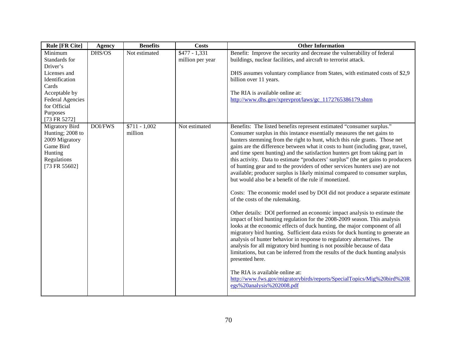| <b>Rule [FR Cite]</b>                                                                                                                                                   | <b>Agency</b>  | <b>Benefits</b>           | <b>Costs</b>                       | <b>Other Information</b>                                                                                                                                                                                                                                                                                                                                                                                                                                                                                                                                                                                                                                                                                                                                                                                                                                                                                                                                                                                                                                                                                                                                                                                                                                                                                                                                                                                                                                                                                                                                  |
|-------------------------------------------------------------------------------------------------------------------------------------------------------------------------|----------------|---------------------------|------------------------------------|-----------------------------------------------------------------------------------------------------------------------------------------------------------------------------------------------------------------------------------------------------------------------------------------------------------------------------------------------------------------------------------------------------------------------------------------------------------------------------------------------------------------------------------------------------------------------------------------------------------------------------------------------------------------------------------------------------------------------------------------------------------------------------------------------------------------------------------------------------------------------------------------------------------------------------------------------------------------------------------------------------------------------------------------------------------------------------------------------------------------------------------------------------------------------------------------------------------------------------------------------------------------------------------------------------------------------------------------------------------------------------------------------------------------------------------------------------------------------------------------------------------------------------------------------------------|
| Minimum<br>Standards for<br>Driver's<br>Licenses and<br>Identification<br>Cards<br>Acceptable by<br><b>Federal Agencies</b><br>for Official<br>Purposes<br>[73 FR 5272] | DHS/OS         | Not estimated             | $$477 - 1,331$<br>million per year | Benefit: Improve the security and decrease the vulnerability of federal<br>buildings, nuclear facilities, and aircraft to terrorist attack.<br>DHS assumes voluntary compliance from States, with estimated costs of \$2,9<br>billion over 11 years.<br>The RIA is available online at:<br>http://www.dhs.gov/xprevprot/laws/gc_1172765386179.shtm                                                                                                                                                                                                                                                                                                                                                                                                                                                                                                                                                                                                                                                                                                                                                                                                                                                                                                                                                                                                                                                                                                                                                                                                        |
| <b>Migratory Bird</b><br>Hunting; 2008 to<br>2009 Migratory<br>Game Bird<br>Hunting<br>Regulations<br>[73 FR 55602]                                                     | <b>DOI/FWS</b> | $$711 - 1,002$<br>million | Not estimated                      | Benefits: The listed benefits represent estimated "consumer surplus."<br>Consumer surplus in this instance essentially measures the net gains to<br>hunters stemming from the right to hunt, which this rule grants. Those net<br>gains are the difference between what it costs to hunt (including gear, travel,<br>and time spent hunting) and the satisfaction hunters get from taking part in<br>this activity. Data to estimate "producers' surplus" (the net gains to producers<br>of hunting gear and to the providers of other services hunters use) are not<br>available; producer surplus is likely minimal compared to consumer surplus,<br>but would also be a benefit of the rule if monetized.<br>Costs: The economic model used by DOI did not produce a separate estimate<br>of the costs of the rulemaking.<br>Other details: DOI performed an economic impact analysis to estimate the<br>impact of bird hunting regulation for the 2008-2009 season. This analysis<br>looks at the economic effects of duck hunting, the major component of all<br>migratory bird hunting. Sufficient data exists for duck hunting to generate an<br>analysis of hunter behavior in response to regulatory alternatives. The<br>analysis for all migratory bird hunting is not possible because of data<br>limitations, but can be inferred from the results of the duck hunting analysis<br>presented here.<br>The RIA is available online at:<br>http://www.fws.gov/migratorybirds/reports/SpecialTopics/Mig%20bird%20R<br>egs%20analysis%202008.pdf |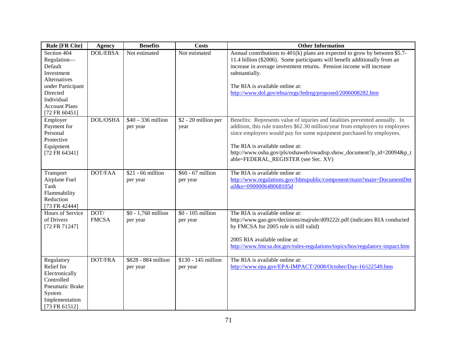| <b>Rule [FR Cite]</b>                                                                                                    | <b>Agency</b>        | <b>Benefits</b>                 | <b>Costs</b>                    | <b>Other Information</b>                                                                                                                                                                                                                                                                                                                                                                 |
|--------------------------------------------------------------------------------------------------------------------------|----------------------|---------------------------------|---------------------------------|------------------------------------------------------------------------------------------------------------------------------------------------------------------------------------------------------------------------------------------------------------------------------------------------------------------------------------------------------------------------------------------|
| Section 404<br>Regulation-<br>Default<br>Investment<br>Alternatives<br>under Participant<br>Directed<br>Individual       | <b>DOL/EBSA</b>      | Not estimated                   | Not estimated                   | Annual contributions to $401(k)$ plans are expected to grow by between \$5.7-<br>11.4 billion (\$2006). Some participants will benefit additionally from an<br>increase in average investment returns. Pension income will increase<br>substantially.<br>The RIA is available online at:<br>http://www.dol.gov/ebsa/regs/fedreg/proposed/2006008282.htm                                  |
| <b>Account Plans</b><br>[72 FR 60451]                                                                                    |                      |                                 |                                 |                                                                                                                                                                                                                                                                                                                                                                                          |
| Employer<br>Payment for<br>Personal<br>Protective<br>Equipment<br>[72 FR 64341]                                          | <b>DOL/OSHA</b>      | $$40 - 336$ million<br>per year | \$2 - 20 million per<br>year    | Benefits: Represents value of injuries and fatalities prevented annually. In<br>addition, this rule transfers \$62.30 million/year from employers to employees<br>since employers would pay for some equipment purchased by employees.<br>The RIA is available online at:<br>http://www.osha.gov/pls/oshaweb/owadisp.show_document?p_id=20094&p_t<br>able=FEDERAL_REGISTER (see Sec. XV) |
| Transport<br>Airplane Fuel<br>Tank<br>Flammability<br>Reduction<br>[73 FR 42444]                                         | <b>DOT/FAA</b>       | $$21 - 66$ million<br>per year  | \$60 - 67 million<br>per year   | The RIA is available online at:<br>http://www.regulations.gov/fdmspublic/component/main?main=DocumentDet<br>ail&o=090000648068105d                                                                                                                                                                                                                                                       |
| Hours of Service<br>of Drivers<br>[72 FR 71247]                                                                          | DOT/<br><b>FMCSA</b> | \$0 - 1,760 million<br>per year | \$0 - 105 million<br>per year   | The RIA is available online at:<br>http://www.gao.gov/decisions/majrule/d09222r.pdf (indicates RIA conducted<br>by FMCSA for 2005 rule is still valid)<br>2005 RIA available online at:<br>http://www.fmcsa.dot.gov/rules-regulations/topics/hos/regulatory-impact.htm                                                                                                                   |
| Regulatory<br>Relief for<br>Electronically<br>Controlled<br>Pneumatic Brake<br>System<br>Implementation<br>[73 FR 61512] | DOT/FRA              | \$828 - 884 million<br>per year | \$130 - 145 million<br>per year | The RIA is available online at:<br>http://www.epa.gov/EPA-IMPACT/2008/October/Day-16/i22549.htm                                                                                                                                                                                                                                                                                          |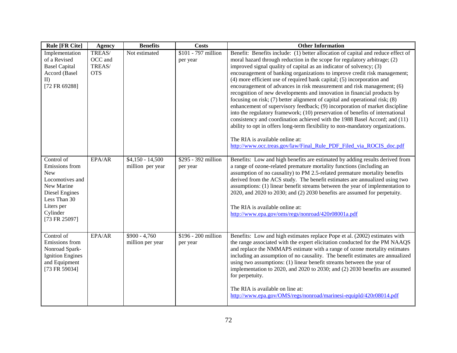| <b>Rule [FR Cite]</b>                                                                                                                                    | Agency                                    | <b>Benefits</b>                       | <b>Costs</b>                    | <b>Other Information</b>                                                                                                                                                                                                                                                                                                                                                                                                                                                                                                                                                                                                                                                                                                                                                                                                                                                                                                                                                                                                                                                  |
|----------------------------------------------------------------------------------------------------------------------------------------------------------|-------------------------------------------|---------------------------------------|---------------------------------|---------------------------------------------------------------------------------------------------------------------------------------------------------------------------------------------------------------------------------------------------------------------------------------------------------------------------------------------------------------------------------------------------------------------------------------------------------------------------------------------------------------------------------------------------------------------------------------------------------------------------------------------------------------------------------------------------------------------------------------------------------------------------------------------------------------------------------------------------------------------------------------------------------------------------------------------------------------------------------------------------------------------------------------------------------------------------|
| Implementation<br>of a Revised<br><b>Basel Capital</b><br>Accord (Basel<br>II)<br>[72 FR 69288]                                                          | TREAS/<br>OCC and<br>TREAS/<br><b>OTS</b> | Not estimated                         | \$101 - 797 million<br>per year | Benefit: Benefits include: (1) better allocation of capital and reduce effect of<br>moral hazard through reduction in the scope for regulatory arbitrage; (2)<br>improved signal quality of capital as an indicator of solvency; (3)<br>encouragement of banking organizations to improve credit risk management;<br>(4) more efficient use of required bank capital; (5) incorporation and<br>encouragement of advances in risk measurement and risk management; (6)<br>recognition of new developments and innovation in financial products by<br>focusing on risk; (7) better alignment of capital and operational risk; (8)<br>enhancement of supervisory feedback; (9) incorporation of market discipline<br>into the regulatory framework; (10) preservation of benefits of international<br>consistency and coordination achieved with the 1988 Basel Accord; and (11)<br>ability to opt in offers long-term flexibility to non-mandatory organizations.<br>The RIA is available online at:<br>http://www.occ.treas.gov/law/Final Rule PDF Filed via ROCIS doc.pdf |
| Control of<br>Emissions from<br><b>New</b><br>Locomotives and<br>New Marine<br>Diesel Engines<br>Less Than 30<br>Liters per<br>Cylinder<br>[73 FR 25097] | EPA/AR                                    | $$4,150 - 14,500$<br>million per year | \$295 - 392 million<br>per year | Benefits: Low and high benefits are estimated by adding results derived from<br>a range of ozone-related premature mortality functions (including an<br>assumption of no causality) to PM 2.5-related premature mortality benefits<br>derived from the ACS study. The benefit estimates are annualized using two<br>assumptions: (1) linear benefit streams between the year of implementation to<br>2020, and 2020 to 2030; and (2) 2030 benefits are assumed for perpetuity.<br>The RIA is available online at:<br>http://www.epa.gov/oms/regs/nonroad/420r08001a.pdf                                                                                                                                                                                                                                                                                                                                                                                                                                                                                                   |
| Control of<br>Emissions from<br>Nonroad Spark-<br><b>Ignition Engines</b><br>and Equipment<br>[73 FR 59034]                                              | EPA/AR                                    | $$900 - 4,760$<br>million per year    | \$196 - 200 million<br>per year | Benefits: Low and high estimates replace Pope et al. (2002) estimates with<br>the range associated with the expert elicitation conducted for the PM NAAQS<br>and replace the NMMAPS estimate with a range of ozone mortality estimates<br>including an assumption of no causality. The benefit estimates are annualized<br>using two assumptions: $(1)$ linear benefit streams between the year of<br>implementation to 2020, and 2020 to 2030; and (2) 2030 benefits are assumed<br>for perpetuity.<br>The RIA is available on line at:<br>http://www.epa.gov/OMS/regs/nonroad/marinesi-equipld/420r08014.pdf                                                                                                                                                                                                                                                                                                                                                                                                                                                            |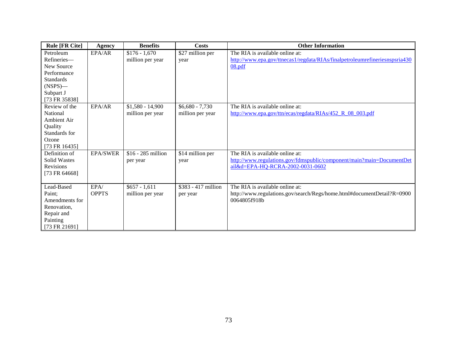| <b>Rule [FR Cite]</b>                                                                                                 | Agency               | <b>Benefits</b>                       | <b>Costs</b>                         | <b>Other Information</b>                                                                                                                     |
|-----------------------------------------------------------------------------------------------------------------------|----------------------|---------------------------------------|--------------------------------------|----------------------------------------------------------------------------------------------------------------------------------------------|
| Petroleum<br>Refineries-<br>New Source<br>Performance<br><b>Standards</b><br>$(NSPS)$ —<br>Subpart J<br>[73 FR 35838] | EPA/AR               | $$176 - 1,670$<br>million per year    | \$27 million per<br>year             | The RIA is available online at:<br>http://www.epa.gov/ttnecas1/regdata/RIAs/finalpetroleumrefineriesnspsria430<br>08.pdf                     |
| Review of the<br>National<br>Ambient Air<br>Quality<br>Standards for<br>Ozone<br>[73 FR $16435$ ]                     | EPA/AR               | $$1,580 - 14,900$<br>million per year | $$6,680 - 7,730$<br>million per year | The RIA is available online at:<br>http://www.epa.gov/ttn/ecas/regdata/RIAs/452 R 08 003.pdf                                                 |
| Definition of<br><b>Solid Wastes</b><br>Revisions<br>[73 FR 64668]                                                    | <b>EPA/SWER</b>      | \$16 - 285 million<br>per year        | \$14 million per<br>year             | The RIA is available online at:<br>http://www.regulations.gov/fdmspublic/component/main?main=DocumentDet<br>ail&d=EPA-HQ-RCRA-2002-0031-0602 |
| Lead-Based<br>Paint:<br>Amendments for<br>Renovation,<br>Repair and<br>Painting<br>[73 FR 21691]                      | EPA/<br><b>OPPTS</b> | $$657 - 1,611$<br>million per year    | \$383 - 417 million<br>per year      | The RIA is available online at:<br>http://www.regulations.gov/search/Regs/home.html#documentDetail?R=0900<br>0064805f918b                    |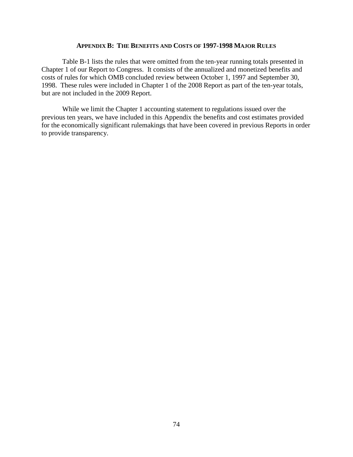#### **APPENDIX B: THE BENEFITS AND COSTS OF 1997-1998 MAJOR RULES**

Table B-1 lists the rules that were omitted from the ten-year running totals presented in Chapter 1 of our Report to Congress. It consists of the annualized and monetized benefits and costs of rules for which OMB concluded review between October 1, 1997 and September 30, 1998. These rules were included in Chapter 1 of the 2008 Report as part of the ten-year totals, but are not included in the 2009 Report.

While we limit the Chapter 1 accounting statement to regulations issued over the previous ten years, we have included in this Appendix the benefits and cost estimates provided for the economically significant rulemakings that have been covered in previous Reports in order to provide transparency.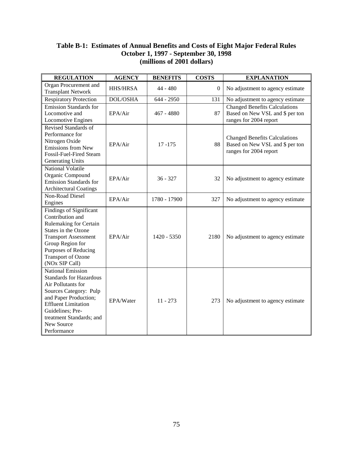### **Table B-1: Estimates of Annual Benefits and Costs of Eight Major Federal Rules October 1, 1997 - September 30, 1998 (millions of 2001 dollars)**

| <b>REGULATION</b>                                                                                                                                                                                                                              | <b>AGENCY</b>   | <b>BENEFITS</b> | <b>COSTS</b>     | <b>EXPLANATION</b>                                                                                |
|------------------------------------------------------------------------------------------------------------------------------------------------------------------------------------------------------------------------------------------------|-----------------|-----------------|------------------|---------------------------------------------------------------------------------------------------|
| Organ Procurement and<br><b>Transplant Network</b>                                                                                                                                                                                             | <b>HHS/HRSA</b> | 44 - 480        | $\boldsymbol{0}$ | No adjustment to agency estimate                                                                  |
| <b>Respiratory Protection</b>                                                                                                                                                                                                                  | DOL/OSHA        | 644 - 2950      | 131              | No adjustment to agency estimate                                                                  |
| <b>Emission Standards for</b><br>Locomotive and<br>Locomotive Engines                                                                                                                                                                          | EPA/Air         | 467 - 4880      | 87               | <b>Changed Benefits Calculations</b><br>Based on New VSL and \$ per ton<br>ranges for 2004 report |
| Revised Standards of<br>Performance for<br>Nitrogen Oxide<br>Emissions from New<br>Fossil-Fuel-Fired Steam<br>Generating Units                                                                                                                 | EPA/Air         | $17 - 175$      | 88               | <b>Changed Benefits Calculations</b><br>Based on New VSL and \$ per ton<br>ranges for 2004 report |
| National Volatile<br>Organic Compound<br><b>Emission Standards for</b><br><b>Architectural Coatings</b>                                                                                                                                        | EPA/Air         | $36 - 327$      | 32               | No adjustment to agency estimate                                                                  |
| Non-Road Diesel<br>Engines                                                                                                                                                                                                                     | EPA/Air         | 1780 - 17900    | 327              | No adjustment to agency estimate                                                                  |
| <b>Findings of Significant</b><br>Contribution and<br>Rulemaking for Certain<br>States in the Ozone<br><b>Transport Assessment</b><br>Group Region for<br>Purposes of Reducing<br><b>Transport of Ozone</b><br>(NOx SIP Call)                  | EPA/Air         | $1420 - 5350$   | 2180             | No adjustment to agency estimate                                                                  |
| <b>National Emission</b><br><b>Standards for Hazardous</b><br>Air Pollutants for<br>Sources Category: Pulp<br>and Paper Production;<br><b>Effluent Limitation</b><br>Guidelines; Pre-<br>treatment Standards; and<br>New Source<br>Performance | EPA/Water       | $11 - 273$      | 273              | No adjustment to agency estimate                                                                  |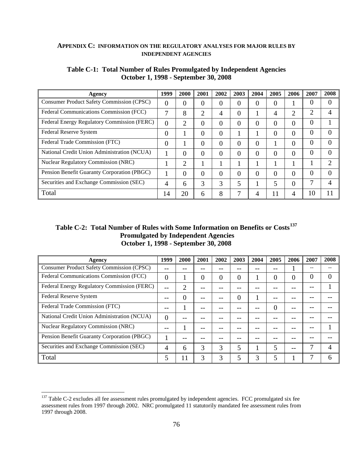#### **APPENDIX C: INFORMATION ON THE REGULATORY ANALYSES FOR MAJOR RULES BY INDEPENDENT AGENCIES**

| Agency                                           | 1999 | 2000           | 2001 | 2002           | 2003 | 2004     | 2005 | 2006           | 2007 | 2008 |
|--------------------------------------------------|------|----------------|------|----------------|------|----------|------|----------------|------|------|
| <b>Consumer Product Safety Commission (CPSC)</b> | 0    | 0              | 0    | $\overline{0}$ | 0    | 0        | 0    |                | 0    |      |
| Federal Communications Commission (FCC)          | ⇁    | 8              | ◠    | 4              | 0    |          |      | $\overline{2}$ | 2    |      |
| Federal Energy Regulatory Commission (FERC)      | 0    | $\overline{2}$ | 0    | $\overline{0}$ | 0    | 0        | 0    | 0              | 0    |      |
| Federal Reserve System                           | 0    |                | 0    | $\overline{0}$ |      |          | 0    | 0              | 0    |      |
| Federal Trade Commission (FTC)                   | 0    |                | 0    | 0              | 0    | 0        |      | 0              | 0    | 0    |
| National Credit Union Administration (NCUA)      |      | $\theta$       | 0    | $\theta$       | 0    | $\theta$ | 0    | $\theta$       | 0    | 0    |
| <b>Nuclear Regulatory Commission (NRC)</b>       |      | $\overline{2}$ |      |                |      |          |      |                |      | ∍    |
| Pension Benefit Guaranty Corporation (PBGC)      |      | $\theta$       | 0    | 0              | 0    | 0        | 0    | 0              | 0    | 0    |
| Securities and Exchange Commission (SEC)         | 4    | 6              | 3    | 3              | 5    |          | 5    | $\theta$       |      | 4    |
| Total                                            | 14   | 20             | 6    | 8              |      | 4        | 11   | 4              | 10   | 11   |

#### **Table C-1: Total Number of Rules Promulgated by Independent Agencies October 1, 1998 - September 30, 2008**

## **Table C-2: Total Number of Rules with Some Information on Benefits or Costs[137](#page-76-0) Promulgated by Independent Agencies October 1, 1998 - September 30, 2008**

| Agency                                      | 1999 | 2000 | 2001 | 2002 | 2003 | 2004 | 2005 | 2006 | 2007 | 2008 |
|---------------------------------------------|------|------|------|------|------|------|------|------|------|------|
| Consumer Product Safety Commission (CPSC)   |      |      |      |      |      |      |      |      |      |      |
| Federal Communications Commission (FCC)     | 0    |      | 0    | 0    | 0    |      | 0    | 0    | 0    |      |
| Federal Energy Regulatory Commission (FERC) |      | 2    |      |      |      |      |      |      |      |      |
| Federal Reserve System                      |      | 0    |      |      | 0    |      |      |      |      |      |
| Federal Trade Commission (FTC)              |      |      |      |      |      |      | 0    |      |      |      |
| National Credit Union Administration (NCUA) | 0    |      |      |      |      |      |      |      |      |      |
| <b>Nuclear Regulatory Commission (NRC)</b>  |      |      |      |      |      |      |      |      |      |      |
| Pension Benefit Guaranty Corporation (PBGC) |      |      |      |      |      |      |      |      |      |      |
| Securities and Exchange Commission (SEC)    | 4    | 6    | 3    | 3    | 5    |      |      | --   |      |      |
| Total                                       | 5    | 11   | 3    | 3    | 5    | 3    |      |      |      |      |

 $\overline{a}$ 

<span id="page-76-0"></span> $137$  Table C-2 excludes all fee assessment rules promulgated by independent agencies. FCC promulgated six fee assessment rules from 1997 through 2002. NRC promulgated 11 statutorily mandated fee assessment rules from 1997 through 2008.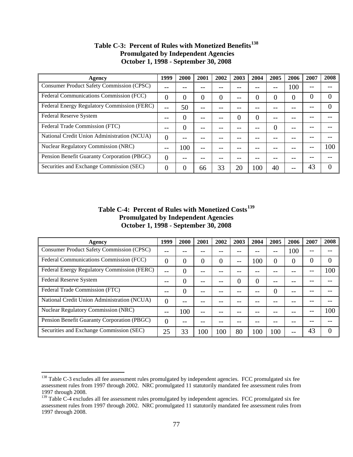| Agency                                           | 1999 | 2000 | 2001 | 2002 | 2003 | 2004 | 2005 | 2006 | 2007 | 2008     |
|--------------------------------------------------|------|------|------|------|------|------|------|------|------|----------|
| <b>Consumer Product Safety Commission (CPSC)</b> |      |      |      |      |      |      |      | 100  |      |          |
| Federal Communications Commission (FCC)          | 0    | 0    | 0    | 0    |      | 0    | 0    | 0    | 0    | 0        |
| Federal Energy Regulatory Commission (FERC)      |      | 50   |      |      |      |      |      |      |      |          |
| Federal Reserve System                           |      | 0    |      |      | 0    | 0    |      |      |      |          |
| Federal Trade Commission (FTC)                   |      | 0    |      |      |      |      | 0    | --   |      |          |
| National Credit Union Administration (NCUA)      | 0    |      |      |      |      |      |      |      |      |          |
| <b>Nuclear Regulatory Commission (NRC)</b>       |      | 100  |      |      |      |      |      |      |      | 100      |
| Pension Benefit Guaranty Corporation (PBGC)      | 0    |      |      |      |      |      |      |      |      |          |
| Securities and Exchange Commission (SEC)         | 0    | 0    | 66   | 33   | 20   | 100  | 40   |      | 43   | $\Omega$ |

## **Table C-3: Percent of Rules with Monetized Benefits[138](#page-77-0) Promulgated by Independent Agencies October 1, 1998 - September 30, 2008**

### **Table C-4: Percent of Rules with Monetized Costs[139](#page-77-1) Promulgated by Independent Agencies October 1, 1998 - September 30, 2008**

| Agency                                           | 1999     | 2000 | 2001 | 2002 | 2003 | 2004 | 2005 | 2006 | 2007 | 2008 |
|--------------------------------------------------|----------|------|------|------|------|------|------|------|------|------|
| <b>Consumer Product Safety Commission (CPSC)</b> |          |      |      |      |      |      |      | 100  | --   |      |
| Federal Communications Commission (FCC)          |          | 0    | O    | 0    | --   | 100  | 0    | 0    | 0    |      |
| Federal Energy Regulatory Commission (FERC)      |          | 0    |      |      |      |      |      |      |      | 100  |
| Federal Reserve System                           |          | 0    |      |      | 0    | 0    |      |      |      |      |
| Federal Trade Commission (FTC)                   |          | 0    |      |      |      |      |      |      |      |      |
| National Credit Union Administration (NCUA)      | $\Omega$ |      |      |      |      |      |      |      |      |      |
| <b>Nuclear Regulatory Commission (NRC)</b>       |          | 100  | --   |      |      |      |      |      |      | 100  |
| Pension Benefit Guaranty Corporation (PBGC)      | $\Omega$ |      |      |      |      |      |      |      |      |      |
| Securities and Exchange Commission (SEC)         | 25       | 33   | 100  | 100  | 80   | 100  | 100  | --   | 43   |      |

 $\overline{a}$ 

<span id="page-77-0"></span><sup>&</sup>lt;sup>138</sup> Table C-3 excludes all fee assessment rules promulgated by independent agencies. FCC promulgated six fee assessment rules from 1997 through 2002. NRC promulgated 11 statutorily mandated fee assessment rules from 1997 through 2008.

<span id="page-77-1"></span><sup>&</sup>lt;sup>139</sup> Table C-4 excludes all fee assessment rules promulgated by independent agencies. FCC promulgated six fee assessment rules from 1997 through 2002. NRC promulgated 11 statutorily mandated fee assessment rules from 1997 through 2008.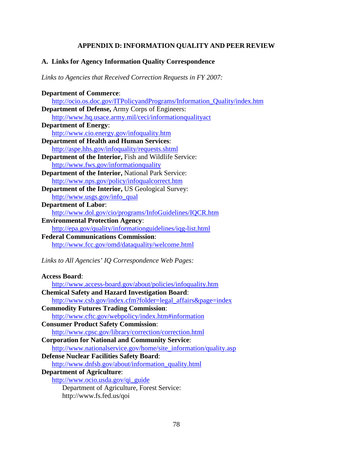## **APPENDIX D: INFORMATION QUALITY AND PEER REVIEW**

## **A. Links for Agency Information Quality Correspondence**

*Links to Agencies that Received Correction Requests in FY 2007:*

| <b>Department of Commerce:</b>                                           |
|--------------------------------------------------------------------------|
| http://ocio.os.doc.gov/ITPolicyandPrograms/Information_Quality/index.htm |
| <b>Department of Defense, Army Corps of Engineers:</b>                   |
| http://www.hq.usace.army.mil/ceci/informationqualityact                  |
| <b>Department of Energy:</b>                                             |
| http://www.cio.energy.gov/infoquality.htm                                |
| <b>Department of Health and Human Services:</b>                          |
| http://aspe.hhs.gov/infoquality/requests.shtml                           |
| Department of the Interior, Fish and Wildlife Service:                   |
| http://www.fws.gov/informationquality                                    |
| <b>Department of the Interior, National Park Service:</b>                |
| http://www.nps.gov/policy/infoqualcorrect.htm                            |
| <b>Department of the Interior, US Geological Survey:</b>                 |
| http://www.usgs.gov/info_qual                                            |
| <b>Department of Labor:</b>                                              |
| http://www.dol.gov/cio/programs/InfoGuidelines/IQCR.htm                  |
| <b>Environmental Protection Agency:</b>                                  |
| http://epa.gov/quality/informationguidelines/iqg-list.html               |
| <b>Federal Communications Commission:</b>                                |
| http://www.fcc.gov/omd/dataquality/welcome.html                          |
|                                                                          |
| Links to All Agencies' IQ Correspondence Web Pages:                      |
|                                                                          |
| <b>Access Board:</b>                                                     |
| http://www.access-board.gov/about/policies/infoquality.htm               |
| <b>Chemical Safety and Hazard Investigation Board:</b>                   |
| http://www.csb.gov/index.cfm?folder=legal_affairs&page=index             |
| <b>Commodity Futures Trading Commission:</b>                             |
| http://www.cftc.gov/webpolicy/index.htm#information                      |
| <b>Consumer Product Safety Commission:</b>                               |
|                                                                          |

- <http://www.cpsc.gov/library/correction/correction.html> **Corporation for National and Community Service**:
- [http://www.nationalservice.gov/home/site\\_information/quality.asp](http://www.nationalservice.gov/home/site_information/quality.asp)
- **Defense Nuclear Facilities Safety Board**:

[http://www.dnfsb.gov/about/information\\_quality.html](http://www.dnfsb.gov/about/information_quality.html) 

- **Department of Agriculture**:
	- [http://www.ocio.usda.gov/qi\\_guide](http://www.ocio.usda.gov/qi_guide) Department of Agriculture, Forest Service:

http://www.fs.fed.us/qoi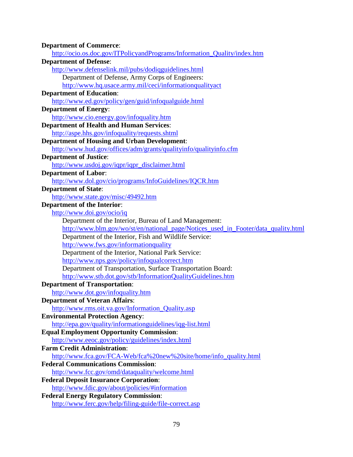| <b>Department of Commerce:</b>                                                     |  |
|------------------------------------------------------------------------------------|--|
| http://ocio.os.doc.gov/ITPolicyandPrograms/Information_Quality/index.htm           |  |
| <b>Department of Defense:</b>                                                      |  |
| http://www.defenselink.mil/pubs/dodiqguidelines.html                               |  |
| Department of Defense, Army Corps of Engineers:                                    |  |
| http://www.hq.usace.army.mil/ceci/informationqualityact                            |  |
| <b>Department of Education:</b>                                                    |  |
| http://www.ed.gov/policy/gen/guid/infoqualguide.html                               |  |
| <b>Department of Energy:</b>                                                       |  |
| http://www.cio.energy.gov/infoquality.htm                                          |  |
| <b>Department of Health and Human Services:</b>                                    |  |
| http://aspe.hhs.gov/infoquality/requests.shtml                                     |  |
| <b>Department of Housing and Urban Development:</b>                                |  |
| http://www.hud.gov/offices/adm/grants/qualityinfo/qualityinfo.cfm                  |  |
| <b>Department of Justice:</b>                                                      |  |
| http://www.usdoj.gov/iqpr/iqpr_disclaimer.html                                     |  |
| <b>Department of Labor:</b>                                                        |  |
| http://www.dol.gov/cio/programs/InfoGuidelines/IQCR.htm                            |  |
| <b>Department of State:</b>                                                        |  |
| http://www.state.gov/misc/49492.htm                                                |  |
| <b>Department of the Interior:</b>                                                 |  |
| http://www.doi.gov/ocio/iq                                                         |  |
| Department of the Interior, Bureau of Land Management:                             |  |
| http://www.blm.gov/wo/st/en/national_page/Notices_used_in_Footer/data_quality.html |  |
| Department of the Interior, Fish and Wildlife Service:                             |  |
| http://www.fws.gov/informationquality                                              |  |
| Department of the Interior, National Park Service:                                 |  |
| http://www.nps.gov/policy/infoqualcorrect.htm                                      |  |
| Department of Transportation, Surface Transportation Board:                        |  |
| http://www.stb.dot.gov/stb/InformationQualityGuidelines.htm                        |  |
| <b>Department of Transportation:</b>                                               |  |
| http://www.dot.gov/infoquality.htm                                                 |  |
| <b>Department of Veteran Affairs:</b>                                              |  |
| http://www.rms.oit.va.gov/Information_Quality.asp                                  |  |
| <b>Environmental Protection Agency:</b>                                            |  |
| http://epa.gov/quality/informationguidelines/iqg-list.html                         |  |
| <b>Equal Employment Opportunity Commission:</b>                                    |  |
| http://www.eeoc.gov/policy/guidelines/index.html                                   |  |
| <b>Farm Credit Administration:</b>                                                 |  |
| http://www.fca.gov/FCA-Web/fca%20new%20site/home/info_quality.html                 |  |
| <b>Federal Communications Commission:</b>                                          |  |
| http://www.fcc.gov/omd/dataquality/welcome.html                                    |  |
| <b>Federal Deposit Insurance Corporation:</b>                                      |  |
| http://www.fdic.gov/about/policies/#information                                    |  |
| <b>Federal Energy Regulatory Commission:</b>                                       |  |
|                                                                                    |  |
| http://www.ferc.gov/help/filing-guide/file-correct.asp                             |  |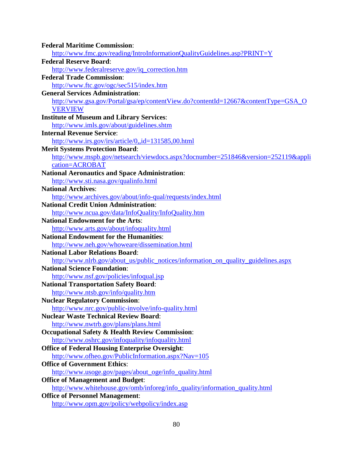| <b>Federal Maritime Commission:</b>                                                |
|------------------------------------------------------------------------------------|
| http://www.fmc.gov/reading/IntroInformationQualityGuidelines.asp?PRINT=Y           |
| <b>Federal Reserve Board:</b>                                                      |
| http://www.federalreserve.gov/iq_correction.htm                                    |
| <b>Federal Trade Commission:</b>                                                   |
| http://www.ftc.gov/ogc/sec515/index.htm                                            |
| <b>General Services Administration:</b>                                            |
| http://www.gsa.gov/Portal/gsa/ep/contentView.do?contentId=12667&contentType=GSA_O  |
| <b>VERVIEW</b>                                                                     |
| <b>Institute of Museum and Library Services:</b>                                   |
| http://www.imls.gov/about/guidelines.shtm                                          |
| <b>Internal Revenue Service:</b>                                                   |
| http://www.irs.gov/irs/article/0,,id=131585,00.html                                |
| <b>Merit Systems Protection Board:</b>                                             |
| http://www.mspb.gov/netsearch/viewdocs.aspx?docnumber=251846&version=252119&appli  |
| cation=ACROBAT                                                                     |
| <b>National Aeronautics and Space Administration:</b>                              |
| http://www.sti.nasa.gov/qualinfo.html                                              |
| <b>National Archives:</b>                                                          |
| http://www.archives.gov/about/info-qual/requests/index.html                        |
| <b>National Credit Union Administration:</b>                                       |
| http://www.ncua.gov/data/InfoQuality/InfoQuality.htm                               |
| <b>National Endowment for the Arts:</b>                                            |
| http://www.arts.gov/about/infoquality.html                                         |
| <b>National Endowment for the Humanities:</b>                                      |
| http://www.neh.gov/whoweare/dissemination.html                                     |
| <b>National Labor Relations Board:</b>                                             |
| http://www.nlrb.gov/about_us/public_notices/information_on_quality_guidelines.aspx |
| <b>National Science Foundation:</b>                                                |
| http://www.nsf.gov/policies/infoqual.jsp                                           |
| <b>National Transportation Safety Board:</b>                                       |
| http://www.ntsb.gov/info/quality.htm                                               |
| <b>Nuclear Regulatory Commission:</b>                                              |
| http://www.nrc.gov/public-involve/info-quality.html                                |
| <b>Nuclear Waste Technical Review Board:</b>                                       |
| http://www.nwtrb.gov/plans/plans.html                                              |
| <b>Occupational Safety &amp; Health Review Commission:</b>                         |
| http://www.oshrc.gov/infoquality/infoquality.html                                  |
| <b>Office of Federal Housing Enterprise Oversight:</b>                             |
| http://www.ofheo.gov/PublicInformation.aspx?Nav=105                                |
| <b>Office of Government Ethics:</b>                                                |
| http://www.usoge.gov/pages/about_oge/info_quality.html                             |
| <b>Office of Management and Budget:</b>                                            |
| http://www.whitehouse.gov/omb/inforeg/info_quality/information_quality.html        |
| <b>Office of Personnel Management:</b>                                             |
| http://www.opm.gov/policy/webpolicy/index.asp                                      |
|                                                                                    |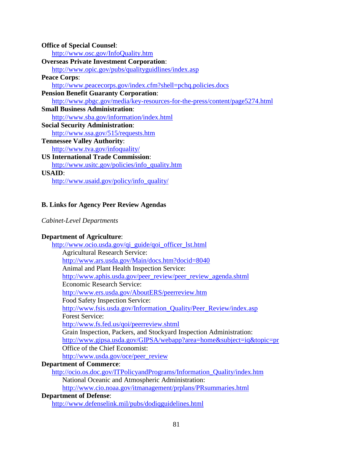| <b>Office of Special Counsel:</b>                                           |
|-----------------------------------------------------------------------------|
| http://www.osc.gov/InfoQuality.htm                                          |
| <b>Overseas Private Investment Corporation:</b>                             |
| http://www.opic.gov/pubs/qualityguidlines/index.asp                         |
| <b>Peace Corps:</b>                                                         |
| http://www.peacecorps.gov/index.cfm?shell=pchq.policies.docs                |
| <b>Pension Benefit Guaranty Corporation:</b>                                |
| http://www.pbgc.gov/media/key-resources-for-the-press/content/page5274.html |
| <b>Small Business Administration:</b>                                       |
| http://www.sba.gov/information/index.html                                   |
| <b>Social Security Administration:</b>                                      |
| http://www.ssa.gov/515/requests.htm                                         |
| <b>Tennessee Valley Authority:</b>                                          |
| http://www.tva.gov/infoquality/                                             |
| <b>US International Trade Commission:</b>                                   |
| http://www.usitc.gov/policies/info_quality.htm                              |
| <b>USAID:</b>                                                               |
| http://www.usaid.gov/policy/info_quality/                                   |
|                                                                             |

# **B. Links for Agency Peer Review Agendas**

# *Cabinet-Level Departments*

## **Department of Agriculture**:

| http://www.ocio.usda.gov/qi_guide/qoi_officer_lst.html                   |
|--------------------------------------------------------------------------|
| <b>Agricultural Research Service:</b>                                    |
| http://www.ars.usda.gov/Main/docs.htm?docid=8040                         |
| Animal and Plant Health Inspection Service:                              |
| http://www.aphis.usda.gov/peer_review/peer_review_agenda.shtml           |
| Economic Research Service:                                               |
| http://www.ers.usda.gov/AboutERS/peerreview.htm                          |
| Food Safety Inspection Service:                                          |
| http://www.fsis.usda.gov/Information_Quality/Peer_Review/index.asp       |
| <b>Forest Service:</b>                                                   |
| http://www.fs.fed.us/qoi/peerreview.shtml                                |
| Grain Inspection, Packers, and Stockyard Inspection Administration:      |
| http://www.gipsa.usda.gov/GIPSA/webapp?area=home&subject=iq&topic=pr     |
| Office of the Chief Economist:                                           |
| http://www.usda.gov/oce/peer_review                                      |
| <b>Department of Commerce:</b>                                           |
| http://ocio.os.doc.gov/ITPolicyandPrograms/Information_Quality/index.htm |
| National Oceanic and Atmospheric Administration:                         |
|                                                                          |

<http://www.cio.noaa.gov/itmanagement/prplans/PRsummaries.html>

# **Department of Defense**:

<http://www.defenselink.mil/pubs/dodiqguidelines.html>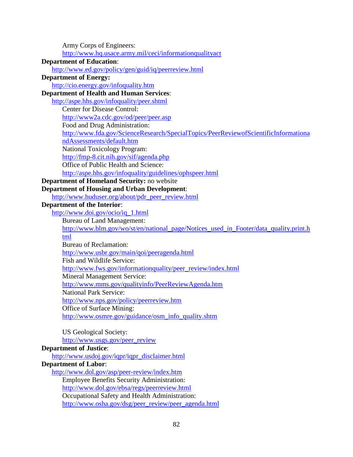| Army Corps of Engineers:                                                              |
|---------------------------------------------------------------------------------------|
| http://www.hq.usace.army.mil/ceci/informationqualityact                               |
| <b>Department of Education:</b>                                                       |
| http://www.ed.gov/policy/gen/guid/iq/peerreview.html                                  |
| <b>Department of Energy:</b>                                                          |
| http://cio.energy.gov/infoquality.htm                                                 |
| <b>Department of Health and Human Services:</b>                                       |
| http://aspe.hhs.gov/infoquality/peer.shtml                                            |
| <b>Center for Disease Control:</b>                                                    |
| http://www2a.cdc.gov/od/peer/peer.asp                                                 |
| Food and Drug Administration:                                                         |
| http://www.fda.gov/ScienceResearch/SpecialTopics/PeerReviewofScientificInformationa   |
| ndAssessments/default.htm                                                             |
| National Toxicology Program:                                                          |
| http://fmp-8.cit.nih.gov/sif/agenda.php                                               |
| Office of Public Health and Science:                                                  |
| http://aspe.hhs.gov/infoquality/guidelines/ophspeer.html                              |
| <b>Department of Homeland Security: no website</b>                                    |
| <b>Department of Housing and Urban Development:</b>                                   |
| http://www.huduser.org/about/pdr_peer_review.html                                     |
| <b>Department of the Interior:</b>                                                    |
| http://www.doi.gov/ocio/iq_1.html                                                     |
| <b>Bureau of Land Management:</b>                                                     |
| http://www.blm.gov/wo/st/en/national_page/Notices_used_in_Footer/data_quality.print.h |
| tml                                                                                   |
| <b>Bureau of Reclamation:</b>                                                         |
| http://www.usbr.gov/main/qoi/peeragenda.html<br>Fish and Wildlife Service:            |
| http://www.fws.gov/informationquality/peer_review/index.html                          |
| <b>Mineral Management Service:</b>                                                    |
| http://www.mms.gov/qualityinfo/PeerReviewAgenda.htm                                   |
| <b>National Park Service:</b>                                                         |
| http://www.nps.gov/policy/peerreview.htm                                              |
| Office of Surface Mining:                                                             |
| http://www.osmre.gov/guidance/osm_info_quality.shtm                                   |
|                                                                                       |
| <b>US Geological Society:</b>                                                         |
| http://www.usgs.gov/peer_review                                                       |
| <b>Department of Justice:</b>                                                         |
| http://www.usdoj.gov/iqpr/iqpr_disclaimer.html                                        |
| <b>Department of Labor:</b>                                                           |
| http://www.dol.gov/asp/peer-review/index.htm                                          |
| <b>Employee Benefits Security Administration:</b>                                     |
| http://www.dol.gov/ebsa/regs/peerreview.html                                          |
| Occupational Safety and Health Administration:                                        |
| http://www.osha.gov/dsg/peer_review/peer_agenda.html                                  |
|                                                                                       |
|                                                                                       |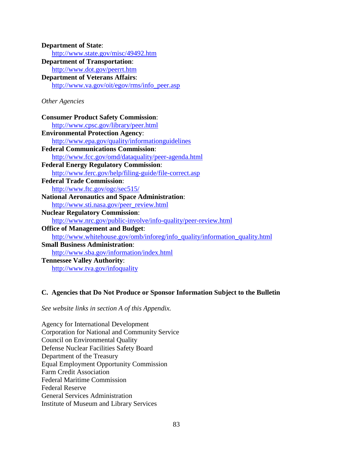| <b>Department of State:</b>                                                 |
|-----------------------------------------------------------------------------|
| http://www.state.gov/misc/49492.htm                                         |
| <b>Department of Transportation:</b>                                        |
| http://www.dot.gov/peerrt.htm                                               |
| <b>Department of Veterans Affairs:</b>                                      |
| http://www.va.gov/oit/egov/rms/info_peer.asp                                |
| Other Agencies                                                              |
| <b>Consumer Product Safety Commission:</b>                                  |
| http://www.cpsc.gov/library/peer.html                                       |
| <b>Environmental Protection Agency:</b>                                     |
| http://www.epa.gov/quality/informationguidelines                            |
| <b>Federal Communications Commission:</b>                                   |
| http://www.fcc.gov/omd/dataquality/peer-agenda.html                         |
| <b>Federal Energy Regulatory Commission:</b>                                |
| http://www.ferc.gov/help/filing-guide/file-correct.asp                      |
| <b>Federal Trade Commission:</b>                                            |
| http://www.ftc.gov/ogc/sec515/                                              |
| <b>National Aeronautics and Space Administration:</b>                       |
| http://www.sti.nasa.gov/peer_review.html                                    |
| <b>Nuclear Regulatory Commission:</b>                                       |
| http://www.nrc.gov/public-involve/info-quality/peer-review.html             |
| <b>Office of Management and Budget:</b>                                     |
| http://www.whitehouse.gov/omb/inforeg/info_quality/information_quality.html |
| <b>Small Business Administration:</b>                                       |
| http://www.sba.gov/information/index.html                                   |
| <b>Tennessee Valley Authority:</b>                                          |
| http://www.tva.gov/infoquality                                              |

## **C. Agencies that Do Not Produce or Sponsor Information Subject to the Bulletin**

*See website links in section A of this Appendix.* 

Agency for International Development Corporation for National and Community Service Council on Environmental Quality Defense Nuclear Facilities Safety Board Department of the Treasury Equal Employment Opportunity Commission Farm Credit Association Federal Maritime Commission Federal Reserve General Services Administration Institute of Museum and Library Services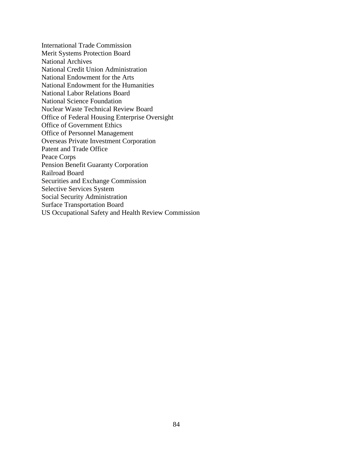International Trade Commission Merit Systems Protection Board National Archives National Credit Union Administration National Endowment for the Arts National Endowment for the Humanities National Labor Relations Board National Science Foundation Nuclear Waste Technical Review Board Office of Federal Housing Enterprise Oversight Office of Government Ethics Office of Personnel Management Overseas Private Investment Corporation Patent and Trade Office Peace Corps Pension Benefit Guaranty Corporation Railroad Board Securities and Exchange Commission Selective Services System Social Security Administration Surface Transportation Board US Occupational Safety and Health Review Commission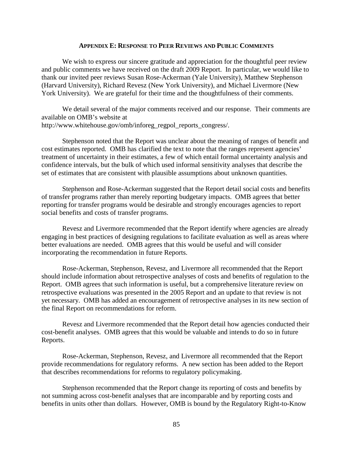#### **APPENDIX E: RESPONSE TO PEER REVIEWS AND PUBLIC COMMENTS**

We wish to express our sincere gratitude and appreciation for the thoughtful peer review and public comments we have received on the draft 2009 Report. In particular, we would like to thank our invited peer reviews Susan Rose-Ackerman (Yale University), Matthew Stephenson (Harvard University), Richard Revesz (New York University), and Michael Livermore (New York University). We are grateful for their time and the thoughtfulness of their comments.

We detail several of the major comments received and our response. Their comments are available on OMB's website at http://www.whitehouse.gov/omb/inforeg\_regpol\_reports\_congress/.

Stephenson noted that the Report was unclear about the meaning of ranges of benefit and cost estimates reported. OMB has clarified the text to note that the ranges represent agencies' treatment of uncertainty in their estimates, a few of which entail formal uncertainty analysis and confidence intervals, but the bulk of which used informal sensitivity analyses that describe the set of estimates that are consistent with plausible assumptions about unknown quantities.

Stephenson and Rose-Ackerman suggested that the Report detail social costs and benefits of transfer programs rather than merely reporting budgetary impacts. OMB agrees that better reporting for transfer programs would be desirable and strongly encourages agencies to report social benefits and costs of transfer programs.

Revesz and Livermore recommended that the Report identify where agencies are already engaging in best practices of designing regulations to facilitate evaluation as well as areas where better evaluations are needed. OMB agrees that this would be useful and will consider incorporating the recommendation in future Reports.

Rose-Ackerman, Stephenson, Revesz, and Livermore all recommended that the Report should include information about retrospective analyses of costs and benefits of regulation to the Report. OMB agrees that such information is useful, but a comprehensive literature review on retrospective evaluations was presented in the 2005 Report and an update to that review is not yet necessary. OMB has added an encouragement of retrospective analyses in its new section of the final Report on recommendations for reform.

Revesz and Livermore recommended that the Report detail how agencies conducted their cost-benefit analyses. OMB agrees that this would be valuable and intends to do so in future Reports.

Rose-Ackerman, Stephenson, Revesz, and Livermore all recommended that the Report provide recommendations for regulatory reforms. A new section has been added to the Report that describes recommendations for reforms to regulatory policymaking.

Stephenson recommended that the Report change its reporting of costs and benefits by not summing across cost-benefit analyses that are incomparable and by reporting costs and benefits in units other than dollars. However, OMB is bound by the Regulatory Right-to-Know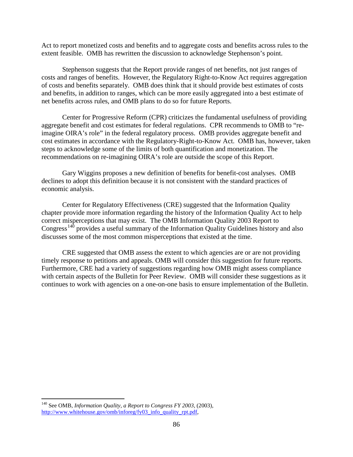Act to report monetized costs and benefits and to aggregate costs and benefits across rules to the extent feasible. OMB has rewritten the discussion to acknowledge Stephenson's point.

Stephenson suggests that the Report provide ranges of net benefits, not just ranges of costs and ranges of benefits. However, the Regulatory Right-to-Know Act requires aggregation of costs and benefits separately. OMB does think that it should provide best estimates of costs and benefits, in addition to ranges, which can be more easily aggregated into a best estimate of net benefits across rules, and OMB plans to do so for future Reports.

Center for Progressive Reform (CPR) criticizes the fundamental usefulness of providing aggregate benefit and cost estimates for federal regulations. CPR recommends to OMB to "reimagine OIRA's role" in the federal regulatory process. OMB provides aggregate benefit and cost estimates in accordance with the Regulatory-Right-to-Know Act. OMB has, however, taken steps to acknowledge some of the limits of both quantification and monetization. The recommendations on re-imagining OIRA's role are outside the scope of this Report.

Gary Wiggins proposes a new definition of benefits for benefit-cost analyses. OMB declines to adopt this definition because it is not consistent with the standard practices of economic analysis.

Center for Regulatory Effectiveness (CRE) suggested that the Information Quality chapter provide more information regarding the history of the Information Quality Act to help correct misperceptions that may exist. The OMB Information Quality 2003 Report to Congress<sup>[140](#page-86-0)</sup> provides a useful summary of the Information Quality Guidelines history and also discusses some of the most common misperceptions that existed at the time.

CRE suggested that OMB assess the extent to which agencies are or are not providing timely response to petitions and appeals. OMB will consider this suggestion for future reports. Furthermore, CRE had a variety of suggestions regarding how OMB might assess compliance with certain aspects of the Bulletin for Peer Review. OMB will consider these suggestions as it continues to work with agencies on a one-on-one basis to ensure implementation of the Bulletin.

<span id="page-86-0"></span> $\overline{a}$ <sup>140</sup> See OMB, *Information Quality, a Report to Congress FY 2003,* (2003)*,*  [http://www.whitehouse.gov/omb/inforeg/fy03\\_info\\_quality\\_rpt.pdf,](http://www.whitehouse.gov/omb/inforeg/fy03_info_quality_rpt.pdf)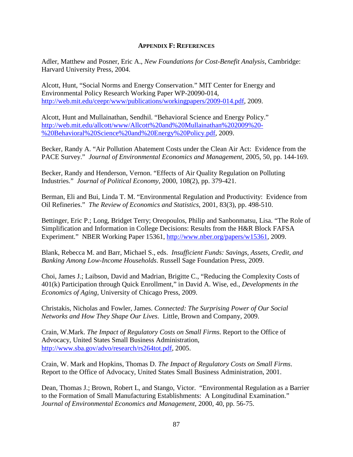#### **APPENDIX F: REFERENCES**

Adler, Matthew and Posner, Eric A., *New Foundations for Cost-Benefit Analysis*, Cambridge: Harvard University Press, 2004.

Alcott, Hunt, "Social Norms and Energy Conservation." MIT Center for Energy and Environmental Policy Research Working Paper WP-20090-014, [http://web.mit.edu/ceepr/www/publications/workingpapers/2009-014.pdf,](http://web.mit.edu/ceepr/www/publications/workingpapers/2009-014.pdf) 2009.

Alcott, Hunt and Mullainathan, Sendhil. "Behavioral Science and Energy Policy." [http://web.mit.edu/allcott/www/Allcott%20and%20Mullainathan%202009%20-](http://web.mit.edu/allcott/www/Allcott%20and%20Mullainathan%202009%20-%20Behavioral%20Science%20and%20Energy%20Policy.pdf) [%20Behavioral%20Science%20and%20Energy%20Policy.pdf,](http://web.mit.edu/allcott/www/Allcott%20and%20Mullainathan%202009%20-%20Behavioral%20Science%20and%20Energy%20Policy.pdf) 2009.

Becker, Randy A. "Air Pollution Abatement Costs under the Clean Air Act: Evidence from the PACE Survey." *Journal of Environmental Economics and Management*, 2005, 50, pp. 144-169.

Becker, Randy and Henderson, Vernon. "Effects of Air Quality Regulation on Polluting Industries." *Journal of Political Economy*, 2000, 108(2), pp. 379-421.

Berman, Eli and Bui, Linda T. M. "Environmental Regulation and Productivity: Evidence from Oil Refineries." *The Review of Economics and Statistics*, 2001, 83(3), pp. 498-510.

Bettinger, Eric P.; Long, Bridget Terry; Oreopoulos, Philip and Sanbonmatsu, Lisa. "The Role of Simplification and Information in College Decisions: Results from the H&R Block FAFSA Experiment." NBER Working Paper 15361, [http://www.nber.org/papers/w15361,](http://www.nber.org/papers/w15361) 2009.

Blank, Rebecca M. and Barr, Michael S., eds. *Insufficient Funds: Savings, Assets, Credit, and Banking Among Low-Income Households*. Russell Sage Foundation Press, 2009.

Choi, James J.; Laibson, David and Madrian, Brigitte C., "Reducing the Complexity Costs of 401(k) Participation through Quick Enrollment," in David A. Wise, ed., *Developments in the Economics of Aging*, University of Chicago Press, 2009.

Christakis, Nicholas and Fowler, James. *Connected: The Surprising Power of Our Social Networks and How They Shape Our Lives*. Little, Brown and Company, 2009.

Crain, W.Mark. *The Impact of Regulatory Costs on Small Firms*. Report to the Office of Advocacy, United States Small Business Administration, [http://www.sba.gov/advo/research/rs264tot.pdf,](http://www.sba.gov/advo/research/rs264tot.pdf) 2005.

Crain, W. Mark and Hopkins, Thomas D. *The Impact of Regulatory Costs on Small Firms*. Report to the Office of Advocacy, United States Small Business Administration, 2001.

Dean, Thomas J.; Brown, Robert L, and Stango, Victor. "Environmental Regulation as a Barrier to the Formation of Small Manufacturing Establishments: A Longitudinal Examination." *Journal of Environmental Economics and Management*, 2000, 40, pp. 56-75.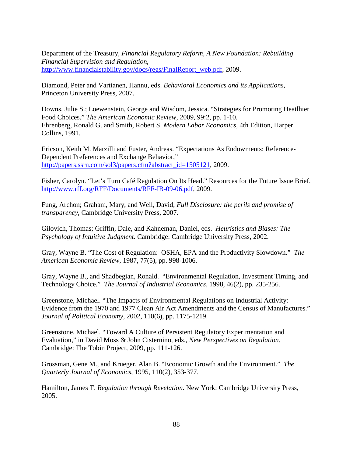Department of the Treasury, *Financial Regulatory Reform, A New Foundation: Rebuilding Financial Supervision and Regulation*, [http://www.financialstability.gov/docs/regs/FinalReport\\_web.pdf,](http://www.financialstability.gov/docs/regs/FinalReport_web.pdf) 2009.

Diamond, Peter and Vartianen, Hannu, eds. *Behavioral Economics and its Applications*, Princeton University Press, 2007.

Downs, Julie S.; Loewenstein, George and Wisdom, Jessica. "Strategies for Promoting Heatlhier Food Choices." *The American Economic Review*, 2009, 99:2, pp. 1-10. Ehrenberg, Ronald G. and Smith, Robert S. *Modern Labor Economics*, 4th Edition, Harper Collins, 1991.

Ericson, Keith M. Marzilli and Fuster, Andreas. "Expectations As Endowments: Reference-Dependent Preferences and Exchange Behavior," [http://papers.ssrn.com/sol3/papers.cfm?abstract\\_id=1505121,](http://papers.ssrn.com/sol3/papers.cfm?abstract_id=1505121) 2009.

Fisher, Carolyn. "Let's Turn Café Regulation On Its Head." Resources for the Future Issue Brief, [http://www.rff.org/RFF/Documents/RFF-IB-09-06.pdf,](http://www.rff.org/RFF/Documents/RFF-IB-09-06.pdf) 2009.

Fung, Archon; Graham, Mary, and Weil, David, *Full Disclosure: the perils and promise of transparency*, Cambridge University Press, 2007.

Gilovich, Thomas; Griffin, Dale, and Kahneman, Daniel, eds. *Heuristics and Biases: The Psychology of Intuitive Judgment.* Cambridge: Cambridge University Press, 2002.

Gray, Wayne B. "The Cost of Regulation: OSHA, EPA and the Productivity Slowdown." *The American Economic Review*, 1987, 77(5), pp. 998-1006.

Gray, Wayne B., and Shadbegian, Ronald. "Environmental Regulation, Investment Timing, and Technology Choice." *The Journal of Industrial Economics*, 1998, 46(2), pp. 235-256.

Greenstone, Michael. "The Impacts of Environmental Regulations on Industrial Activity: Evidence from the 1970 and 1977 Clean Air Act Amendments and the Census of Manufactures." *Journal of Political Economy*, 2002, 110(6), pp. 1175-1219.

Greenstone, Michael. "Toward A Culture of Persistent Regulatory Experimentation and Evaluation," in David Moss & John Cisternino, eds., *New Perspectives on Regulation*. Cambridge: The Tobin Project, 2009, pp. 111-126.

Grossman, Gene M., and Krueger, Alan B. "Economic Growth and the Environment." *The Quarterly Journal of Economics*, 1995, 110(2), 353-377.

Hamilton, James T. *Regulation through Revelation*. New York: Cambridge University Press, 2005.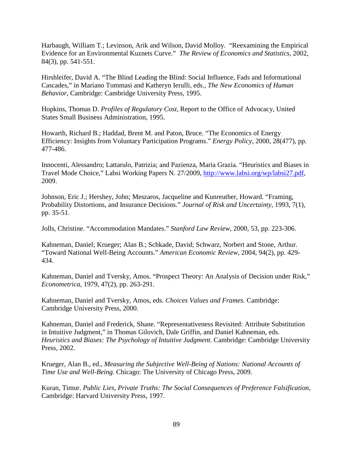Harbaugh, William T.; Levinson, Arik and Wilson, David Molloy. "Reexamining the Empirical Evidence for an Environmental Kuznets Curve." *The Review of Economics and Statistics*, 2002, 84(3), pp. 541-551.

Hirshleifer, David A. "The Blind Leading the Blind: Social Influence, Fads and Informational Cascades," in Mariano Tommasi and Katheryn Ierulli, eds., *The New Economics of Human Behavior*, Cambridge: Cambridge University Press, 1995.

Hopkins, Thomas D. *Profiles of Regulatory Cost*, Report to the Office of Advocacy, United States Small Business Administration, 1995.

Howarth, Richard B.; Haddad, Brent M. and Paton, Bruce. "The Economics of Energy Efficiency: Insights from Voluntary Participation Programs." *Energy Policy*, 2000, 28(477), pp. 477-486.

Innocenti, Alessandro; Lattarulo, Patrizia; and Pazienza, Maria Grazia. "Heuristics and Biases in Travel Mode Choice," Labsi Working Papers N. 27/2009, [http://www.labsi.org/wp/labsi27.pdf,](http://www.labsi.org/wp/labsi27.pdf) 2009.

Johnson, Eric J.; Hershey, John; Meszaros, Jacqueline and Kunreuther, Howard. "Framing, Probability Distortions, and Insurance Decisions." *Journal of Risk and Uncertainty*, 1993, 7(1), pp. 35-51.

Jolls, Christine. "Accommodation Mandates." *Stanford Law Review*, 2000, 53, pp. 223-306.

Kahneman, Daniel; Krueger; Alan B.; Schkade, David; Schwarz, Norbert and Stone, Arthur. "Toward National Well-Being Accounts." *American Economic Review*, 2004, 94(2), pp. 429- 434.

Kahneman, Daniel and Tversky, Amos. "Prospect Theory: An Analysis of Decision under Risk," *Econometrica*, 1979, 47(2), pp. 263-291.

Kahneman, Daniel and Tversky, Amos, eds. *Choices Values and Frames.* Cambridge: Cambridge University Press, 2000.

Kahneman, Daniel and Frederick, Shane. "Representativeness Revisited: Attribute Substitution in Intuitive Judgment," in Thomas Gilovich, Dale Griffin, and Daniel Kahneman, eds. *Heuristics and Biases: The Psychology of Intuitive Judgment.* Cambridge: Cambridge University Press, 2002.

Krueger, Alan B., ed., *Measuring the Subjective Well-Being of Nations: National Accounts of Time Use and Well-Being.* Chicago: The University of Chicago Press, 2009.

Kuran, Timur. *Public Lies, Private Truths: The Social Consequences of Preference Falsification*, Cambridge: Harvard University Press, 1997.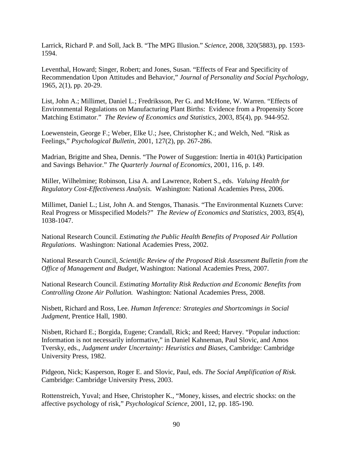Larrick, Richard P. and Soll, Jack B. "The MPG Illusion." *Science*, 2008, 320(5883), pp. 1593- 1594.

Leventhal, Howard; Singer, Robert; and Jones, Susan. "Effects of Fear and Specificity of Recommendation Upon Attitudes and Behavior," *Journal of Personality and Social Psychology*, 1965, 2(1), pp. 20-29.

List, John A.; Millimet, Daniel L.; Fredriksson, Per G. and McHone, W. Warren. "Effects of Environmental Regulations on Manufacturing Plant Births: Evidence from a Propensity Score Matching Estimator." *The Review of Economics and Statistics*, 2003, 85(4), pp. 944-952.

Loewenstein, George F.; Weber, Elke U.; Jsee, Christopher K.; and Welch, Ned. "Risk as Feelings," *Psychological Bulletin*, 2001, 127(2), pp. 267-286.

Madrian, Brigitte and Shea, Dennis. "The Power of Suggestion: Inertia in 401(k) Participation and Savings Behavior." *The Quarterly Journal of Economics*, 2001, 116, p. 149.

Miller, Wilhelmine; Robinson, Lisa A. and Lawrence, Robert S., eds. *Valuing Health for Regulatory Cost-Effectiveness Analysis.* Washington: National Academies Press, 2006.

Millimet, Daniel L.; List, John A. and Stengos, Thanasis. "The Environmental Kuznets Curve: Real Progress or Misspecified Models?" *The Review of Economics and Statistics*, 2003, 85(4), 1038-1047.

National Research Council. *Estimating the Public Health Benefits of Proposed Air Pollution Regulations*. Washington: National Academies Press, 2002.

National Research Council, *Scientific Review of the Proposed Risk Assessment Bulletin from the Office of Management and Budget*, Washington: National Academies Press, 2007.

National Research Council. *Estimating Mortality Risk Reduction and Economic Benefits from Controlling Ozone Air Pollution.* Washington: National Academies Press, 2008.

Nisbett, Richard and Ross, Lee. *Human Inference: Strategies and Shortcomings in Social Judgment*, Prentice Hall, 1980.

Nisbett, Richard E.; Borgida, Eugene; Crandall, Rick; and Reed; Harvey. "Popular induction: Information is not necessarily informative," in Daniel Kahneman, Paul Slovic, and Amos Tversky, eds., *Judgment under Uncertainty: Heuristics and Biases*, Cambridge: Cambridge University Press, 1982.

Pidgeon, Nick; Kasperson, Roger E. and Slovic, Paul, eds. *The Social Amplification of Risk.* Cambridge: Cambridge University Press, 2003.

Rottenstreich, Yuval; and Hsee, Christopher K., "Money, kisses, and electric shocks: on the affective psychology of risk," *Psychological Science*, 2001, 12, pp. 185-190.